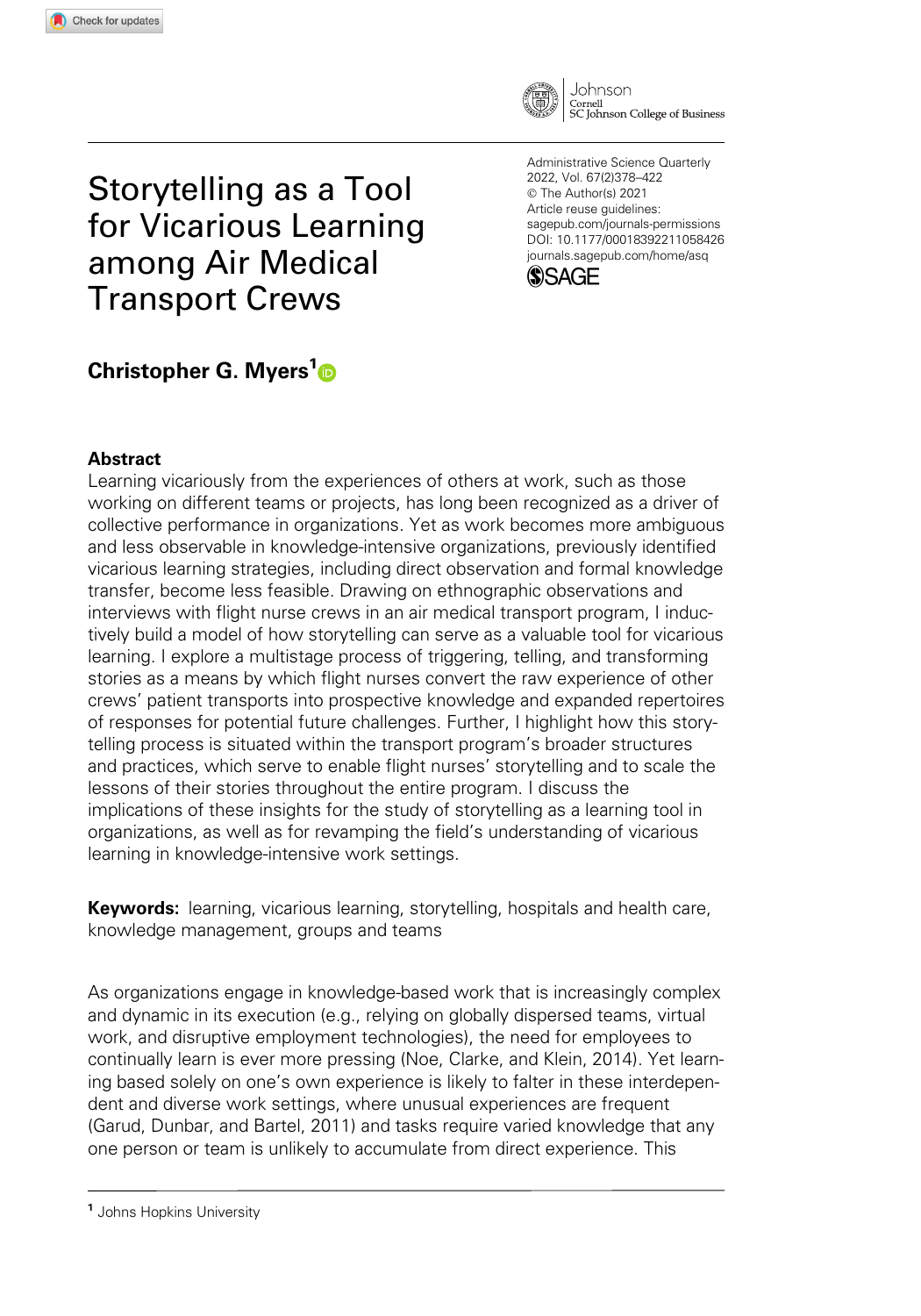

Storytelling as a Tool for Vicarious Learning among Air Medical Transport Crews

Administrative Science Quarterly 2022, Vol. 67(2)378–422 © The Author(s) 2021 Article reuse guidelines: [sagepub.com/journals-permissions](us.sagepub.com/en-us/journals-permissions) [DOI: 10.1177/00018392211058426](https://doi.org/10.1177/00018392211058426) <journals.sagepub.com/home/asq>



# Christopher G. Myers<sup>1</sup>®

## Abstract

Learning vicariously from the experiences of others at work, such as those working on different teams or projects, has long been recognized as a driver of collective performance in organizations. Yet as work becomes more ambiguous and less observable in knowledge-intensive organizations, previously identified vicarious learning strategies, including direct observation and formal knowledge transfer, become less feasible. Drawing on ethnographic observations and interviews with flight nurse crews in an air medical transport program, I inductively build a model of how storytelling can serve as a valuable tool for vicarious learning. I explore a multistage process of triggering, telling, and transforming stories as a means by which flight nurses convert the raw experience of other crews' patient transports into prospective knowledge and expanded repertoires of responses for potential future challenges. Further, I highlight how this storytelling process is situated within the transport program's broader structures and practices, which serve to enable flight nurses' storytelling and to scale the lessons of their stories throughout the entire program. I discuss the implications of these insights for the study of storytelling as a learning tool in organizations, as well as for revamping the field's understanding of vicarious learning in knowledge-intensive work settings.

**Keywords:** learning, vicarious learning, storytelling, hospitals and health care, knowledge management, groups and teams

As organizations engage in knowledge-based work that is increasingly complex and dynamic in its execution (e.g., relying on globally dispersed teams, virtual work, and disruptive employment technologies), the need for employees to continually learn is ever more pressing (Noe, Clarke, and Klein, 2014). Yet learning based solely on one's own experience is likely to falter in these interdependent and diverse work settings, where unusual experiences are frequent (Garud, Dunbar, and Bartel, 2011) and tasks require varied knowledge that any one person or team is unlikely to accumulate from direct experience. This

<sup>&</sup>lt;sup>1</sup> Johns Hopkins University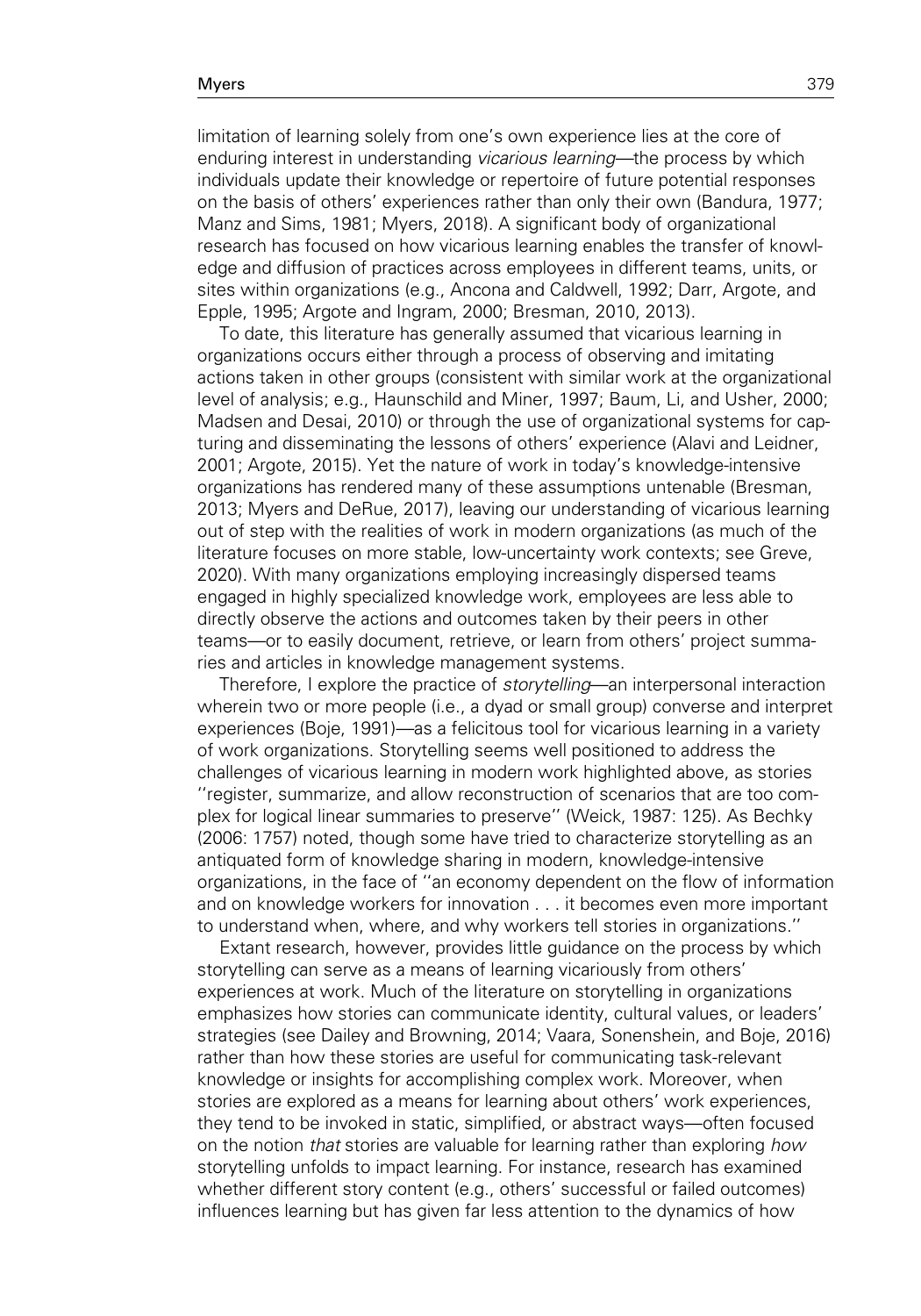limitation of learning solely from one's own experience lies at the core of enduring interest in understanding vicarious learning—the process by which individuals update their knowledge or repertoire of future potential responses on the basis of others' experiences rather than only their own (Bandura, 1977; Manz and Sims, 1981; Myers, 2018). A significant body of organizational research has focused on how vicarious learning enables the transfer of knowledge and diffusion of practices across employees in different teams, units, or sites within organizations (e.g., Ancona and Caldwell, 1992; Darr, Argote, and Epple, 1995; Argote and Ingram, 2000; Bresman, 2010, 2013).

To date, this literature has generally assumed that vicarious learning in organizations occurs either through a process of observing and imitating actions taken in other groups (consistent with similar work at the organizational level of analysis; e.g., Haunschild and Miner, 1997; Baum, Li, and Usher, 2000; Madsen and Desai, 2010) or through the use of organizational systems for capturing and disseminating the lessons of others' experience (Alavi and Leidner, 2001; Argote, 2015). Yet the nature of work in today's knowledge-intensive organizations has rendered many of these assumptions untenable (Bresman, 2013; Myers and DeRue, 2017), leaving our understanding of vicarious learning out of step with the realities of work in modern organizations (as much of the literature focuses on more stable, low-uncertainty work contexts; see Greve, 2020). With many organizations employing increasingly dispersed teams engaged in highly specialized knowledge work, employees are less able to directly observe the actions and outcomes taken by their peers in other teams—or to easily document, retrieve, or learn from others' project summaries and articles in knowledge management systems.

Therefore, I explore the practice of *storytelling*—an interpersonal interaction wherein two or more people (i.e., a dyad or small group) converse and interpret experiences (Boje, 1991)—as a felicitous tool for vicarious learning in a variety of work organizations. Storytelling seems well positioned to address the challenges of vicarious learning in modern work highlighted above, as stories ''register, summarize, and allow reconstruction of scenarios that are too complex for logical linear summaries to preserve'' (Weick, 1987: 125). As Bechky (2006: 1757) noted, though some have tried to characterize storytelling as an antiquated form of knowledge sharing in modern, knowledge-intensive organizations, in the face of ''an economy dependent on the flow of information and on knowledge workers for innovation . . . it becomes even more important to understand when, where, and why workers tell stories in organizations.''

Extant research, however, provides little guidance on the process by which storytelling can serve as a means of learning vicariously from others' experiences at work. Much of the literature on storytelling in organizations emphasizes how stories can communicate identity, cultural values, or leaders' strategies (see Dailey and Browning, 2014; Vaara, Sonenshein, and Boje, 2016) rather than how these stories are useful for communicating task-relevant knowledge or insights for accomplishing complex work. Moreover, when stories are explored as a means for learning about others' work experiences, they tend to be invoked in static, simplified, or abstract ways—often focused on the notion that stories are valuable for learning rather than exploring how storytelling unfolds to impact learning. For instance, research has examined whether different story content (e.g., others' successful or failed outcomes) influences learning but has given far less attention to the dynamics of how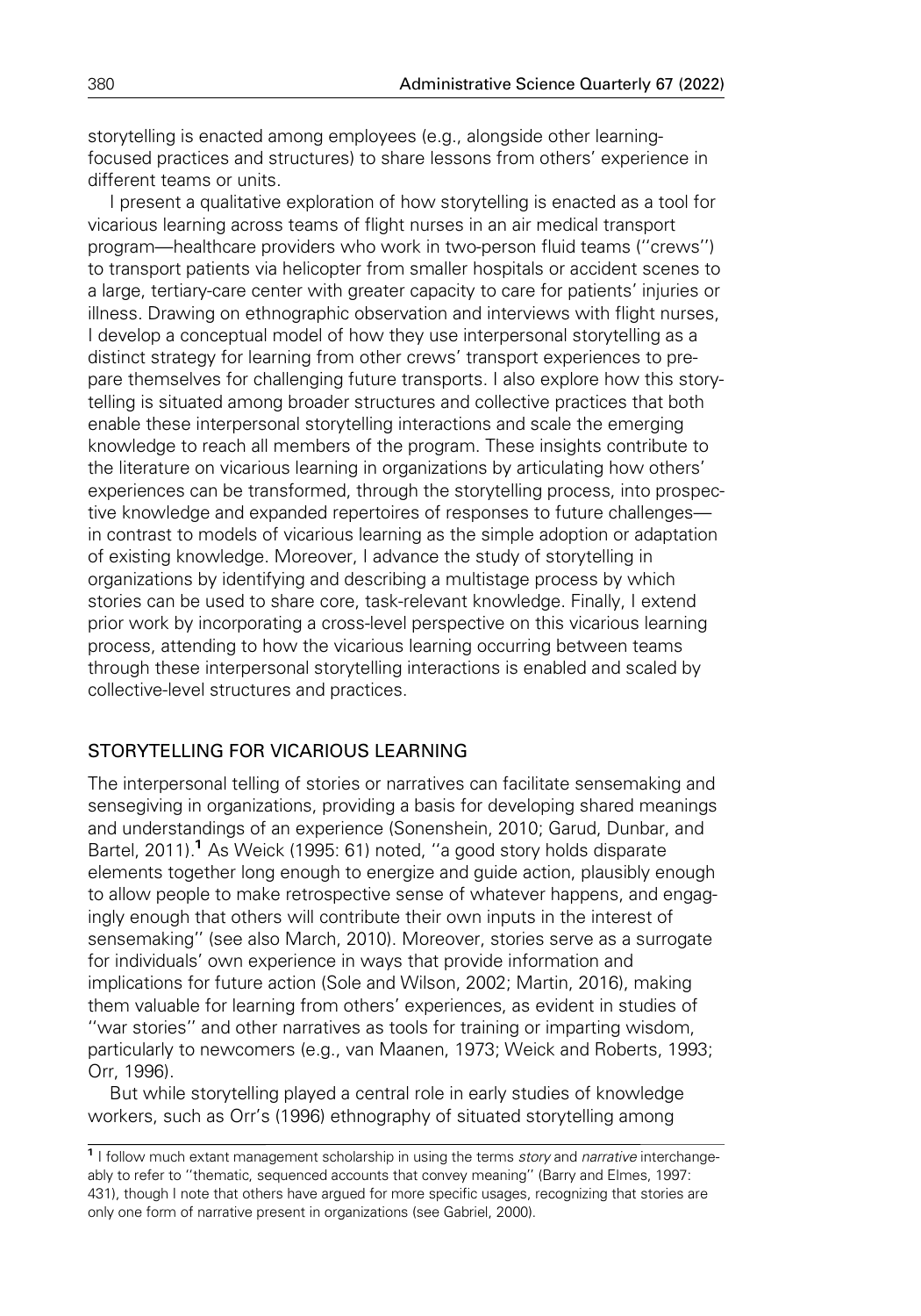storytelling is enacted among employees (e.g., alongside other learningfocused practices and structures) to share lessons from others' experience in different teams or units.

I present a qualitative exploration of how storytelling is enacted as a tool for vicarious learning across teams of flight nurses in an air medical transport program—healthcare providers who work in two-person fluid teams (''crews'') to transport patients via helicopter from smaller hospitals or accident scenes to a large, tertiary-care center with greater capacity to care for patients' injuries or illness. Drawing on ethnographic observation and interviews with flight nurses, I develop a conceptual model of how they use interpersonal storytelling as a distinct strategy for learning from other crews' transport experiences to prepare themselves for challenging future transports. I also explore how this storytelling is situated among broader structures and collective practices that both enable these interpersonal storytelling interactions and scale the emerging knowledge to reach all members of the program. These insights contribute to the literature on vicarious learning in organizations by articulating how others' experiences can be transformed, through the storytelling process, into prospective knowledge and expanded repertoires of responses to future challenges in contrast to models of vicarious learning as the simple adoption or adaptation of existing knowledge. Moreover, I advance the study of storytelling in organizations by identifying and describing a multistage process by which stories can be used to share core, task-relevant knowledge. Finally, I extend prior work by incorporating a cross-level perspective on this vicarious learning process, attending to how the vicarious learning occurring between teams through these interpersonal storytelling interactions is enabled and scaled by collective-level structures and practices.

# STORYTELLING FOR VICARIOUS LEARNING

The interpersonal telling of stories or narratives can facilitate sensemaking and sensegiving in organizations, providing a basis for developing shared meanings and understandings of an experience (Sonenshein, 2010; Garud, Dunbar, and Bartel, 2011).<sup>1</sup> As Weick (1995: 61) noted, "a good story holds disparate elements together long enough to energize and guide action, plausibly enough to allow people to make retrospective sense of whatever happens, and engagingly enough that others will contribute their own inputs in the interest of sensemaking'' (see also March, 2010). Moreover, stories serve as a surrogate for individuals' own experience in ways that provide information and implications for future action (Sole and Wilson, 2002; Martin, 2016), making them valuable for learning from others' experiences, as evident in studies of ''war stories'' and other narratives as tools for training or imparting wisdom, particularly to newcomers (e.g., van Maanen, 1973; Weick and Roberts, 1993; Orr, 1996).

But while storytelling played a central role in early studies of knowledge workers, such as Orr's (1996) ethnography of situated storytelling among

<sup>&</sup>lt;sup>1</sup> I follow much extant management scholarship in using the terms story and narrative interchangeably to refer to ''thematic, sequenced accounts that convey meaning'' (Barry and Elmes, 1997: 431), though I note that others have argued for more specific usages, recognizing that stories are only one form of narrative present in organizations (see Gabriel, 2000).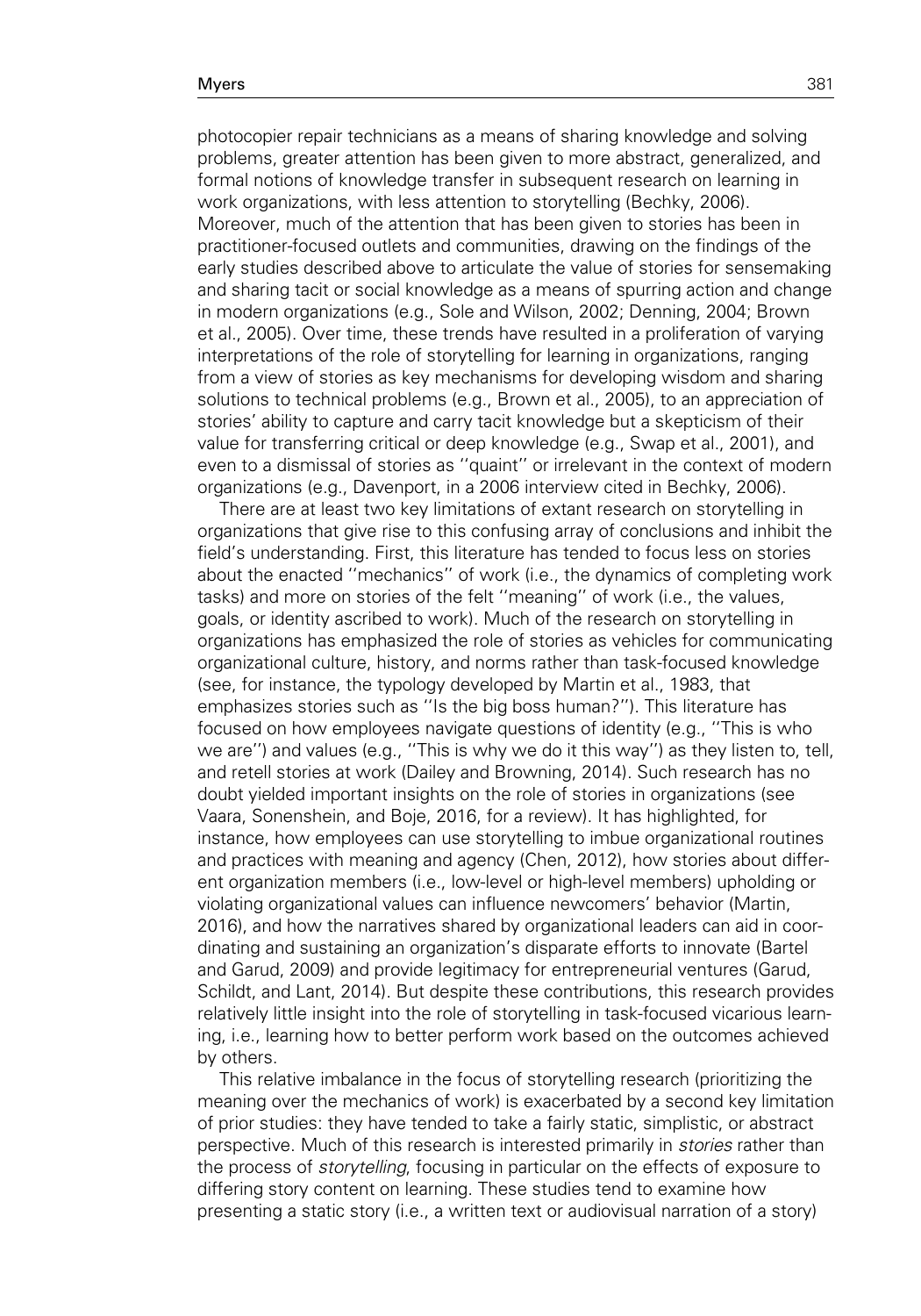#### Myers 381 and the state of the state of the state of the state of the state of the state of the state of the s

photocopier repair technicians as a means of sharing knowledge and solving problems, greater attention has been given to more abstract, generalized, and formal notions of knowledge transfer in subsequent research on learning in work organizations, with less attention to storytelling (Bechky, 2006). Moreover, much of the attention that has been given to stories has been in practitioner-focused outlets and communities, drawing on the findings of the early studies described above to articulate the value of stories for sensemaking and sharing tacit or social knowledge as a means of spurring action and change in modern organizations (e.g., Sole and Wilson, 2002; Denning, 2004; Brown et al., 2005). Over time, these trends have resulted in a proliferation of varying interpretations of the role of storytelling for learning in organizations, ranging from a view of stories as key mechanisms for developing wisdom and sharing solutions to technical problems (e.g., Brown et al., 2005), to an appreciation of stories' ability to capture and carry tacit knowledge but a skepticism of their value for transferring critical or deep knowledge (e.g., Swap et al., 2001), and even to a dismissal of stories as ''quaint'' or irrelevant in the context of modern organizations (e.g., Davenport, in a 2006 interview cited in Bechky, 2006).

There are at least two key limitations of extant research on storytelling in organizations that give rise to this confusing array of conclusions and inhibit the field's understanding. First, this literature has tended to focus less on stories about the enacted ''mechanics'' of work (i.e., the dynamics of completing work tasks) and more on stories of the felt ''meaning'' of work (i.e., the values, goals, or identity ascribed to work). Much of the research on storytelling in organizations has emphasized the role of stories as vehicles for communicating organizational culture, history, and norms rather than task-focused knowledge (see, for instance, the typology developed by Martin et al., 1983, that emphasizes stories such as ''Is the big boss human?''). This literature has focused on how employees navigate questions of identity (e.g., ''This is who we are'') and values (e.g., ''This is why we do it this way'') as they listen to, tell, and retell stories at work (Dailey and Browning, 2014). Such research has no doubt yielded important insights on the role of stories in organizations (see Vaara, Sonenshein, and Boje, 2016, for a review). It has highlighted, for instance, how employees can use storytelling to imbue organizational routines and practices with meaning and agency (Chen, 2012), how stories about different organization members (i.e., low-level or high-level members) upholding or violating organizational values can influence newcomers' behavior (Martin, 2016), and how the narratives shared by organizational leaders can aid in coordinating and sustaining an organization's disparate efforts to innovate (Bartel and Garud, 2009) and provide legitimacy for entrepreneurial ventures (Garud, Schildt, and Lant, 2014). But despite these contributions, this research provides relatively little insight into the role of storytelling in task-focused vicarious learning, i.e., learning how to better perform work based on the outcomes achieved by others.

This relative imbalance in the focus of storytelling research (prioritizing the meaning over the mechanics of work) is exacerbated by a second key limitation of prior studies: they have tended to take a fairly static, simplistic, or abstract perspective. Much of this research is interested primarily in stories rather than the process of storytelling, focusing in particular on the effects of exposure to differing story content on learning. These studies tend to examine how presenting a static story (i.e., a written text or audiovisual narration of a story)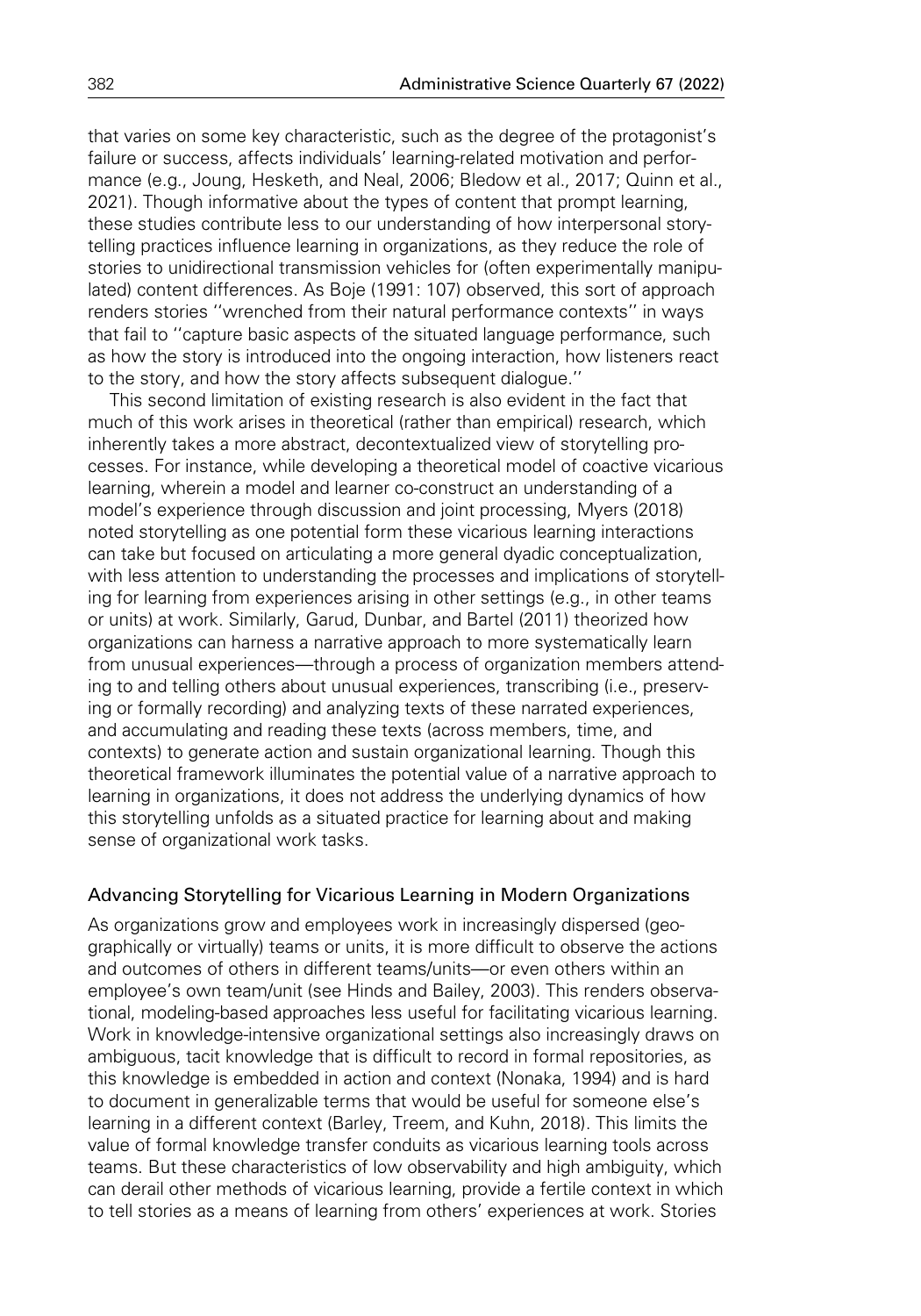that varies on some key characteristic, such as the degree of the protagonist's failure or success, affects individuals' learning-related motivation and performance (e.g., Joung, Hesketh, and Neal, 2006; Bledow et al., 2017; Quinn et al., 2021). Though informative about the types of content that prompt learning, these studies contribute less to our understanding of how interpersonal storytelling practices influence learning in organizations, as they reduce the role of stories to unidirectional transmission vehicles for (often experimentally manipulated) content differences. As Boje (1991: 107) observed, this sort of approach renders stories ''wrenched from their natural performance contexts'' in ways that fail to ''capture basic aspects of the situated language performance, such as how the story is introduced into the ongoing interaction, how listeners react to the story, and how the story affects subsequent dialogue.''

This second limitation of existing research is also evident in the fact that much of this work arises in theoretical (rather than empirical) research, which inherently takes a more abstract, decontextualized view of storytelling processes. For instance, while developing a theoretical model of coactive vicarious learning, wherein a model and learner co-construct an understanding of a model's experience through discussion and joint processing, Myers (2018) noted storytelling as one potential form these vicarious learning interactions can take but focused on articulating a more general dyadic conceptualization, with less attention to understanding the processes and implications of storytelling for learning from experiences arising in other settings (e.g., in other teams or units) at work. Similarly, Garud, Dunbar, and Bartel (2011) theorized how organizations can harness a narrative approach to more systematically learn from unusual experiences—through a process of organization members attending to and telling others about unusual experiences, transcribing (i.e., preserving or formally recording) and analyzing texts of these narrated experiences, and accumulating and reading these texts (across members, time, and contexts) to generate action and sustain organizational learning. Though this theoretical framework illuminates the potential value of a narrative approach to learning in organizations, it does not address the underlying dynamics of how this storytelling unfolds as a situated practice for learning about and making sense of organizational work tasks.

## Advancing Storytelling for Vicarious Learning in Modern Organizations

As organizations grow and employees work in increasingly dispersed (geographically or virtually) teams or units, it is more difficult to observe the actions and outcomes of others in different teams/units—or even others within an employee's own team/unit (see Hinds and Bailey, 2003). This renders observational, modeling-based approaches less useful for facilitating vicarious learning. Work in knowledge-intensive organizational settings also increasingly draws on ambiguous, tacit knowledge that is difficult to record in formal repositories, as this knowledge is embedded in action and context (Nonaka, 1994) and is hard to document in generalizable terms that would be useful for someone else's learning in a different context (Barley, Treem, and Kuhn, 2018). This limits the value of formal knowledge transfer conduits as vicarious learning tools across teams. But these characteristics of low observability and high ambiguity, which can derail other methods of vicarious learning, provide a fertile context in which to tell stories as a means of learning from others' experiences at work. Stories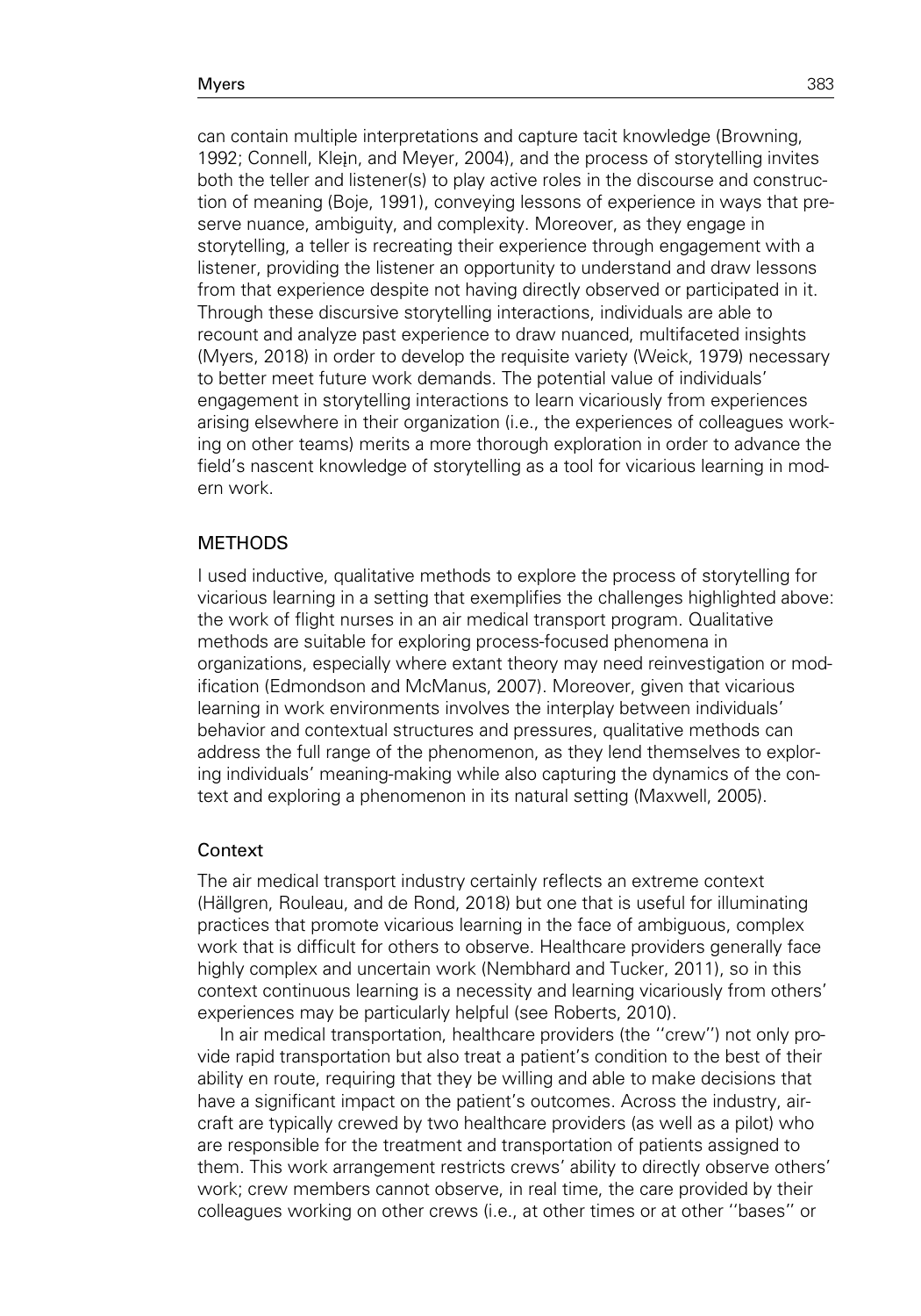can contain multiple interpretations and capture tacit knowledge (Browning, 1992; Connell, Klein, and Meyer, 2004), and the process of storytelling invites both the teller and listener(s) to play active roles in the discourse and construction of meaning (Boje, 1991), conveying lessons of experience in ways that preserve nuance, ambiguity, and complexity. Moreover, as they engage in storytelling, a teller is recreating their experience through engagement with a listener, providing the listener an opportunity to understand and draw lessons from that experience despite not having directly observed or participated in it. Through these discursive storytelling interactions, individuals are able to recount and analyze past experience to draw nuanced, multifaceted insights (Myers, 2018) in order to develop the requisite variety (Weick, 1979) necessary to better meet future work demands. The potential value of individuals' engagement in storytelling interactions to learn vicariously from experiences arising elsewhere in their organization (i.e., the experiences of colleagues working on other teams) merits a more thorough exploration in order to advance the field's nascent knowledge of storytelling as a tool for vicarious learning in modern work.

## METHODS

I used inductive, qualitative methods to explore the process of storytelling for vicarious learning in a setting that exemplifies the challenges highlighted above: the work of flight nurses in an air medical transport program. Qualitative methods are suitable for exploring process-focused phenomena in organizations, especially where extant theory may need reinvestigation or modification (Edmondson and McManus, 2007). Moreover, given that vicarious learning in work environments involves the interplay between individuals' behavior and contextual structures and pressures, qualitative methods can address the full range of the phenomenon, as they lend themselves to exploring individuals' meaning-making while also capturing the dynamics of the context and exploring a phenomenon in its natural setting (Maxwell, 2005).

## **Context**

The air medical transport industry certainly reflects an extreme context (Hällgren, Rouleau, and de Rond, 2018) but one that is useful for illuminating practices that promote vicarious learning in the face of ambiguous, complex work that is difficult for others to observe. Healthcare providers generally face highly complex and uncertain work (Nembhard and Tucker, 2011), so in this context continuous learning is a necessity and learning vicariously from others' experiences may be particularly helpful (see Roberts, 2010).

In air medical transportation, healthcare providers (the ''crew'') not only provide rapid transportation but also treat a patient's condition to the best of their ability en route, requiring that they be willing and able to make decisions that have a significant impact on the patient's outcomes. Across the industry, aircraft are typically crewed by two healthcare providers (as well as a pilot) who are responsible for the treatment and transportation of patients assigned to them. This work arrangement restricts crews' ability to directly observe others' work; crew members cannot observe, in real time, the care provided by their colleagues working on other crews (i.e., at other times or at other ''bases'' or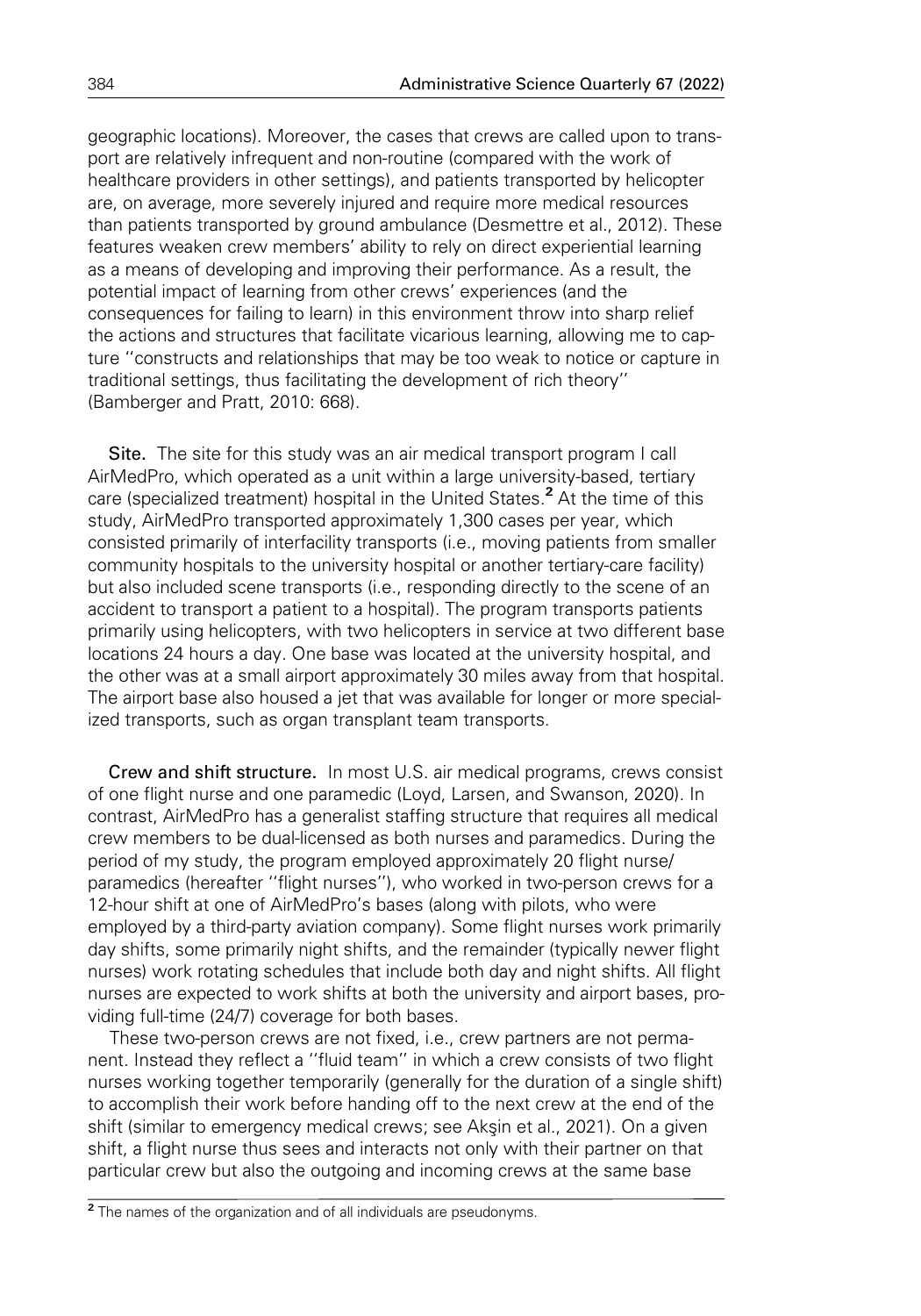geographic locations). Moreover, the cases that crews are called upon to transport are relatively infrequent and non-routine (compared with the work of healthcare providers in other settings), and patients transported by helicopter are, on average, more severely injured and require more medical resources than patients transported by ground ambulance (Desmettre et al., 2012). These features weaken crew members' ability to rely on direct experiential learning as a means of developing and improving their performance. As a result, the potential impact of learning from other crews' experiences (and the consequences for failing to learn) in this environment throw into sharp relief the actions and structures that facilitate vicarious learning, allowing me to capture ''constructs and relationships that may be too weak to notice or capture in traditional settings, thus facilitating the development of rich theory'' (Bamberger and Pratt, 2010: 668).

Site. The site for this study was an air medical transport program I call AirMedPro, which operated as a unit within a large university-based, tertiary care (specialized treatment) hospital in the United States.<sup>2</sup> At the time of this study, AirMedPro transported approximately 1,300 cases per year, which consisted primarily of interfacility transports (i.e., moving patients from smaller community hospitals to the university hospital or another tertiary-care facility) but also included scene transports (i.e., responding directly to the scene of an accident to transport a patient to a hospital). The program transports patients primarily using helicopters, with two helicopters in service at two different base locations 24 hours a day. One base was located at the university hospital, and the other was at a small airport approximately 30 miles away from that hospital. The airport base also housed a jet that was available for longer or more specialized transports, such as organ transplant team transports.

Crew and shift structure. In most U.S. air medical programs, crews consist of one flight nurse and one paramedic (Loyd, Larsen, and Swanson, 2020). In contrast, AirMedPro has a generalist staffing structure that requires all medical crew members to be dual-licensed as both nurses and paramedics. During the period of my study, the program employed approximately 20 flight nurse/ paramedics (hereafter ''flight nurses''), who worked in two-person crews for a 12-hour shift at one of AirMedPro's bases (along with pilots, who were employed by a third-party aviation company). Some flight nurses work primarily day shifts, some primarily night shifts, and the remainder (typically newer flight nurses) work rotating schedules that include both day and night shifts. All flight nurses are expected to work shifts at both the university and airport bases, providing full-time (24/7) coverage for both bases.

These two-person crews are not fixed, i.e., crew partners are not permanent. Instead they reflect a ''fluid team'' in which a crew consists of two flight nurses working together temporarily (generally for the duration of a single shift) to accomplish their work before handing off to the next crew at the end of the shift (similar to emergency medical crews; see Aksin et al., 2021). On a given shift, a flight nurse thus sees and interacts not only with their partner on that particular crew but also the outgoing and incoming crews at the same base

<sup>&</sup>lt;sup>2</sup> The names of the organization and of all individuals are pseudonyms.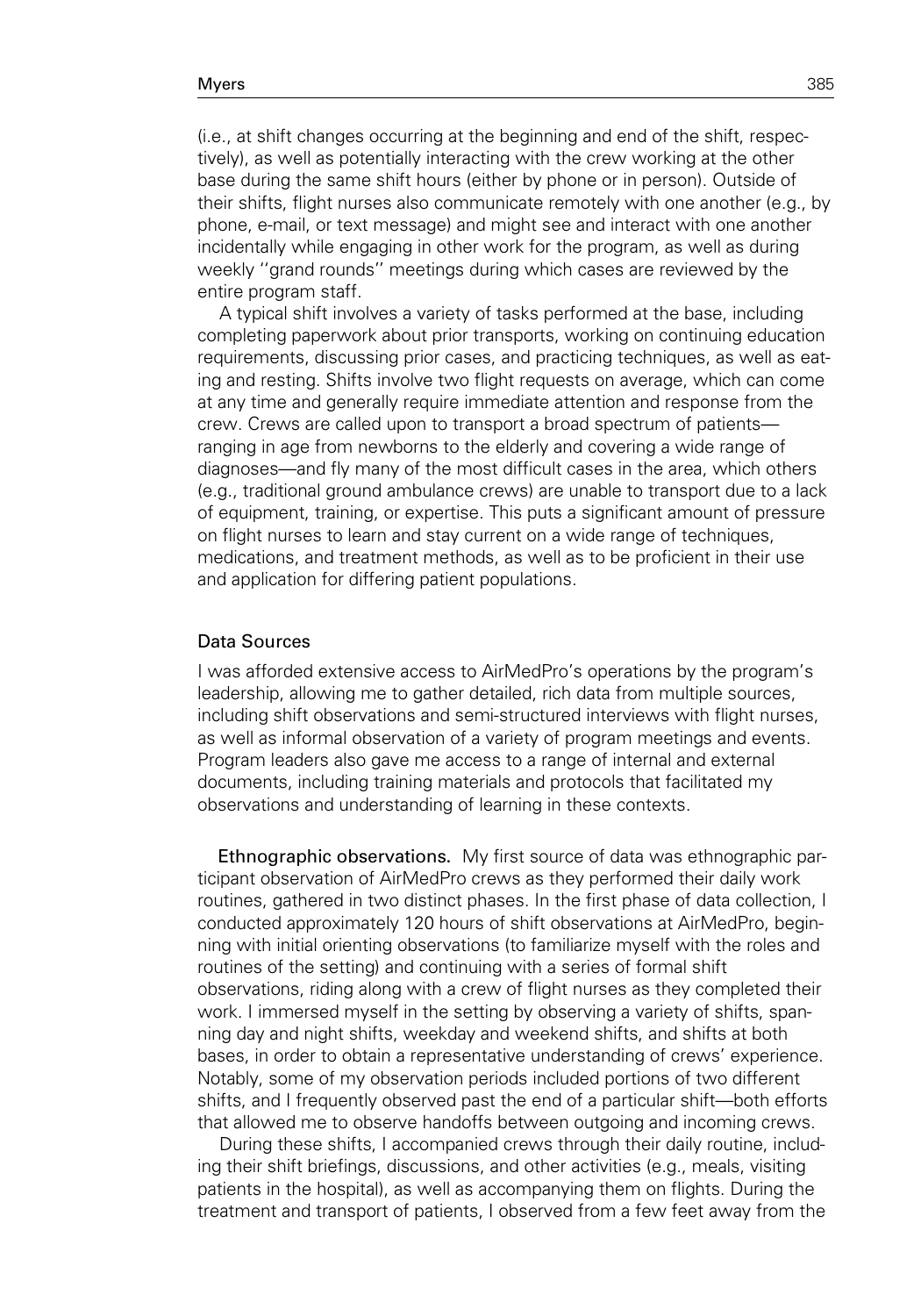(i.e., at shift changes occurring at the beginning and end of the shift, respectively), as well as potentially interacting with the crew working at the other base during the same shift hours (either by phone or in person). Outside of their shifts, flight nurses also communicate remotely with one another (e.g., by phone, e-mail, or text message) and might see and interact with one another incidentally while engaging in other work for the program, as well as during weekly ''grand rounds'' meetings during which cases are reviewed by the entire program staff.

A typical shift involves a variety of tasks performed at the base, including completing paperwork about prior transports, working on continuing education requirements, discussing prior cases, and practicing techniques, as well as eating and resting. Shifts involve two flight requests on average, which can come at any time and generally require immediate attention and response from the crew. Crews are called upon to transport a broad spectrum of patients ranging in age from newborns to the elderly and covering a wide range of diagnoses—and fly many of the most difficult cases in the area, which others (e.g., traditional ground ambulance crews) are unable to transport due to a lack of equipment, training, or expertise. This puts a significant amount of pressure on flight nurses to learn and stay current on a wide range of techniques, medications, and treatment methods, as well as to be proficient in their use and application for differing patient populations.

# Data Sources

I was afforded extensive access to AirMedPro's operations by the program's leadership, allowing me to gather detailed, rich data from multiple sources, including shift observations and semi-structured interviews with flight nurses, as well as informal observation of a variety of program meetings and events. Program leaders also gave me access to a range of internal and external documents, including training materials and protocols that facilitated my observations and understanding of learning in these contexts.

Ethnographic observations. My first source of data was ethnographic participant observation of AirMedPro crews as they performed their daily work routines, gathered in two distinct phases. In the first phase of data collection, I conducted approximately 120 hours of shift observations at AirMedPro, beginning with initial orienting observations (to familiarize myself with the roles and routines of the setting) and continuing with a series of formal shift observations, riding along with a crew of flight nurses as they completed their work. I immersed myself in the setting by observing a variety of shifts, spanning day and night shifts, weekday and weekend shifts, and shifts at both bases, in order to obtain a representative understanding of crews' experience. Notably, some of my observation periods included portions of two different shifts, and I frequently observed past the end of a particular shift—both efforts that allowed me to observe handoffs between outgoing and incoming crews.

During these shifts, I accompanied crews through their daily routine, including their shift briefings, discussions, and other activities (e.g., meals, visiting patients in the hospital), as well as accompanying them on flights. During the treatment and transport of patients, I observed from a few feet away from the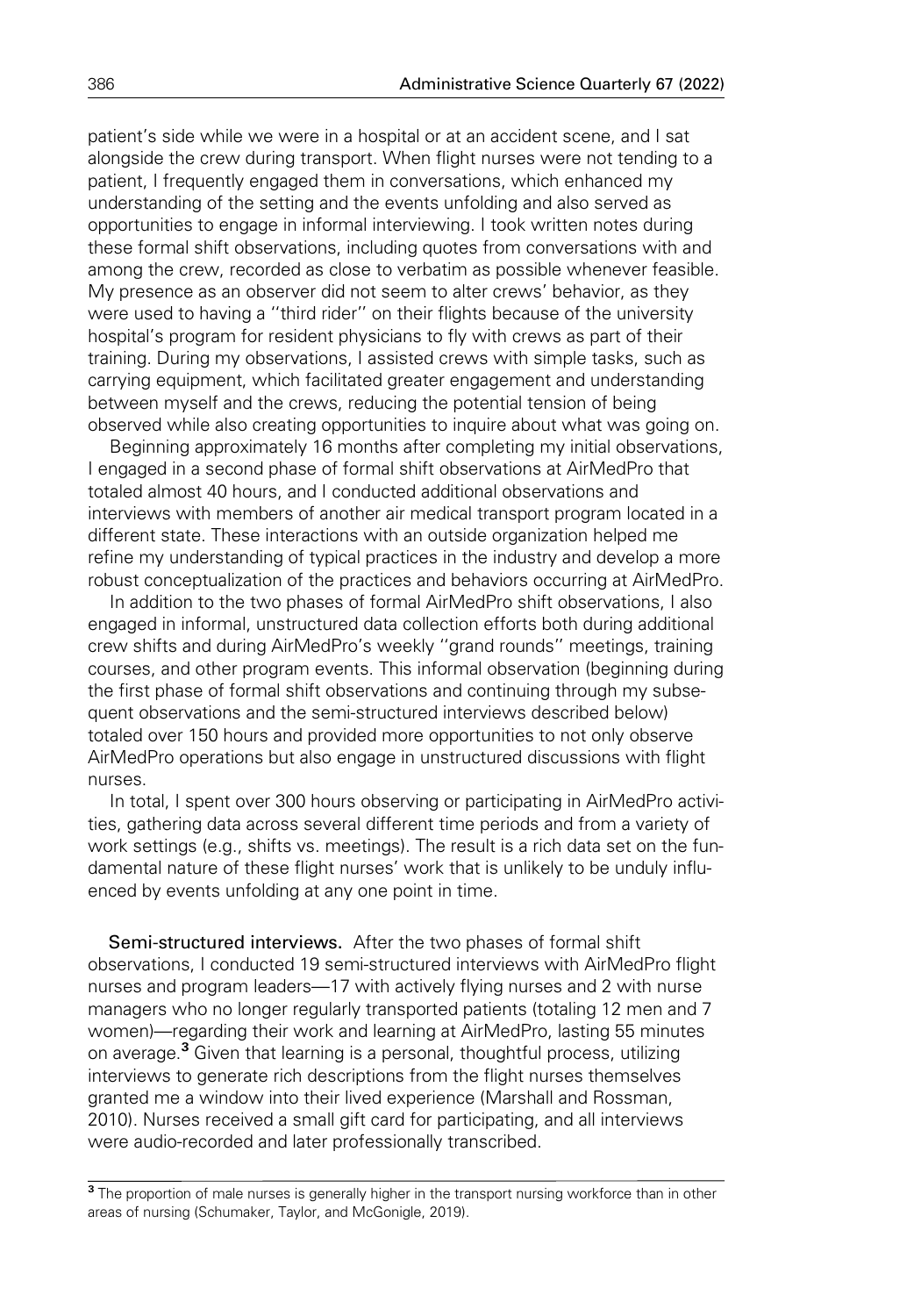patient's side while we were in a hospital or at an accident scene, and I sat alongside the crew during transport. When flight nurses were not tending to a patient, I frequently engaged them in conversations, which enhanced my understanding of the setting and the events unfolding and also served as opportunities to engage in informal interviewing. I took written notes during these formal shift observations, including quotes from conversations with and among the crew, recorded as close to verbatim as possible whenever feasible. My presence as an observer did not seem to alter crews' behavior, as they were used to having a ''third rider'' on their flights because of the university hospital's program for resident physicians to fly with crews as part of their training. During my observations, I assisted crews with simple tasks, such as carrying equipment, which facilitated greater engagement and understanding between myself and the crews, reducing the potential tension of being observed while also creating opportunities to inquire about what was going on.

Beginning approximately 16 months after completing my initial observations, I engaged in a second phase of formal shift observations at AirMedPro that totaled almost 40 hours, and I conducted additional observations and interviews with members of another air medical transport program located in a different state. These interactions with an outside organization helped me refine my understanding of typical practices in the industry and develop a more robust conceptualization of the practices and behaviors occurring at AirMedPro.

In addition to the two phases of formal AirMedPro shift observations, I also engaged in informal, unstructured data collection efforts both during additional crew shifts and during AirMedPro's weekly ''grand rounds'' meetings, training courses, and other program events. This informal observation (beginning during the first phase of formal shift observations and continuing through my subsequent observations and the semi-structured interviews described below) totaled over 150 hours and provided more opportunities to not only observe AirMedPro operations but also engage in unstructured discussions with flight nurses.

In total, I spent over 300 hours observing or participating in AirMedPro activities, gathering data across several different time periods and from a variety of work settings (e.g., shifts vs. meetings). The result is a rich data set on the fundamental nature of these flight nurses' work that is unlikely to be unduly influenced by events unfolding at any one point in time.

Semi-structured interviews. After the two phases of formal shift observations, I conducted 19 semi-structured interviews with AirMedPro flight nurses and program leaders—17 with actively flying nurses and 2 with nurse managers who no longer regularly transported patients (totaling 12 men and 7 women)—regarding their work and learning at AirMedPro, lasting 55 minutes on average.<sup>3</sup> Given that learning is a personal, thoughtful process, utilizing interviews to generate rich descriptions from the flight nurses themselves granted me a window into their lived experience (Marshall and Rossman, 2010). Nurses received a small gift card for participating, and all interviews were audio-recorded and later professionally transcribed.

<sup>&</sup>lt;sup>3</sup> The proportion of male nurses is generally higher in the transport nursing workforce than in other areas of nursing (Schumaker, Taylor, and McGonigle, 2019).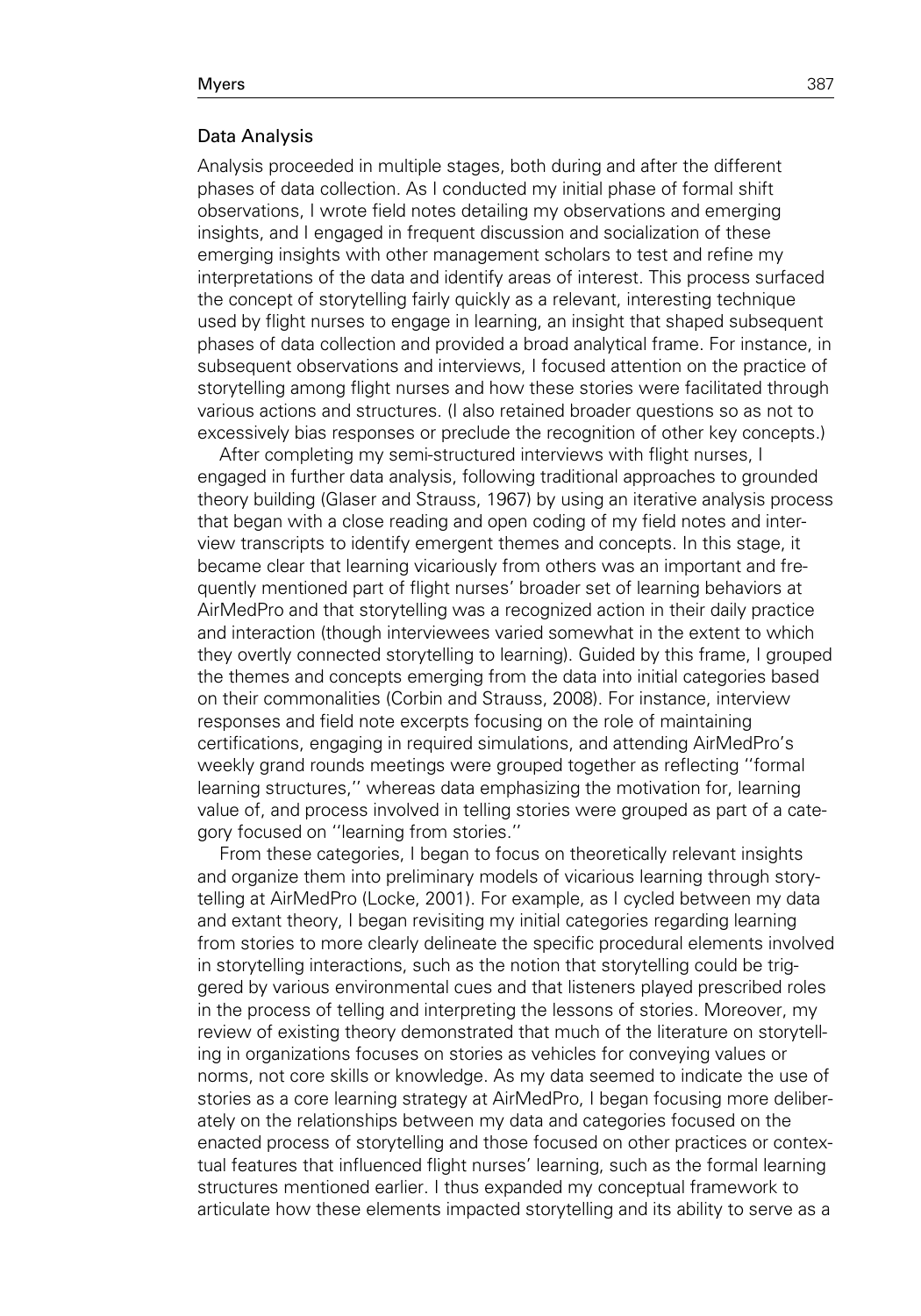### Data Analysis

Analysis proceeded in multiple stages, both during and after the different phases of data collection. As I conducted my initial phase of formal shift observations, I wrote field notes detailing my observations and emerging insights, and I engaged in frequent discussion and socialization of these emerging insights with other management scholars to test and refine my interpretations of the data and identify areas of interest. This process surfaced the concept of storytelling fairly quickly as a relevant, interesting technique used by flight nurses to engage in learning, an insight that shaped subsequent phases of data collection and provided a broad analytical frame. For instance, in subsequent observations and interviews, I focused attention on the practice of storytelling among flight nurses and how these stories were facilitated through various actions and structures. (I also retained broader questions so as not to excessively bias responses or preclude the recognition of other key concepts.)

After completing my semi-structured interviews with flight nurses, I engaged in further data analysis, following traditional approaches to grounded theory building (Glaser and Strauss, 1967) by using an iterative analysis process that began with a close reading and open coding of my field notes and interview transcripts to identify emergent themes and concepts. In this stage, it became clear that learning vicariously from others was an important and frequently mentioned part of flight nurses' broader set of learning behaviors at AirMedPro and that storytelling was a recognized action in their daily practice and interaction (though interviewees varied somewhat in the extent to which they overtly connected storytelling to learning). Guided by this frame, I grouped the themes and concepts emerging from the data into initial categories based on their commonalities (Corbin and Strauss, 2008). For instance, interview responses and field note excerpts focusing on the role of maintaining certifications, engaging in required simulations, and attending AirMedPro's weekly grand rounds meetings were grouped together as reflecting ''formal learning structures,'' whereas data emphasizing the motivation for, learning value of, and process involved in telling stories were grouped as part of a category focused on ''learning from stories.''

From these categories, I began to focus on theoretically relevant insights and organize them into preliminary models of vicarious learning through storytelling at AirMedPro (Locke, 2001). For example, as I cycled between my data and extant theory, I began revisiting my initial categories regarding learning from stories to more clearly delineate the specific procedural elements involved in storytelling interactions, such as the notion that storytelling could be triggered by various environmental cues and that listeners played prescribed roles in the process of telling and interpreting the lessons of stories. Moreover, my review of existing theory demonstrated that much of the literature on storytelling in organizations focuses on stories as vehicles for conveying values or norms, not core skills or knowledge. As my data seemed to indicate the use of stories as a core learning strategy at AirMedPro, I began focusing more deliberately on the relationships between my data and categories focused on the enacted process of storytelling and those focused on other practices or contextual features that influenced flight nurses' learning, such as the formal learning structures mentioned earlier. I thus expanded my conceptual framework to articulate how these elements impacted storytelling and its ability to serve as a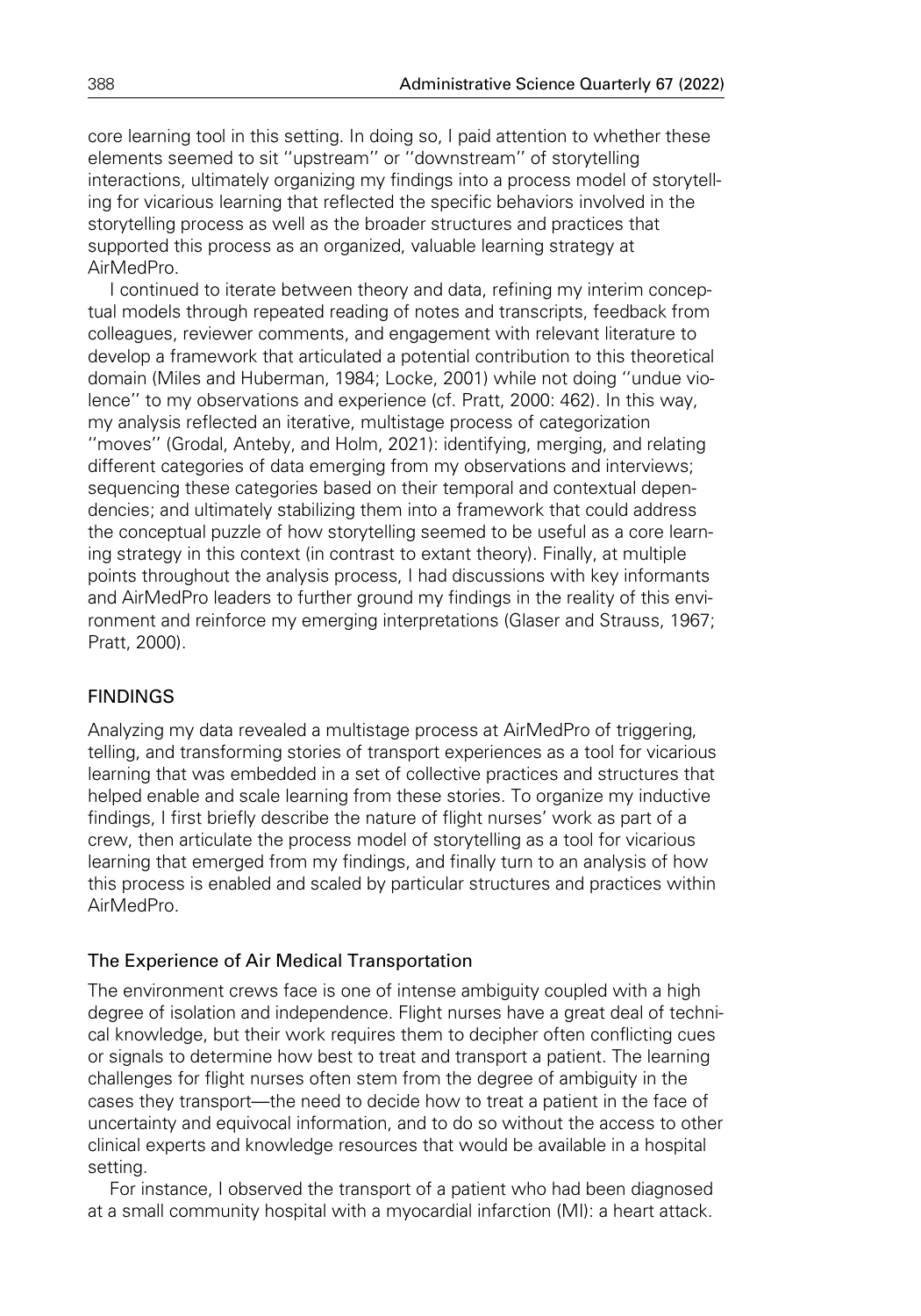core learning tool in this setting. In doing so, I paid attention to whether these elements seemed to sit ''upstream'' or ''downstream'' of storytelling interactions, ultimately organizing my findings into a process model of storytelling for vicarious learning that reflected the specific behaviors involved in the storytelling process as well as the broader structures and practices that supported this process as an organized, valuable learning strategy at AirMedPro.

I continued to iterate between theory and data, refining my interim conceptual models through repeated reading of notes and transcripts, feedback from colleagues, reviewer comments, and engagement with relevant literature to develop a framework that articulated a potential contribution to this theoretical domain (Miles and Huberman, 1984; Locke, 2001) while not doing ''undue violence'' to my observations and experience (cf. Pratt, 2000: 462). In this way, my analysis reflected an iterative, multistage process of categorization ''moves'' (Grodal, Anteby, and Holm, 2021): identifying, merging, and relating different categories of data emerging from my observations and interviews; sequencing these categories based on their temporal and contextual dependencies; and ultimately stabilizing them into a framework that could address the conceptual puzzle of how storytelling seemed to be useful as a core learning strategy in this context (in contrast to extant theory). Finally, at multiple points throughout the analysis process, I had discussions with key informants and AirMedPro leaders to further ground my findings in the reality of this environment and reinforce my emerging interpretations (Glaser and Strauss, 1967; Pratt, 2000).

# FINDINGS

Analyzing my data revealed a multistage process at AirMedPro of triggering, telling, and transforming stories of transport experiences as a tool for vicarious learning that was embedded in a set of collective practices and structures that helped enable and scale learning from these stories. To organize my inductive findings, I first briefly describe the nature of flight nurses' work as part of a crew, then articulate the process model of storytelling as a tool for vicarious learning that emerged from my findings, and finally turn to an analysis of how this process is enabled and scaled by particular structures and practices within AirMedPro.

# The Experience of Air Medical Transportation

The environment crews face is one of intense ambiguity coupled with a high degree of isolation and independence. Flight nurses have a great deal of technical knowledge, but their work requires them to decipher often conflicting cues or signals to determine how best to treat and transport a patient. The learning challenges for flight nurses often stem from the degree of ambiguity in the cases they transport—the need to decide how to treat a patient in the face of uncertainty and equivocal information, and to do so without the access to other clinical experts and knowledge resources that would be available in a hospital setting.

For instance, I observed the transport of a patient who had been diagnosed at a small community hospital with a myocardial infarction (MI): a heart attack.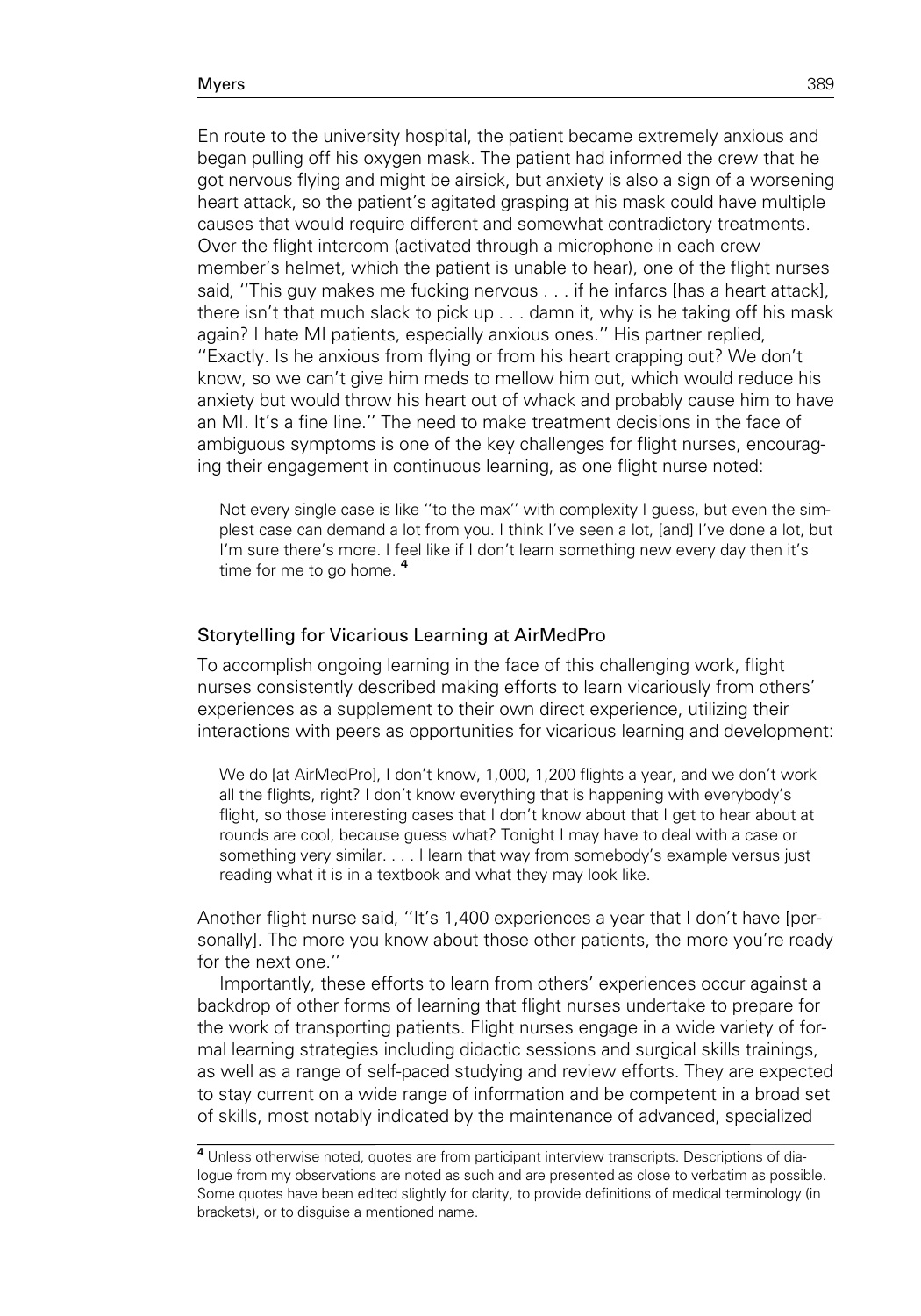En route to the university hospital, the patient became extremely anxious and began pulling off his oxygen mask. The patient had informed the crew that he got nervous flying and might be airsick, but anxiety is also a sign of a worsening heart attack, so the patient's agitated grasping at his mask could have multiple causes that would require different and somewhat contradictory treatments. Over the flight intercom (activated through a microphone in each crew member's helmet, which the patient is unable to hear), one of the flight nurses said, ''This guy makes me fucking nervous . . . if he infarcs [has a heart attack], there isn't that much slack to pick up . . . damn it, why is he taking off his mask again? I hate MI patients, especially anxious ones.'' His partner replied, ''Exactly. Is he anxious from flying or from his heart crapping out? We don't know, so we can't give him meds to mellow him out, which would reduce his anxiety but would throw his heart out of whack and probably cause him to have an MI. It's a fine line.'' The need to make treatment decisions in the face of ambiguous symptoms is one of the key challenges for flight nurses, encouraging their engagement in continuous learning, as one flight nurse noted:

Not every single case is like ''to the max'' with complexity I guess, but even the simplest case can demand a lot from you. I think I've seen a lot, [and] I've done a lot, but I'm sure there's more. I feel like if I don't learn something new every day then it's time for me to go home.<sup>4</sup>

## Storytelling for Vicarious Learning at AirMedPro

To accomplish ongoing learning in the face of this challenging work, flight nurses consistently described making efforts to learn vicariously from others' experiences as a supplement to their own direct experience, utilizing their interactions with peers as opportunities for vicarious learning and development:

We do [at AirMedPro], I don't know, 1,000, 1,200 flights a year, and we don't work all the flights, right? I don't know everything that is happening with everybody's flight, so those interesting cases that I don't know about that I get to hear about at rounds are cool, because guess what? Tonight I may have to deal with a case or something very similar. . . . I learn that way from somebody's example versus just reading what it is in a textbook and what they may look like.

Another flight nurse said, ''It's 1,400 experiences a year that I don't have [personally]. The more you know about those other patients, the more you're ready for the next one.''

Importantly, these efforts to learn from others' experiences occur against a backdrop of other forms of learning that flight nurses undertake to prepare for the work of transporting patients. Flight nurses engage in a wide variety of formal learning strategies including didactic sessions and surgical skills trainings, as well as a range of self-paced studying and review efforts. They are expected to stay current on a wide range of information and be competent in a broad set of skills, most notably indicated by the maintenance of advanced, specialized

<sup>&</sup>lt;sup>4</sup> Unless otherwise noted, quotes are from participant interview transcripts. Descriptions of dialogue from my observations are noted as such and are presented as close to verbatim as possible. Some quotes have been edited slightly for clarity, to provide definitions of medical terminology (in brackets), or to disguise a mentioned name.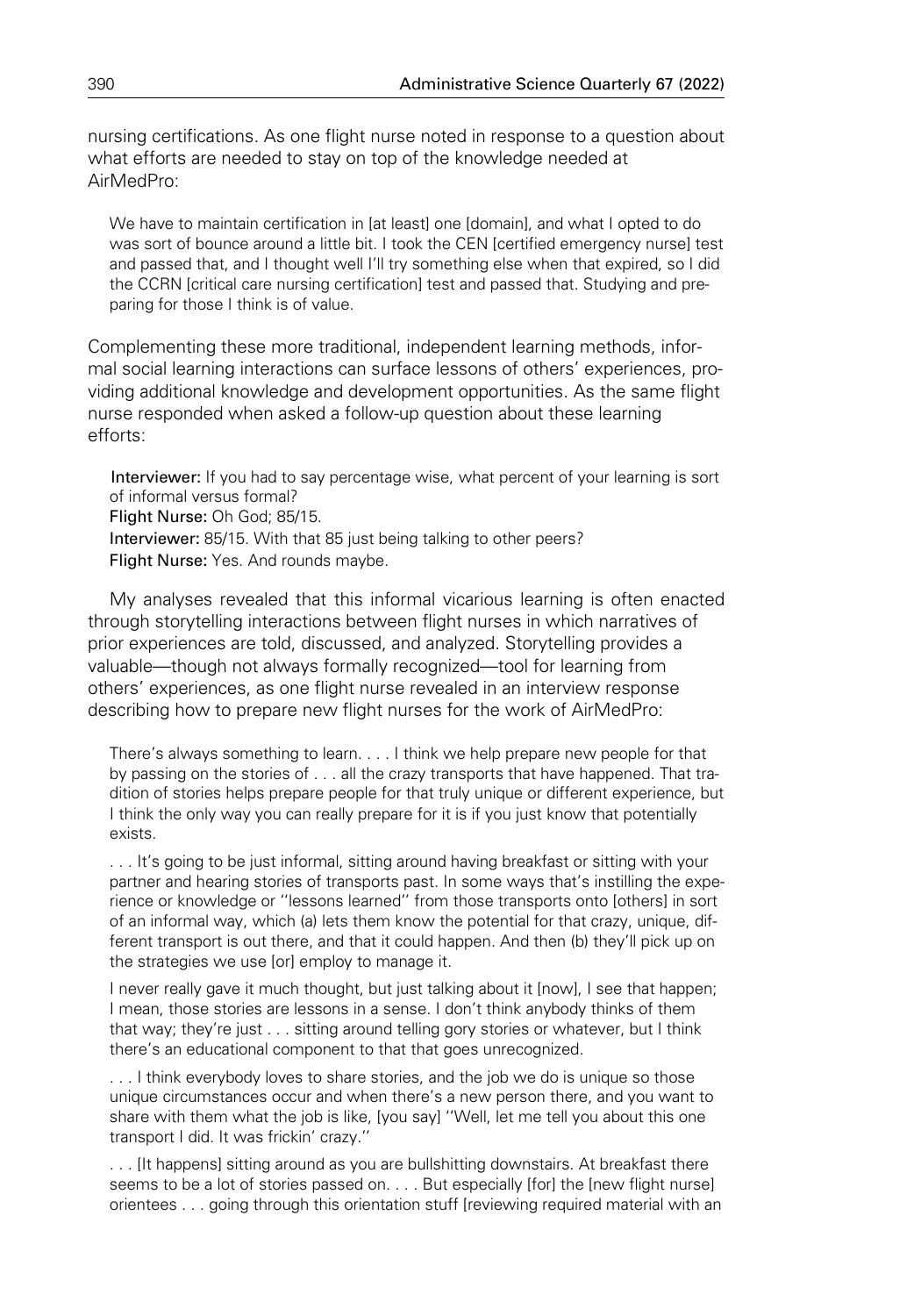nursing certifications. As one flight nurse noted in response to a question about what efforts are needed to stay on top of the knowledge needed at AirMedPro:

We have to maintain certification in [at least] one [domain], and what I opted to do was sort of bounce around a little bit. I took the CEN [certified emergency nurse] test and passed that, and I thought well I'll try something else when that expired, so I did the CCRN [critical care nursing certification] test and passed that. Studying and preparing for those I think is of value.

Complementing these more traditional, independent learning methods, informal social learning interactions can surface lessons of others' experiences, providing additional knowledge and development opportunities. As the same flight nurse responded when asked a follow-up question about these learning efforts:

Interviewer: If you had to say percentage wise, what percent of your learning is sort of informal versus formal? Flight Nurse: Oh God; 85/15. Interviewer: 85/15. With that 85 just being talking to other peers? Flight Nurse: Yes. And rounds maybe.

My analyses revealed that this informal vicarious learning is often enacted through storytelling interactions between flight nurses in which narratives of prior experiences are told, discussed, and analyzed. Storytelling provides a valuable—though not always formally recognized—tool for learning from others' experiences, as one flight nurse revealed in an interview response describing how to prepare new flight nurses for the work of AirMedPro:

There's always something to learn. . . . I think we help prepare new people for that by passing on the stories of . . . all the crazy transports that have happened. That tradition of stories helps prepare people for that truly unique or different experience, but I think the only way you can really prepare for it is if you just know that potentially exists.

. . . It's going to be just informal, sitting around having breakfast or sitting with your partner and hearing stories of transports past. In some ways that's instilling the experience or knowledge or ''lessons learned'' from those transports onto [others] in sort of an informal way, which (a) lets them know the potential for that crazy, unique, different transport is out there, and that it could happen. And then (b) they'll pick up on the strategies we use [or] employ to manage it.

I never really gave it much thought, but just talking about it [now], I see that happen; I mean, those stories are lessons in a sense. I don't think anybody thinks of them that way; they're just . . . sitting around telling gory stories or whatever, but I think there's an educational component to that that goes unrecognized.

... I think everybody loves to share stories, and the job we do is unique so those unique circumstances occur and when there's a new person there, and you want to share with them what the job is like, [you say] ''Well, let me tell you about this one transport I did. It was frickin' crazy.''

. . . [It happens] sitting around as you are bullshitting downstairs. At breakfast there seems to be a lot of stories passed on. . . . But especially [for] the [new flight nurse] orientees . . . going through this orientation stuff [reviewing required material with an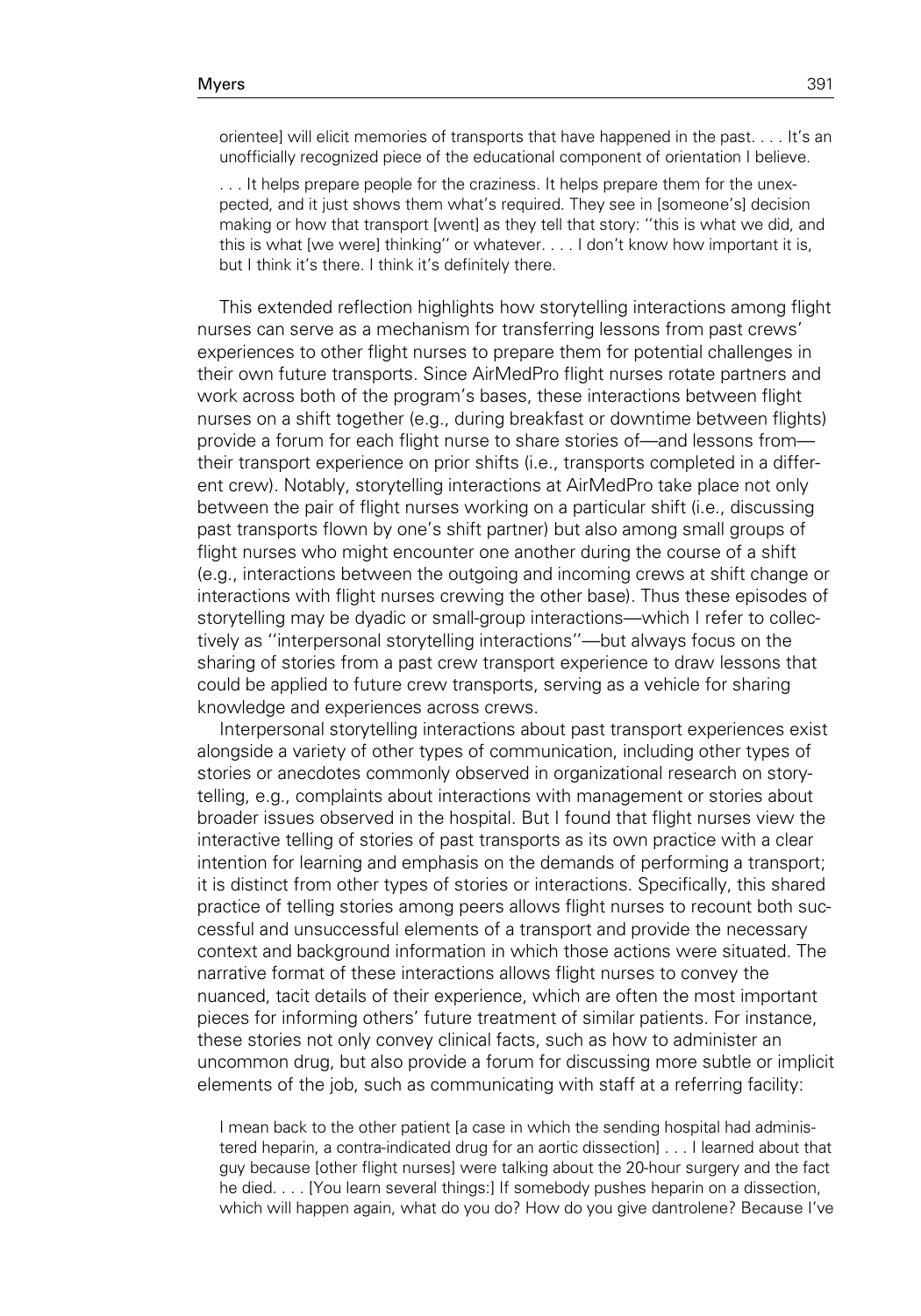orientee] will elicit memories of transports that have happened in the past. . . . It's an unofficially recognized piece of the educational component of orientation I believe.

... It helps prepare people for the craziness. It helps prepare them for the unexpected, and it just shows them what's required. They see in [someone's] decision making or how that transport [went] as they tell that story: ''this is what we did, and this is what [we were] thinking'' or whatever. . . . I don't know how important it is, but I think it's there. I think it's definitely there.

This extended reflection highlights how storytelling interactions among flight nurses can serve as a mechanism for transferring lessons from past crews' experiences to other flight nurses to prepare them for potential challenges in their own future transports. Since AirMedPro flight nurses rotate partners and work across both of the program's bases, these interactions between flight nurses on a shift together (e.g., during breakfast or downtime between flights) provide a forum for each flight nurse to share stories of—and lessons from their transport experience on prior shifts (i.e., transports completed in a different crew). Notably, storytelling interactions at AirMedPro take place not only between the pair of flight nurses working on a particular shift (i.e., discussing past transports flown by one's shift partner) but also among small groups of flight nurses who might encounter one another during the course of a shift (e.g., interactions between the outgoing and incoming crews at shift change or interactions with flight nurses crewing the other base). Thus these episodes of storytelling may be dyadic or small-group interactions—which I refer to collectively as ''interpersonal storytelling interactions''—but always focus on the sharing of stories from a past crew transport experience to draw lessons that could be applied to future crew transports, serving as a vehicle for sharing knowledge and experiences across crews.

Interpersonal storytelling interactions about past transport experiences exist alongside a variety of other types of communication, including other types of stories or anecdotes commonly observed in organizational research on storytelling, e.g., complaints about interactions with management or stories about broader issues observed in the hospital. But I found that flight nurses view the interactive telling of stories of past transports as its own practice with a clear intention for learning and emphasis on the demands of performing a transport; it is distinct from other types of stories or interactions. Specifically, this shared practice of telling stories among peers allows flight nurses to recount both successful and unsuccessful elements of a transport and provide the necessary context and background information in which those actions were situated. The narrative format of these interactions allows flight nurses to convey the nuanced, tacit details of their experience, which are often the most important pieces for informing others' future treatment of similar patients. For instance, these stories not only convey clinical facts, such as how to administer an uncommon drug, but also provide a forum for discussing more subtle or implicit elements of the job, such as communicating with staff at a referring facility:

I mean back to the other patient [a case in which the sending hospital had administered heparin, a contra-indicated drug for an aortic dissection] . . . I learned about that guy because [other flight nurses] were talking about the 20-hour surgery and the fact he died. . . . [You learn several things:] If somebody pushes heparin on a dissection, which will happen again, what do you do? How do you give dantrolene? Because I've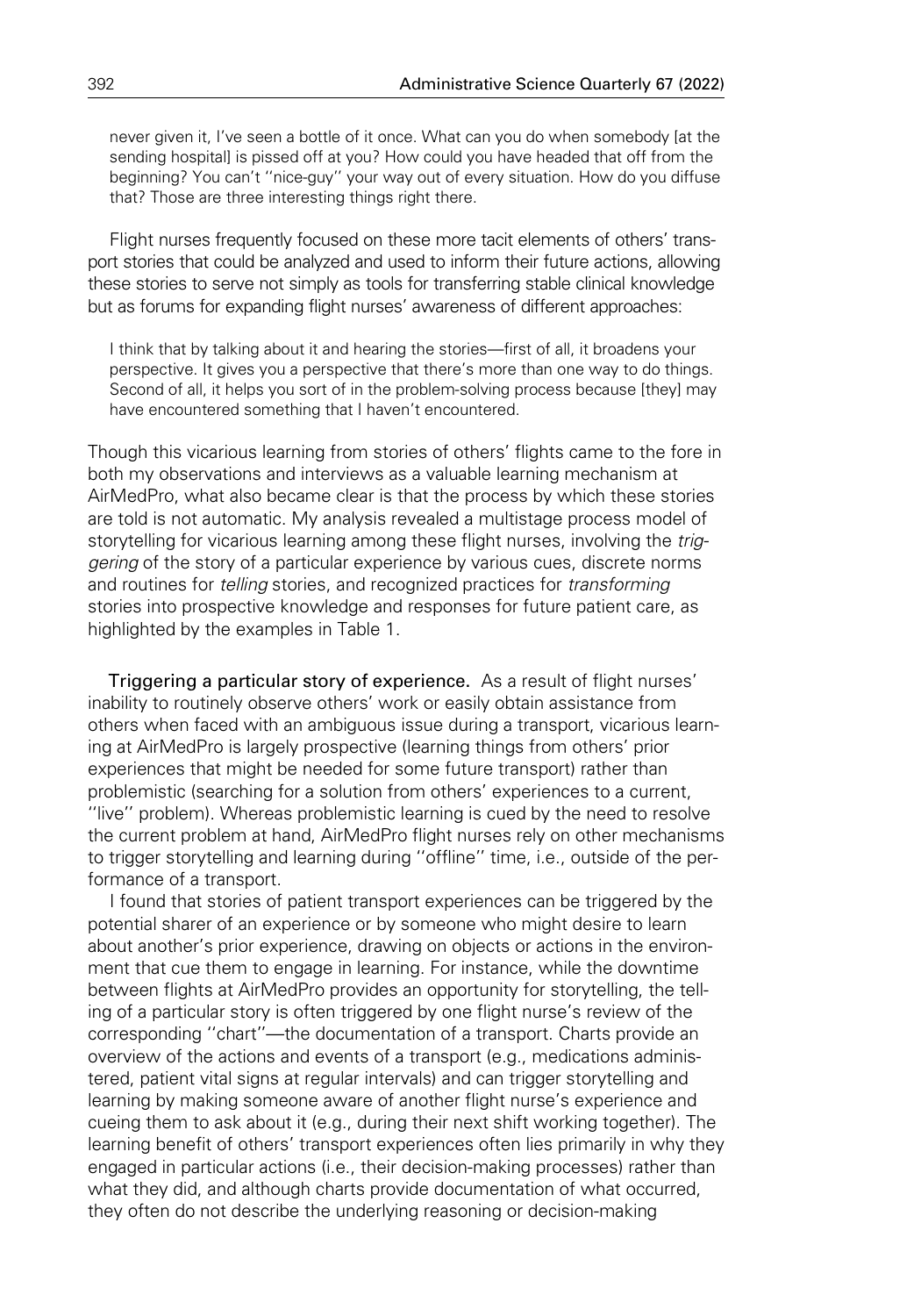never given it, I've seen a bottle of it once. What can you do when somebody [at the sending hospital] is pissed off at you? How could you have headed that off from the beginning? You can't ''nice-guy'' your way out of every situation. How do you diffuse that? Those are three interesting things right there.

Flight nurses frequently focused on these more tacit elements of others' transport stories that could be analyzed and used to inform their future actions, allowing these stories to serve not simply as tools for transferring stable clinical knowledge but as forums for expanding flight nurses' awareness of different approaches:

I think that by talking about it and hearing the stories—first of all, it broadens your perspective. It gives you a perspective that there's more than one way to do things. Second of all, it helps you sort of in the problem-solving process because [they] may have encountered something that I haven't encountered.

Though this vicarious learning from stories of others' flights came to the fore in both my observations and interviews as a valuable learning mechanism at AirMedPro, what also became clear is that the process by which these stories are told is not automatic. My analysis revealed a multistage process model of storytelling for vicarious learning among these flight nurses, involving the triggering of the story of a particular experience by various cues, discrete norms and routines for telling stories, and recognized practices for transforming stories into prospective knowledge and responses for future patient care, as highlighted by the examples in Table 1.

Triggering a particular story of experience. As a result of flight nurses' inability to routinely observe others' work or easily obtain assistance from others when faced with an ambiguous issue during a transport, vicarious learning at AirMedPro is largely prospective (learning things from others' prior experiences that might be needed for some future transport) rather than problemistic (searching for a solution from others' experiences to a current, ''live'' problem). Whereas problemistic learning is cued by the need to resolve the current problem at hand, AirMedPro flight nurses rely on other mechanisms to trigger storytelling and learning during ''offline'' time, i.e., outside of the performance of a transport.

I found that stories of patient transport experiences can be triggered by the potential sharer of an experience or by someone who might desire to learn about another's prior experience, drawing on objects or actions in the environment that cue them to engage in learning. For instance, while the downtime between flights at AirMedPro provides an opportunity for storytelling, the telling of a particular story is often triggered by one flight nurse's review of the corresponding ''chart''—the documentation of a transport. Charts provide an overview of the actions and events of a transport (e.g., medications administered, patient vital signs at regular intervals) and can trigger storytelling and learning by making someone aware of another flight nurse's experience and cueing them to ask about it (e.g., during their next shift working together). The learning benefit of others' transport experiences often lies primarily in why they engaged in particular actions (i.e., their decision-making processes) rather than what they did, and although charts provide documentation of what occurred, they often do not describe the underlying reasoning or decision-making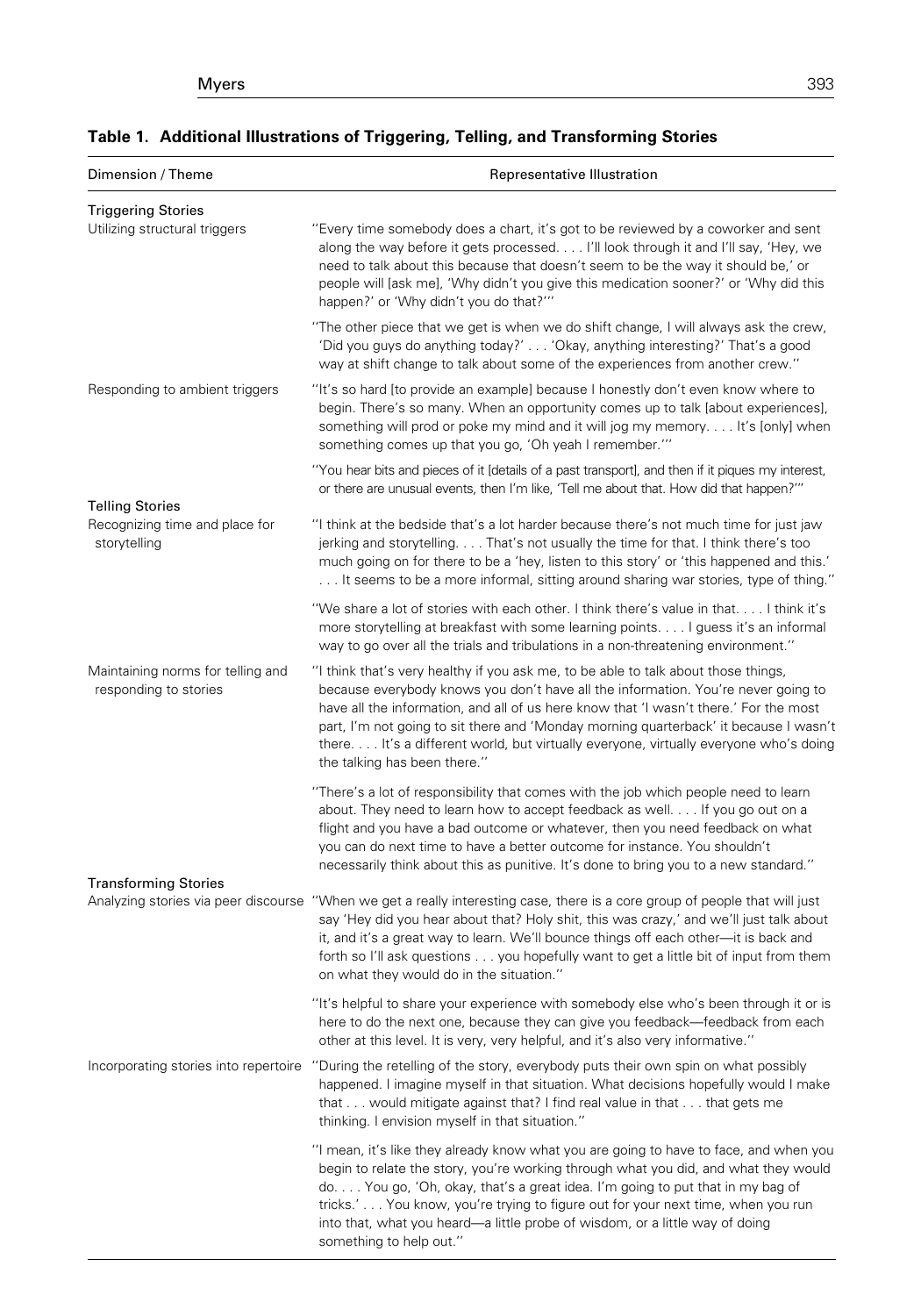### Dimension / Theme **Representative Illustration** Triggering Stories Utilizing structural triggers "'Every time somebody does a chart, it's got to be reviewed by a coworker and sent along the way before it gets processed. . . . I'll look through it and I'll say, 'Hey, we need to talk about this because that doesn't seem to be the way it should be,' or people will [ask me], 'Why didn't you give this medication sooner?' or 'Why did this happen?' or 'Why didn't you do that?''' ''The other piece that we get is when we do shift change, I will always ask the crew, 'Did you guys do anything today?' . . . 'Okay, anything interesting?' That's a good way at shift change to talk about some of the experiences from another crew.'' Responding to ambient triggers ''It's so hard [to provide an example] because I honestly don't even know where to begin. There's so many. When an opportunity comes up to talk [about experiences], something will prod or poke my mind and it will jog my memory. . . . It's [only] when something comes up that you go, 'Oh yeah I remember.''' ''You hear bits and pieces of it [details of a past transport], and then if it piques my interest, or there are unusual events, then I'm like, 'Tell me about that. How did that happen?''' Telling Stories Recognizing time and place for storytelling ''I think at the bedside that's a lot harder because there's not much time for just jaw jerking and storytelling. . . . That's not usually the time for that. I think there's too much going on for there to be a 'hey, listen to this story' or 'this happened and this.' . . . It seems to be a more informal, sitting around sharing war stories, type of thing.'' ''We share a lot of stories with each other. I think there's value in that. . . . I think it's more storytelling at breakfast with some learning points. . . . I guess it's an informal way to go over all the trials and tribulations in a non-threatening environment." Maintaining norms for telling and responding to stories ''I think that's very healthy if you ask me, to be able to talk about those things, because everybody knows you don't have all the information. You're never going to have all the information, and all of us here know that 'I wasn't there.' For the most part, I'm not going to sit there and 'Monday morning quarterback' it because I wasn't there. . . . It's a different world, but virtually everyone, virtually everyone who's doing the talking has been there.'' ''There's a lot of responsibility that comes with the job which people need to learn about. They need to learn how to accept feedback as well. . . . If you go out on a flight and you have a bad outcome or whatever, then you need feedback on what you can do next time to have a better outcome for instance. You shouldn't necessarily think about this as punitive. It's done to bring you to a new standard.'' Transforming Stories Analyzing stories via peer discourse ''When we get a really interesting case, there is a core group of people that will just say 'Hey did you hear about that? Holy shit, this was crazy,' and we'll just talk about it, and it's a great way to learn. We'll bounce things off each other—it is back and forth so I'll ask questions . . . you hopefully want to get a little bit of input from them on what they would do in the situation.'' ''It's helpful to share your experience with somebody else who's been through it or is here to do the next one, because they can give you feedback—feedback from each other at this level. It is very, very helpful, and it's also very informative.'' Incorporating stories into repertoire ''During the retelling of the story, everybody puts their own spin on what possibly happened. I imagine myself in that situation. What decisions hopefully would I make that . . . would mitigate against that? I find real value in that . . . that gets me thinking. I envision myself in that situation.'' ''I mean, it's like they already know what you are going to have to face, and when you begin to relate the story, you're working through what you did, and what they would do. . . . You go, 'Oh, okay, that's a great idea. I'm going to put that in my bag of tricks.' . . . You know, you're trying to figure out for your next time, when you run into that, what you heard—a little probe of wisdom, or a little way of doing

something to help out.''

## Table 1. Additional Illustrations of Triggering, Telling, and Transforming Stories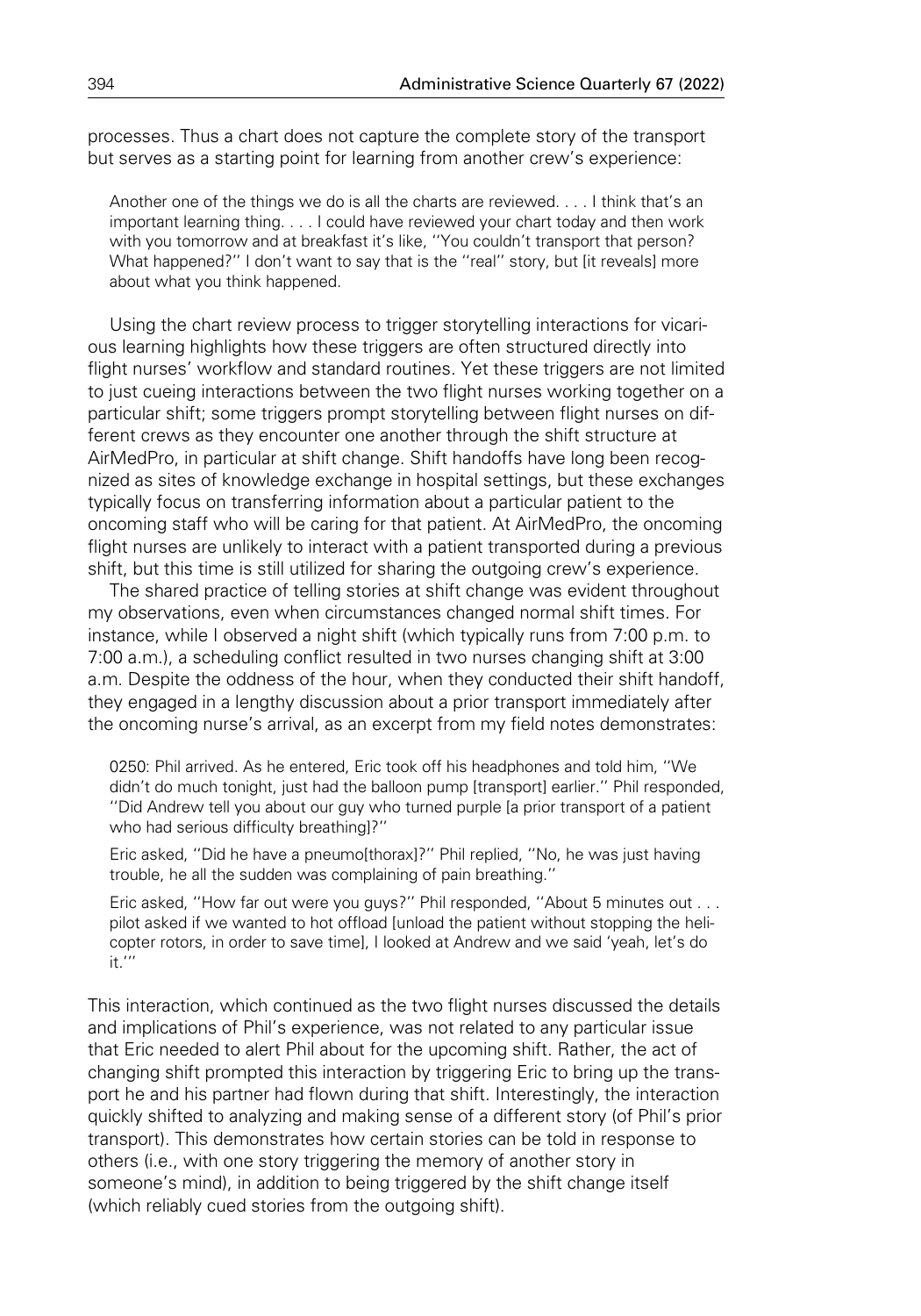processes. Thus a chart does not capture the complete story of the transport but serves as a starting point for learning from another crew's experience:

Another one of the things we do is all the charts are reviewed. . . . I think that's an important learning thing. . . . I could have reviewed your chart today and then work with you tomorrow and at breakfast it's like, ''You couldn't transport that person? What happened?" I don't want to say that is the "real" story, but [it reveals] more about what you think happened.

Using the chart review process to trigger storytelling interactions for vicarious learning highlights how these triggers are often structured directly into flight nurses' workflow and standard routines. Yet these triggers are not limited to just cueing interactions between the two flight nurses working together on a particular shift; some triggers prompt storytelling between flight nurses on different crews as they encounter one another through the shift structure at AirMedPro, in particular at shift change. Shift handoffs have long been recognized as sites of knowledge exchange in hospital settings, but these exchanges typically focus on transferring information about a particular patient to the oncoming staff who will be caring for that patient. At AirMedPro, the oncoming flight nurses are unlikely to interact with a patient transported during a previous shift, but this time is still utilized for sharing the outgoing crew's experience.

The shared practice of telling stories at shift change was evident throughout my observations, even when circumstances changed normal shift times. For instance, while I observed a night shift (which typically runs from 7:00 p.m. to 7:00 a.m.), a scheduling conflict resulted in two nurses changing shift at 3:00 a.m. Despite the oddness of the hour, when they conducted their shift handoff, they engaged in a lengthy discussion about a prior transport immediately after the oncoming nurse's arrival, as an excerpt from my field notes demonstrates:

0250: Phil arrived. As he entered, Eric took off his headphones and told him, ''We didn't do much tonight, just had the balloon pump [transport] earlier.'' Phil responded, ''Did Andrew tell you about our guy who turned purple [a prior transport of a patient who had serious difficulty breathing]?''

Eric asked, ''Did he have a pneumo[thorax]?'' Phil replied, ''No, he was just having trouble, he all the sudden was complaining of pain breathing.''

Eric asked, ''How far out were you guys?'' Phil responded, ''About 5 minutes out . . . pilot asked if we wanted to hot offload [unload the patient without stopping the helicopter rotors, in order to save time], I looked at Andrew and we said 'yeah, let's do it.'''

This interaction, which continued as the two flight nurses discussed the details and implications of Phil's experience, was not related to any particular issue that Eric needed to alert Phil about for the upcoming shift. Rather, the act of changing shift prompted this interaction by triggering Eric to bring up the transport he and his partner had flown during that shift. Interestingly, the interaction quickly shifted to analyzing and making sense of a different story (of Phil's prior transport). This demonstrates how certain stories can be told in response to others (i.e., with one story triggering the memory of another story in someone's mind), in addition to being triggered by the shift change itself (which reliably cued stories from the outgoing shift).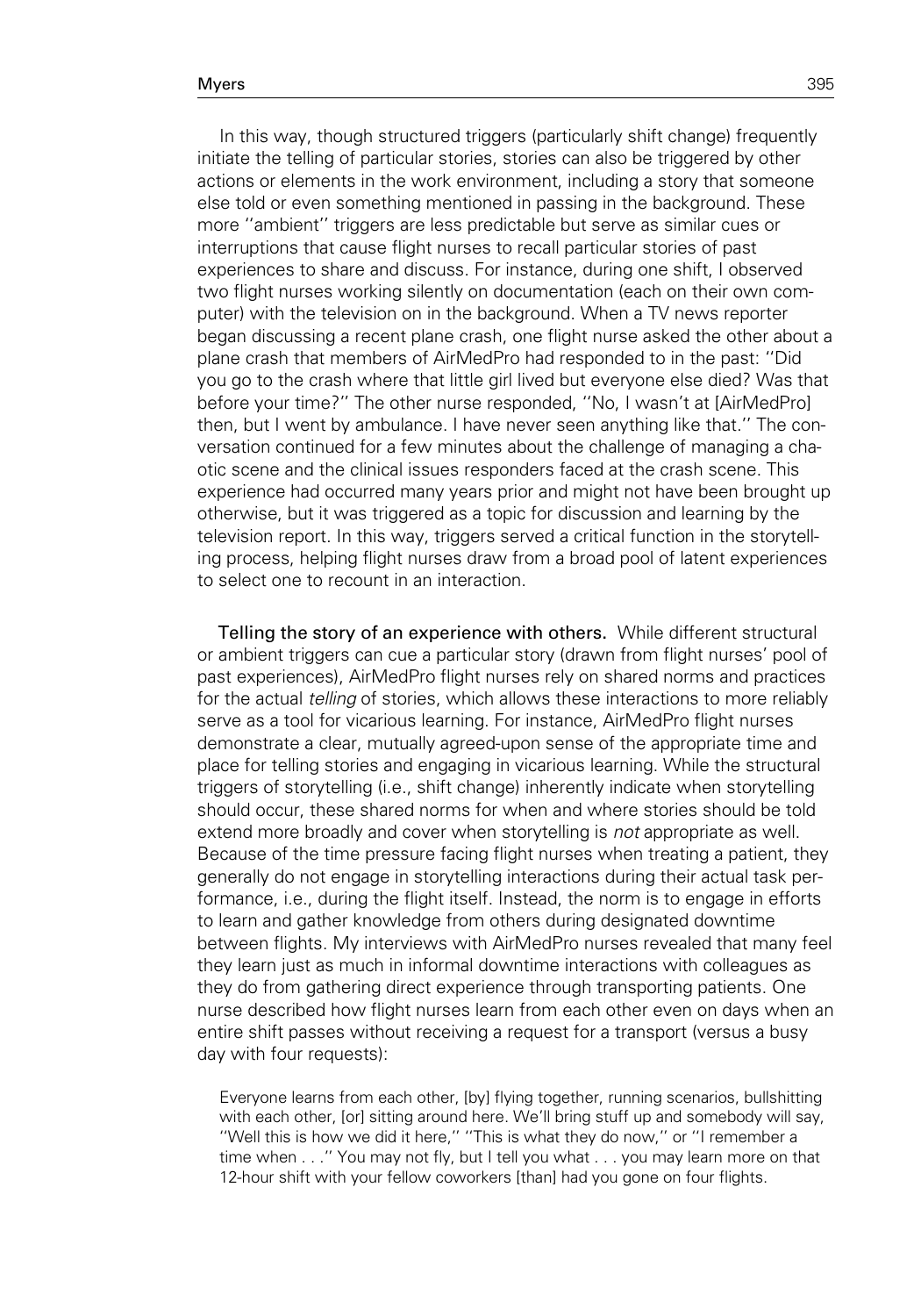In this way, though structured triggers (particularly shift change) frequently initiate the telling of particular stories, stories can also be triggered by other actions or elements in the work environment, including a story that someone else told or even something mentioned in passing in the background. These more ''ambient'' triggers are less predictable but serve as similar cues or interruptions that cause flight nurses to recall particular stories of past experiences to share and discuss. For instance, during one shift, I observed two flight nurses working silently on documentation (each on their own computer) with the television on in the background. When a TV news reporter began discussing a recent plane crash, one flight nurse asked the other about a plane crash that members of AirMedPro had responded to in the past: ''Did you go to the crash where that little girl lived but everyone else died? Was that before your time?'' The other nurse responded, ''No, I wasn't at [AirMedPro] then, but I went by ambulance. I have never seen anything like that.'' The conversation continued for a few minutes about the challenge of managing a chaotic scene and the clinical issues responders faced at the crash scene. This experience had occurred many years prior and might not have been brought up otherwise, but it was triggered as a topic for discussion and learning by the television report. In this way, triggers served a critical function in the storytelling process, helping flight nurses draw from a broad pool of latent experiences to select one to recount in an interaction.

Telling the story of an experience with others. While different structural or ambient triggers can cue a particular story (drawn from flight nurses' pool of past experiences), AirMedPro flight nurses rely on shared norms and practices for the actual *telling* of stories, which allows these interactions to more reliably serve as a tool for vicarious learning. For instance, AirMedPro flight nurses demonstrate a clear, mutually agreed-upon sense of the appropriate time and place for telling stories and engaging in vicarious learning. While the structural triggers of storytelling (i.e., shift change) inherently indicate when storytelling should occur, these shared norms for when and where stories should be told extend more broadly and cover when storytelling is *not* appropriate as well. Because of the time pressure facing flight nurses when treating a patient, they generally do not engage in storytelling interactions during their actual task performance, i.e., during the flight itself. Instead, the norm is to engage in efforts to learn and gather knowledge from others during designated downtime between flights. My interviews with AirMedPro nurses revealed that many feel they learn just as much in informal downtime interactions with colleagues as they do from gathering direct experience through transporting patients. One nurse described how flight nurses learn from each other even on days when an entire shift passes without receiving a request for a transport (versus a busy day with four requests):

Everyone learns from each other, [by] flying together, running scenarios, bullshitting with each other, [or] sitting around here. We'll bring stuff up and somebody will say, ''Well this is how we did it here,'' ''This is what they do now,'' or ''I remember a time when . . .'' You may not fly, but I tell you what . . . you may learn more on that 12-hour shift with your fellow coworkers [than] had you gone on four flights.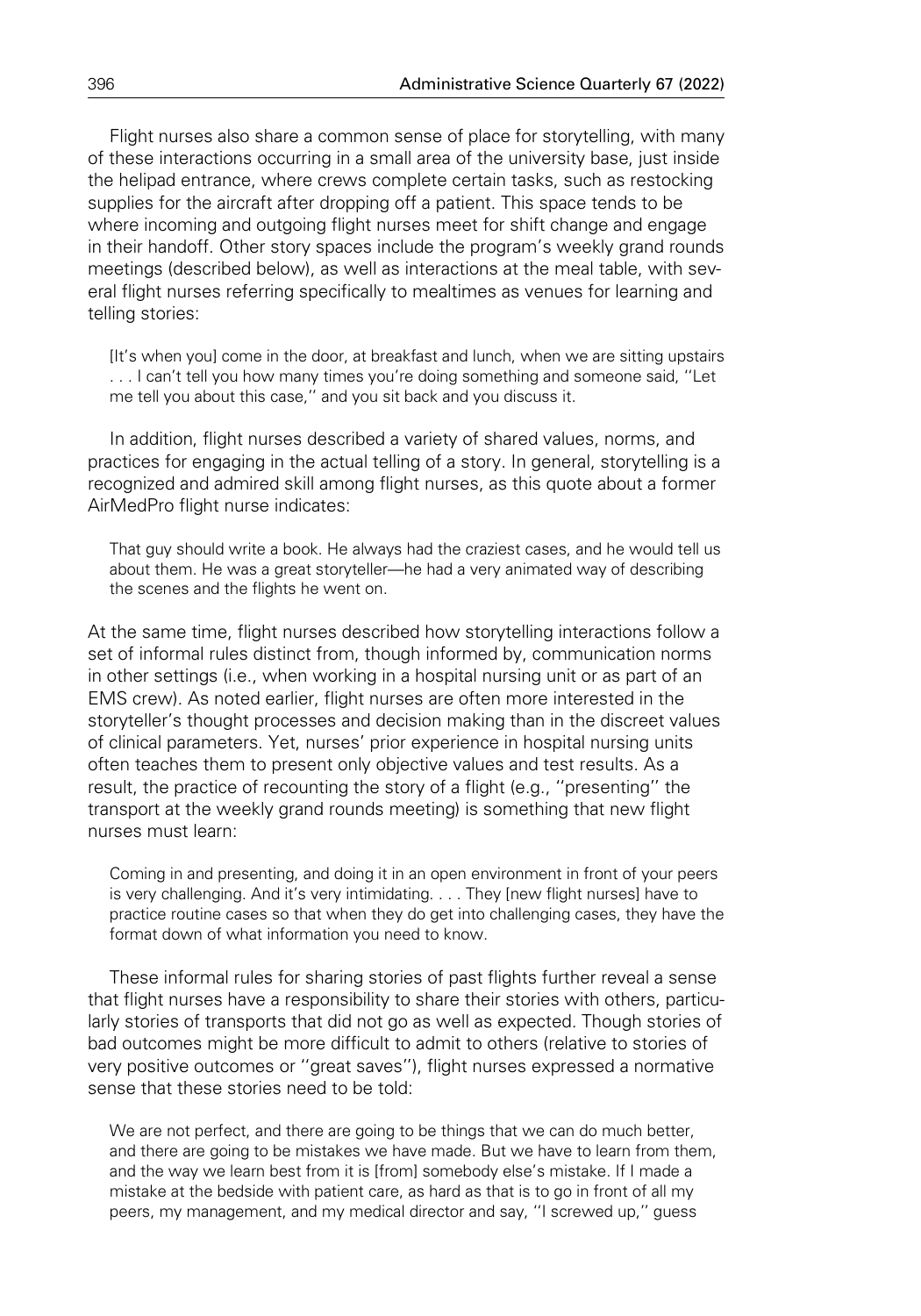Flight nurses also share a common sense of place for storytelling, with many of these interactions occurring in a small area of the university base, just inside the helipad entrance, where crews complete certain tasks, such as restocking supplies for the aircraft after dropping off a patient. This space tends to be where incoming and outgoing flight nurses meet for shift change and engage in their handoff. Other story spaces include the program's weekly grand rounds meetings (described below), as well as interactions at the meal table, with several flight nurses referring specifically to mealtimes as venues for learning and telling stories:

[It's when you] come in the door, at breakfast and lunch, when we are sitting upstairs . . . I can't tell you how many times you're doing something and someone said, ''Let me tell you about this case,'' and you sit back and you discuss it.

In addition, flight nurses described a variety of shared values, norms, and practices for engaging in the actual telling of a story. In general, storytelling is a recognized and admired skill among flight nurses, as this quote about a former AirMedPro flight nurse indicates:

That guy should write a book. He always had the craziest cases, and he would tell us about them. He was a great storyteller—he had a very animated way of describing the scenes and the flights he went on.

At the same time, flight nurses described how storytelling interactions follow a set of informal rules distinct from, though informed by, communication norms in other settings (i.e., when working in a hospital nursing unit or as part of an EMS crew). As noted earlier, flight nurses are often more interested in the storyteller's thought processes and decision making than in the discreet values of clinical parameters. Yet, nurses' prior experience in hospital nursing units often teaches them to present only objective values and test results. As a result, the practice of recounting the story of a flight (e.g., ''presenting'' the transport at the weekly grand rounds meeting) is something that new flight nurses must learn:

Coming in and presenting, and doing it in an open environment in front of your peers is very challenging. And it's very intimidating. . . . They [new flight nurses] have to practice routine cases so that when they do get into challenging cases, they have the format down of what information you need to know.

These informal rules for sharing stories of past flights further reveal a sense that flight nurses have a responsibility to share their stories with others, particularly stories of transports that did not go as well as expected. Though stories of bad outcomes might be more difficult to admit to others (relative to stories of very positive outcomes or ''great saves''), flight nurses expressed a normative sense that these stories need to be told:

We are not perfect, and there are going to be things that we can do much better, and there are going to be mistakes we have made. But we have to learn from them, and the way we learn best from it is [from] somebody else's mistake. If I made a mistake at the bedside with patient care, as hard as that is to go in front of all my peers, my management, and my medical director and say, ''I screwed up,'' guess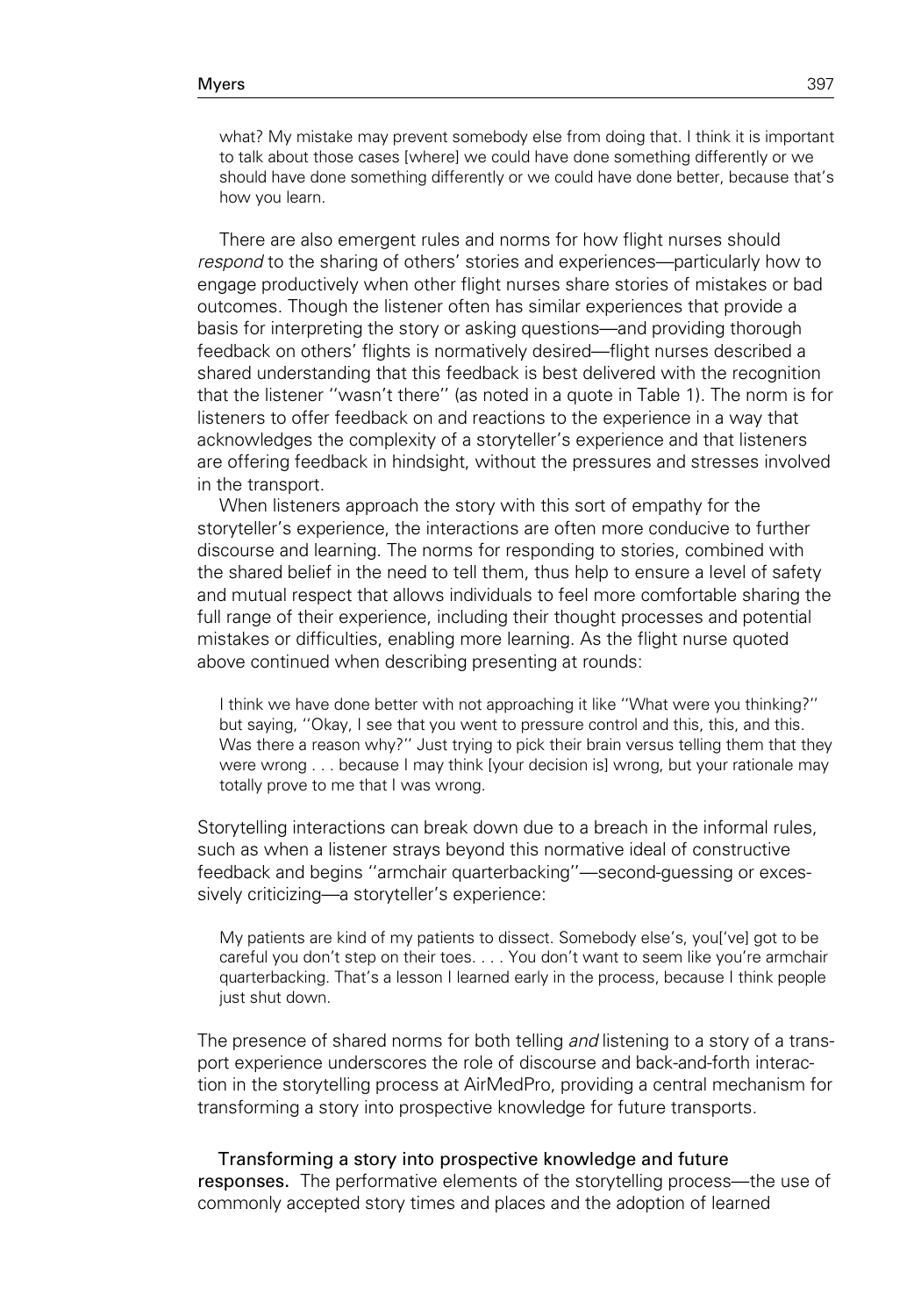what? My mistake may prevent somebody else from doing that. I think it is important to talk about those cases [where] we could have done something differently or we should have done something differently or we could have done better, because that's how you learn.

There are also emergent rules and norms for how flight nurses should respond to the sharing of others' stories and experiences—particularly how to engage productively when other flight nurses share stories of mistakes or bad outcomes. Though the listener often has similar experiences that provide a basis for interpreting the story or asking questions—and providing thorough feedback on others' flights is normatively desired—flight nurses described a shared understanding that this feedback is best delivered with the recognition that the listener ''wasn't there'' (as noted in a quote in Table 1). The norm is for listeners to offer feedback on and reactions to the experience in a way that acknowledges the complexity of a storyteller's experience and that listeners are offering feedback in hindsight, without the pressures and stresses involved in the transport.

When listeners approach the story with this sort of empathy for the storyteller's experience, the interactions are often more conducive to further discourse and learning. The norms for responding to stories, combined with the shared belief in the need to tell them, thus help to ensure a level of safety and mutual respect that allows individuals to feel more comfortable sharing the full range of their experience, including their thought processes and potential mistakes or difficulties, enabling more learning. As the flight nurse quoted above continued when describing presenting at rounds:

I think we have done better with not approaching it like ''What were you thinking?'' but saying, ''Okay, I see that you went to pressure control and this, this, and this. Was there a reason why?" Just trying to pick their brain versus telling them that they were wrong . . . because I may think [your decision is] wrong, but your rationale may totally prove to me that I was wrong.

Storytelling interactions can break down due to a breach in the informal rules, such as when a listener strays beyond this normative ideal of constructive feedback and begins ''armchair quarterbacking''—second-guessing or excessively criticizing—a storyteller's experience:

My patients are kind of my patients to dissect. Somebody else's, you['ve] got to be careful you don't step on their toes. . . . You don't want to seem like you're armchair quarterbacking. That's a lesson I learned early in the process, because I think people just shut down.

The presence of shared norms for both telling and listening to a story of a transport experience underscores the role of discourse and back-and-forth interaction in the storytelling process at AirMedPro, providing a central mechanism for transforming a story into prospective knowledge for future transports.

Transforming a story into prospective knowledge and future responses. The performative elements of the storytelling process—the use of commonly accepted story times and places and the adoption of learned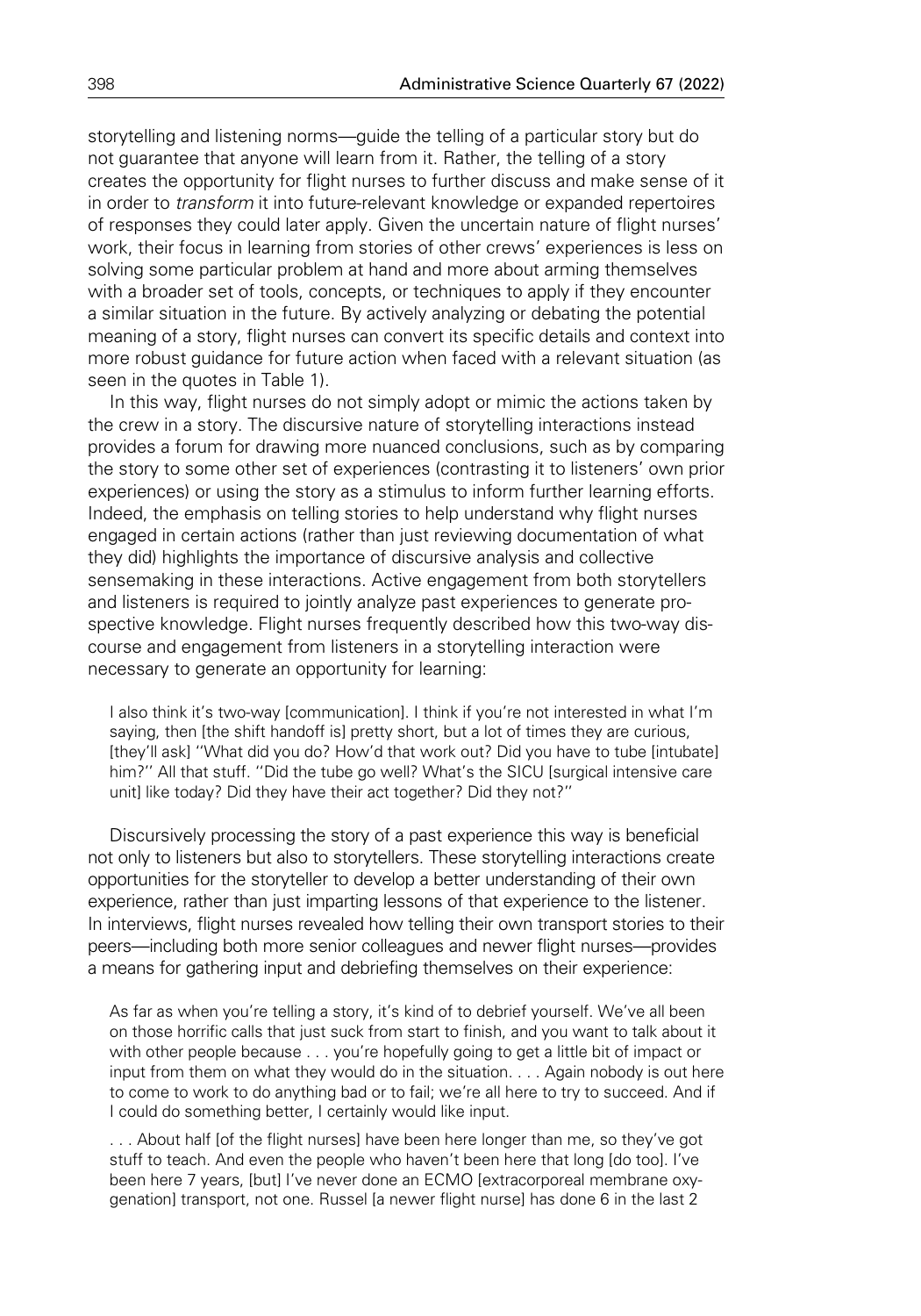storytelling and listening norms—guide the telling of a particular story but do not guarantee that anyone will learn from it. Rather, the telling of a story creates the opportunity for flight nurses to further discuss and make sense of it in order to transform it into future-relevant knowledge or expanded repertoires of responses they could later apply. Given the uncertain nature of flight nurses' work, their focus in learning from stories of other crews' experiences is less on solving some particular problem at hand and more about arming themselves with a broader set of tools, concepts, or techniques to apply if they encounter a similar situation in the future. By actively analyzing or debating the potential meaning of a story, flight nurses can convert its specific details and context into more robust guidance for future action when faced with a relevant situation (as seen in the quotes in Table 1).

In this way, flight nurses do not simply adopt or mimic the actions taken by the crew in a story. The discursive nature of storytelling interactions instead provides a forum for drawing more nuanced conclusions, such as by comparing the story to some other set of experiences (contrasting it to listeners' own prior experiences) or using the story as a stimulus to inform further learning efforts. Indeed, the emphasis on telling stories to help understand why flight nurses engaged in certain actions (rather than just reviewing documentation of what they did) highlights the importance of discursive analysis and collective sensemaking in these interactions. Active engagement from both storytellers and listeners is required to jointly analyze past experiences to generate prospective knowledge. Flight nurses frequently described how this two-way discourse and engagement from listeners in a storytelling interaction were necessary to generate an opportunity for learning:

I also think it's two-way [communication]. I think if you're not interested in what I'm saying, then [the shift handoff is] pretty short, but a lot of times they are curious, [they'll ask] ''What did you do? How'd that work out? Did you have to tube [intubate] him?'' All that stuff. ''Did the tube go well? What's the SICU [surgical intensive care unit] like today? Did they have their act together? Did they not?''

Discursively processing the story of a past experience this way is beneficial not only to listeners but also to storytellers. These storytelling interactions create opportunities for the storyteller to develop a better understanding of their own experience, rather than just imparting lessons of that experience to the listener. In interviews, flight nurses revealed how telling their own transport stories to their peers—including both more senior colleagues and newer flight nurses—provides a means for gathering input and debriefing themselves on their experience:

As far as when you're telling a story, it's kind of to debrief yourself. We've all been on those horrific calls that just suck from start to finish, and you want to talk about it with other people because . . . you're hopefully going to get a little bit of impact or input from them on what they would do in the situation. . . . Again nobody is out here to come to work to do anything bad or to fail; we're all here to try to succeed. And if I could do something better, I certainly would like input.

. . . About half [of the flight nurses] have been here longer than me, so they've got stuff to teach. And even the people who haven't been here that long [do too]. I've been here 7 years, [but] I've never done an ECMO [extracorporeal membrane oxygenation] transport, not one. Russel [a newer flight nurse] has done 6 in the last 2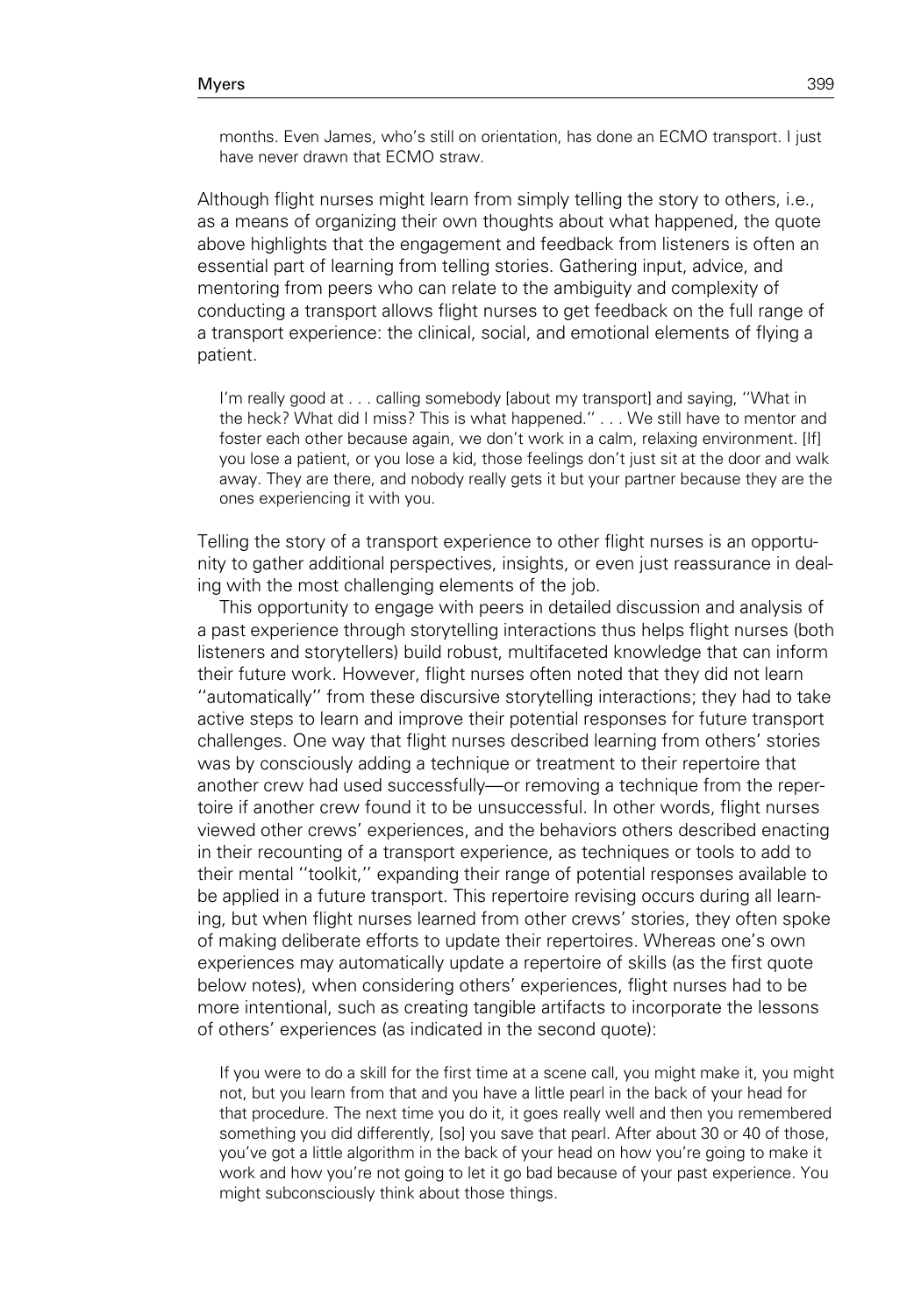months. Even James, who's still on orientation, has done an ECMO transport. I just have never drawn that ECMO straw.

Although flight nurses might learn from simply telling the story to others, i.e., as a means of organizing their own thoughts about what happened, the quote above highlights that the engagement and feedback from listeners is often an essential part of learning from telling stories. Gathering input, advice, and mentoring from peers who can relate to the ambiguity and complexity of conducting a transport allows flight nurses to get feedback on the full range of a transport experience: the clinical, social, and emotional elements of flying a patient.

I'm really good at . . . calling somebody [about my transport] and saying, ''What in the heck? What did I miss? This is what happened.'' . . . We still have to mentor and foster each other because again, we don't work in a calm, relaxing environment. [If] you lose a patient, or you lose a kid, those feelings don't just sit at the door and walk away. They are there, and nobody really gets it but your partner because they are the ones experiencing it with you.

Telling the story of a transport experience to other flight nurses is an opportunity to gather additional perspectives, insights, or even just reassurance in dealing with the most challenging elements of the job.

This opportunity to engage with peers in detailed discussion and analysis of a past experience through storytelling interactions thus helps flight nurses (both listeners and storytellers) build robust, multifaceted knowledge that can inform their future work. However, flight nurses often noted that they did not learn ''automatically'' from these discursive storytelling interactions; they had to take active steps to learn and improve their potential responses for future transport challenges. One way that flight nurses described learning from others' stories was by consciously adding a technique or treatment to their repertoire that another crew had used successfully—or removing a technique from the repertoire if another crew found it to be unsuccessful. In other words, flight nurses viewed other crews' experiences, and the behaviors others described enacting in their recounting of a transport experience, as techniques or tools to add to their mental ''toolkit,'' expanding their range of potential responses available to be applied in a future transport. This repertoire revising occurs during all learning, but when flight nurses learned from other crews' stories, they often spoke of making deliberate efforts to update their repertoires. Whereas one's own experiences may automatically update a repertoire of skills (as the first quote below notes), when considering others' experiences, flight nurses had to be more intentional, such as creating tangible artifacts to incorporate the lessons of others' experiences (as indicated in the second quote):

If you were to do a skill for the first time at a scene call, you might make it, you might not, but you learn from that and you have a little pearl in the back of your head for that procedure. The next time you do it, it goes really well and then you remembered something you did differently, [so] you save that pearl. After about 30 or 40 of those, you've got a little algorithm in the back of your head on how you're going to make it work and how you're not going to let it go bad because of your past experience. You might subconsciously think about those things.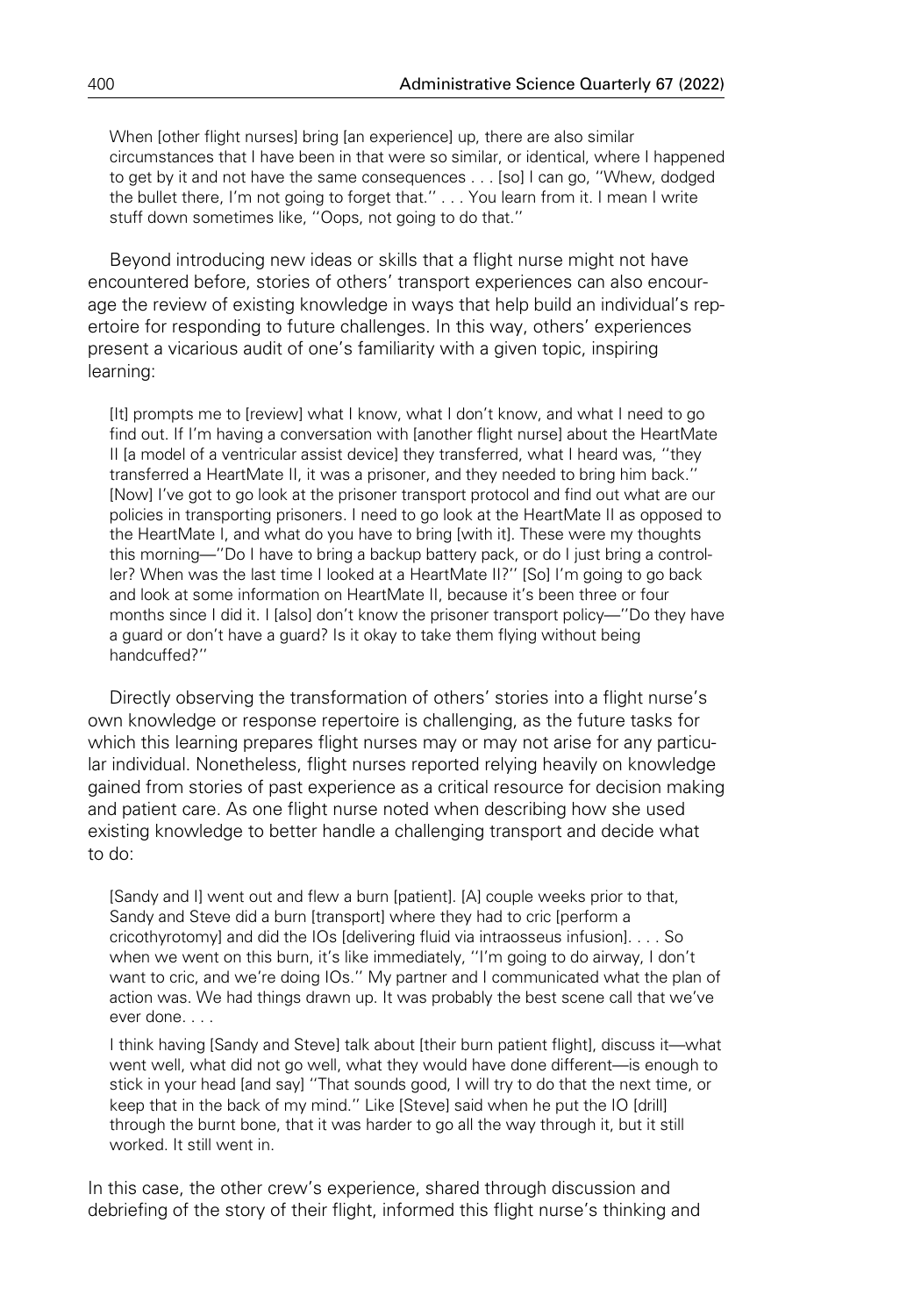When [other flight nurses] bring [an experience] up, there are also similar circumstances that I have been in that were so similar, or identical, where I happened to get by it and not have the same consequences . . . [so] I can go, ''Whew, dodged the bullet there, I'm not going to forget that.'' . . . You learn from it. I mean I write stuff down sometimes like, ''Oops, not going to do that.''

Beyond introducing new ideas or skills that a flight nurse might not have encountered before, stories of others' transport experiences can also encourage the review of existing knowledge in ways that help build an individual's repertoire for responding to future challenges. In this way, others' experiences present a vicarious audit of one's familiarity with a given topic, inspiring learning:

[It] prompts me to [review] what I know, what I don't know, and what I need to go find out. If I'm having a conversation with [another flight nurse] about the HeartMate II [a model of a ventricular assist device] they transferred, what I heard was, ''they transferred a HeartMate II, it was a prisoner, and they needed to bring him back.'' [Now] I've got to go look at the prisoner transport protocol and find out what are our policies in transporting prisoners. I need to go look at the HeartMate II as opposed to the HeartMate I, and what do you have to bring [with it]. These were my thoughts this morning—''Do I have to bring a backup battery pack, or do I just bring a controller? When was the last time I looked at a HeartMate II?'' [So] I'm going to go back and look at some information on HeartMate II, because it's been three or four months since I did it. I [also] don't know the prisoner transport policy—"Do they have a guard or don't have a guard? Is it okay to take them flying without being handcuffed?''

Directly observing the transformation of others' stories into a flight nurse's own knowledge or response repertoire is challenging, as the future tasks for which this learning prepares flight nurses may or may not arise for any particular individual. Nonetheless, flight nurses reported relying heavily on knowledge gained from stories of past experience as a critical resource for decision making and patient care. As one flight nurse noted when describing how she used existing knowledge to better handle a challenging transport and decide what to do:

[Sandy and I] went out and flew a burn [patient]. [A] couple weeks prior to that, Sandy and Steve did a burn [transport] where they had to cric [perform a cricothyrotomy] and did the IOs [delivering fluid via intraosseus infusion]. . . . So when we went on this burn, it's like immediately, ''I'm going to do airway, I don't want to cric, and we're doing IOs.'' My partner and I communicated what the plan of action was. We had things drawn up. It was probably the best scene call that we've ever done. . . .

I think having [Sandy and Steve] talk about [their burn patient flight], discuss it—what went well, what did not go well, what they would have done different—is enough to stick in your head [and say] ''That sounds good, I will try to do that the next time, or keep that in the back of my mind.'' Like [Steve] said when he put the IO [drill] through the burnt bone, that it was harder to go all the way through it, but it still worked. It still went in.

In this case, the other crew's experience, shared through discussion and debriefing of the story of their flight, informed this flight nurse's thinking and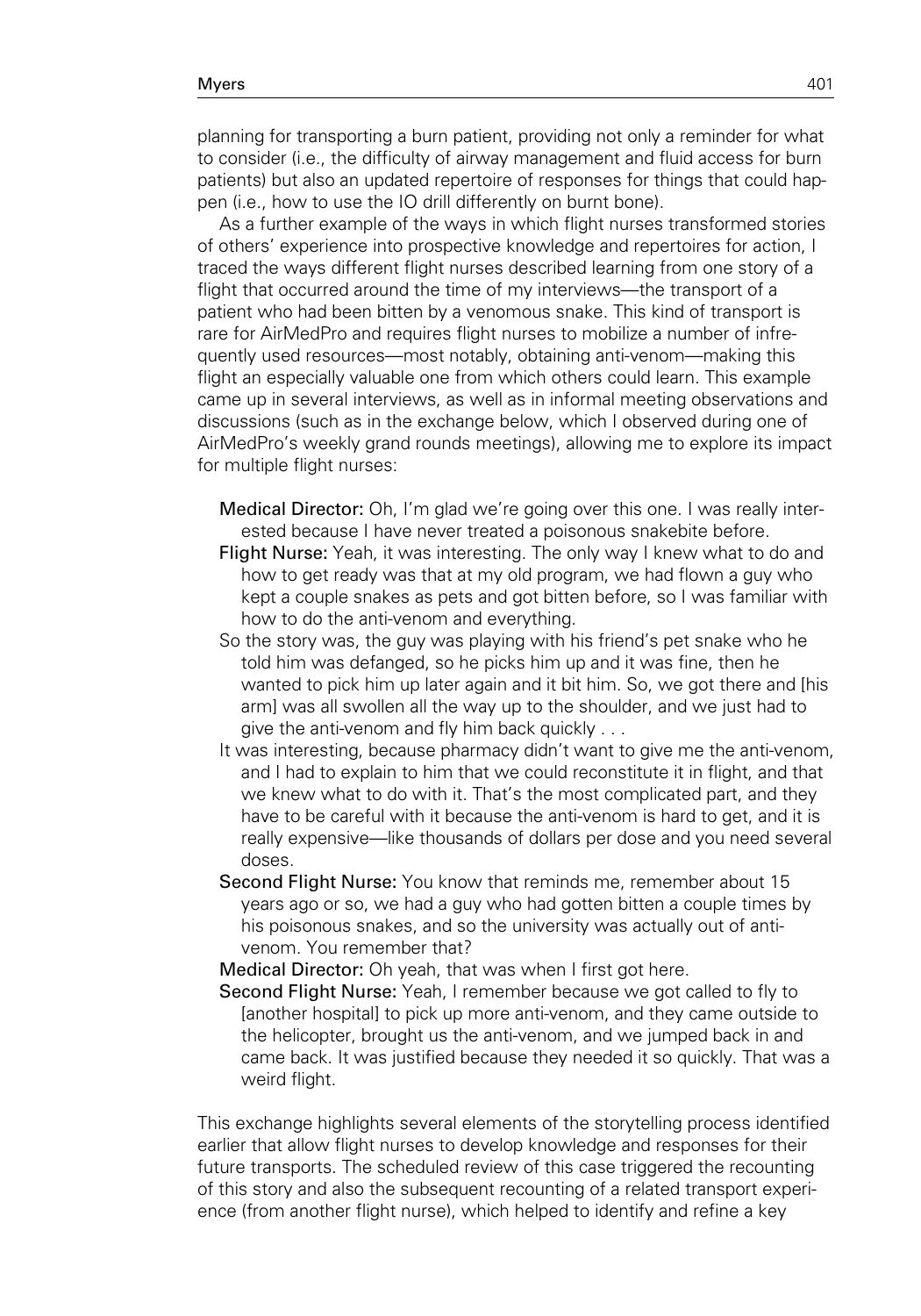planning for transporting a burn patient, providing not only a reminder for what to consider (i.e., the difficulty of airway management and fluid access for burn patients) but also an updated repertoire of responses for things that could happen (i.e., how to use the IO drill differently on burnt bone).

As a further example of the ways in which flight nurses transformed stories of others' experience into prospective knowledge and repertoires for action, I traced the ways different flight nurses described learning from one story of a flight that occurred around the time of my interviews—the transport of a patient who had been bitten by a venomous snake. This kind of transport is rare for AirMedPro and requires flight nurses to mobilize a number of infrequently used resources—most notably, obtaining anti-venom—making this flight an especially valuable one from which others could learn. This example came up in several interviews, as well as in informal meeting observations and discussions (such as in the exchange below, which I observed during one of AirMedPro's weekly grand rounds meetings), allowing me to explore its impact for multiple flight nurses:

Medical Director: Oh, I'm glad we're going over this one. I was really interested because I have never treated a poisonous snakebite before.

- Flight Nurse: Yeah, it was interesting. The only way I knew what to do and how to get ready was that at my old program, we had flown a guy who kept a couple snakes as pets and got bitten before, so I was familiar with how to do the anti-venom and everything.
- So the story was, the guy was playing with his friend's pet snake who he told him was defanged, so he picks him up and it was fine, then he wanted to pick him up later again and it bit him. So, we got there and [his arm] was all swollen all the way up to the shoulder, and we just had to give the anti-venom and fly him back quickly . . .
- It was interesting, because pharmacy didn't want to give me the anti-venom, and I had to explain to him that we could reconstitute it in flight, and that we knew what to do with it. That's the most complicated part, and they have to be careful with it because the anti-venom is hard to get, and it is really expensive—like thousands of dollars per dose and you need several doses.
- Second Flight Nurse: You know that reminds me, remember about 15 years ago or so, we had a guy who had gotten bitten a couple times by his poisonous snakes, and so the university was actually out of antivenom. You remember that?

Medical Director: Oh yeah, that was when I first got here.

Second Flight Nurse: Yeah, I remember because we got called to fly to [another hospital] to pick up more anti-venom, and they came outside to the helicopter, brought us the anti-venom, and we jumped back in and came back. It was justified because they needed it so quickly. That was a weird flight.

This exchange highlights several elements of the storytelling process identified earlier that allow flight nurses to develop knowledge and responses for their future transports. The scheduled review of this case triggered the recounting of this story and also the subsequent recounting of a related transport experience (from another flight nurse), which helped to identify and refine a key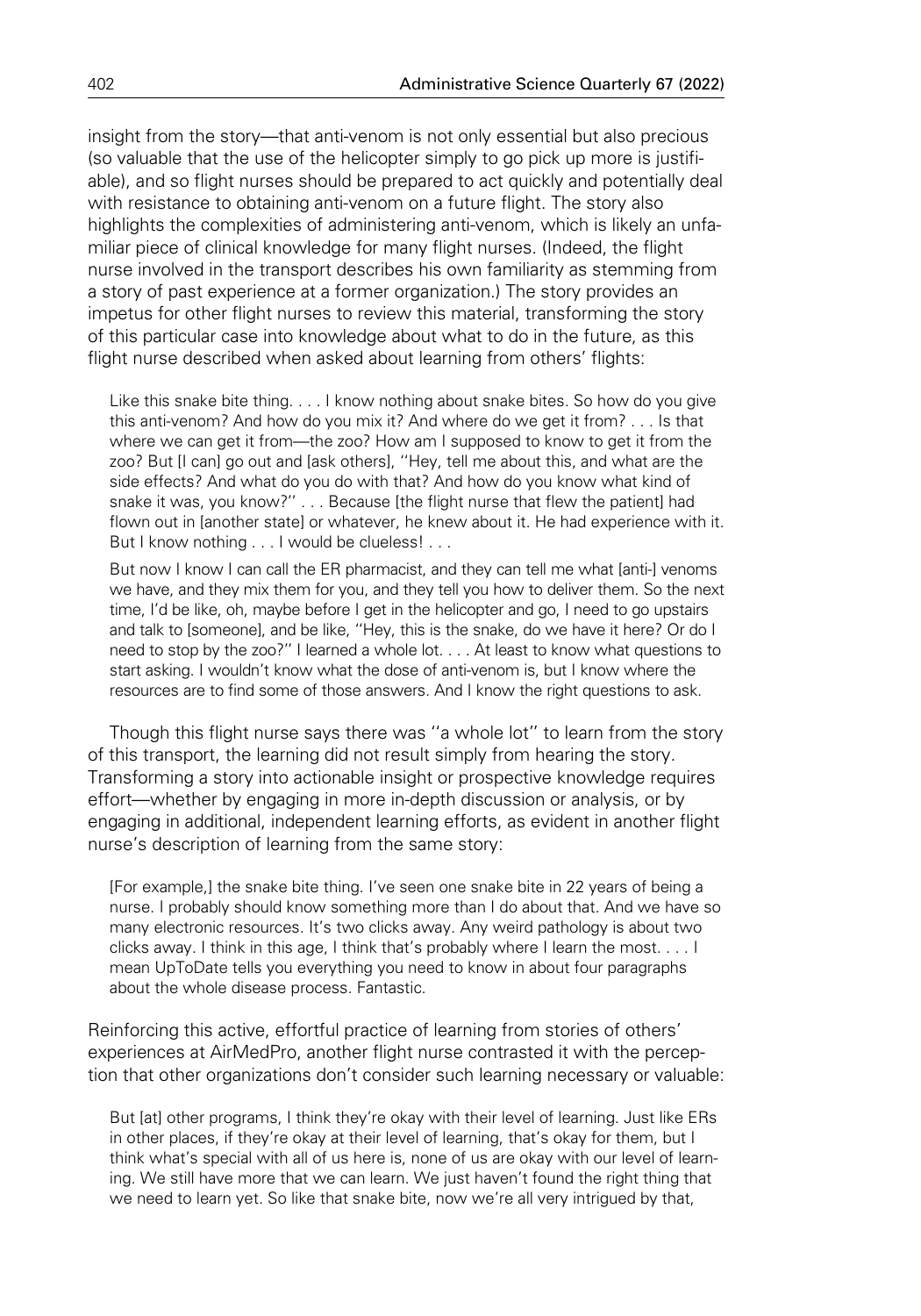insight from the story—that anti-venom is not only essential but also precious (so valuable that the use of the helicopter simply to go pick up more is justifiable), and so flight nurses should be prepared to act quickly and potentially deal with resistance to obtaining anti-venom on a future flight. The story also highlights the complexities of administering anti-venom, which is likely an unfamiliar piece of clinical knowledge for many flight nurses. (Indeed, the flight nurse involved in the transport describes his own familiarity as stemming from a story of past experience at a former organization.) The story provides an impetus for other flight nurses to review this material, transforming the story of this particular case into knowledge about what to do in the future, as this flight nurse described when asked about learning from others' flights:

Like this snake bite thing. . . . I know nothing about snake bites. So how do you give this anti-venom? And how do you mix it? And where do we get it from? . . . Is that where we can get it from—the zoo? How am I supposed to know to get it from the zoo? But [I can] go out and [ask others], ''Hey, tell me about this, and what are the side effects? And what do you do with that? And how do you know what kind of snake it was, you know?'' . . . Because [the flight nurse that flew the patient] had flown out in [another state] or whatever, he knew about it. He had experience with it. But I know nothing . . . I would be clueless! . . .

But now I know I can call the ER pharmacist, and they can tell me what [anti-] venoms we have, and they mix them for you, and they tell you how to deliver them. So the next time, I'd be like, oh, maybe before I get in the helicopter and go, I need to go upstairs and talk to [someone], and be like, ''Hey, this is the snake, do we have it here? Or do I need to stop by the zoo?'' I learned a whole lot. . . . At least to know what questions to start asking. I wouldn't know what the dose of anti-venom is, but I know where the resources are to find some of those answers. And I know the right questions to ask.

Though this flight nurse says there was ''a whole lot'' to learn from the story of this transport, the learning did not result simply from hearing the story. Transforming a story into actionable insight or prospective knowledge requires effort—whether by engaging in more in-depth discussion or analysis, or by engaging in additional, independent learning efforts, as evident in another flight nurse's description of learning from the same story:

[For example,] the snake bite thing. I've seen one snake bite in 22 years of being a nurse. I probably should know something more than I do about that. And we have so many electronic resources. It's two clicks away. Any weird pathology is about two clicks away. I think in this age, I think that's probably where I learn the most. . . . I mean UpToDate tells you everything you need to know in about four paragraphs about the whole disease process. Fantastic.

Reinforcing this active, effortful practice of learning from stories of others' experiences at AirMedPro, another flight nurse contrasted it with the perception that other organizations don't consider such learning necessary or valuable:

But [at] other programs, I think they're okay with their level of learning. Just like ERs in other places, if they're okay at their level of learning, that's okay for them, but I think what's special with all of us here is, none of us are okay with our level of learning. We still have more that we can learn. We just haven't found the right thing that we need to learn yet. So like that snake bite, now we're all very intrigued by that,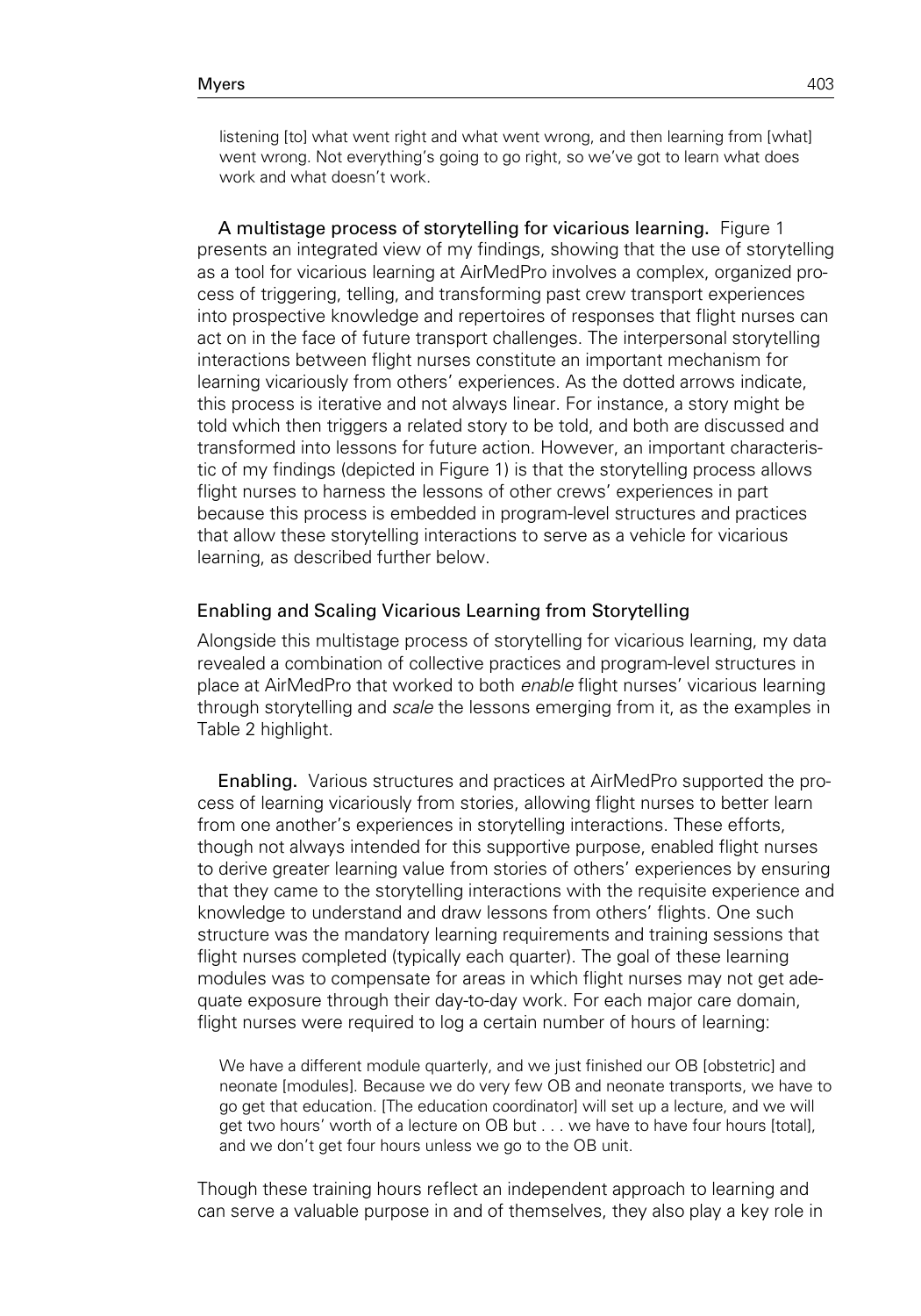A multistage process of storytelling for vicarious learning. Figure 1 presents an integrated view of my findings, showing that the use of storytelling as a tool for vicarious learning at AirMedPro involves a complex, organized process of triggering, telling, and transforming past crew transport experiences into prospective knowledge and repertoires of responses that flight nurses can act on in the face of future transport challenges. The interpersonal storytelling interactions between flight nurses constitute an important mechanism for learning vicariously from others' experiences. As the dotted arrows indicate, this process is iterative and not always linear. For instance, a story might be told which then triggers a related story to be told, and both are discussed and transformed into lessons for future action. However, an important characteristic of my findings (depicted in Figure 1) is that the storytelling process allows flight nurses to harness the lessons of other crews' experiences in part because this process is embedded in program-level structures and practices that allow these storytelling interactions to serve as a vehicle for vicarious learning, as described further below.

# Enabling and Scaling Vicarious Learning from Storytelling

Alongside this multistage process of storytelling for vicarious learning, my data revealed a combination of collective practices and program-level structures in place at AirMedPro that worked to both enable flight nurses' vicarious learning through storytelling and *scale* the lessons emerging from it, as the examples in Table 2 highlight.

Enabling. Various structures and practices at AirMedPro supported the process of learning vicariously from stories, allowing flight nurses to better learn from one another's experiences in storytelling interactions. These efforts, though not always intended for this supportive purpose, enabled flight nurses to derive greater learning value from stories of others' experiences by ensuring that they came to the storytelling interactions with the requisite experience and knowledge to understand and draw lessons from others' flights. One such structure was the mandatory learning requirements and training sessions that flight nurses completed (typically each quarter). The goal of these learning modules was to compensate for areas in which flight nurses may not get adequate exposure through their day-to-day work. For each major care domain, flight nurses were required to log a certain number of hours of learning:

We have a different module quarterly, and we just finished our OB [obstetric] and neonate [modules]. Because we do very few OB and neonate transports, we have to go get that education. [The education coordinator] will set up a lecture, and we will get two hours' worth of a lecture on OB but . . . we have to have four hours [total], and we don't get four hours unless we go to the OB unit.

Though these training hours reflect an independent approach to learning and can serve a valuable purpose in and of themselves, they also play a key role in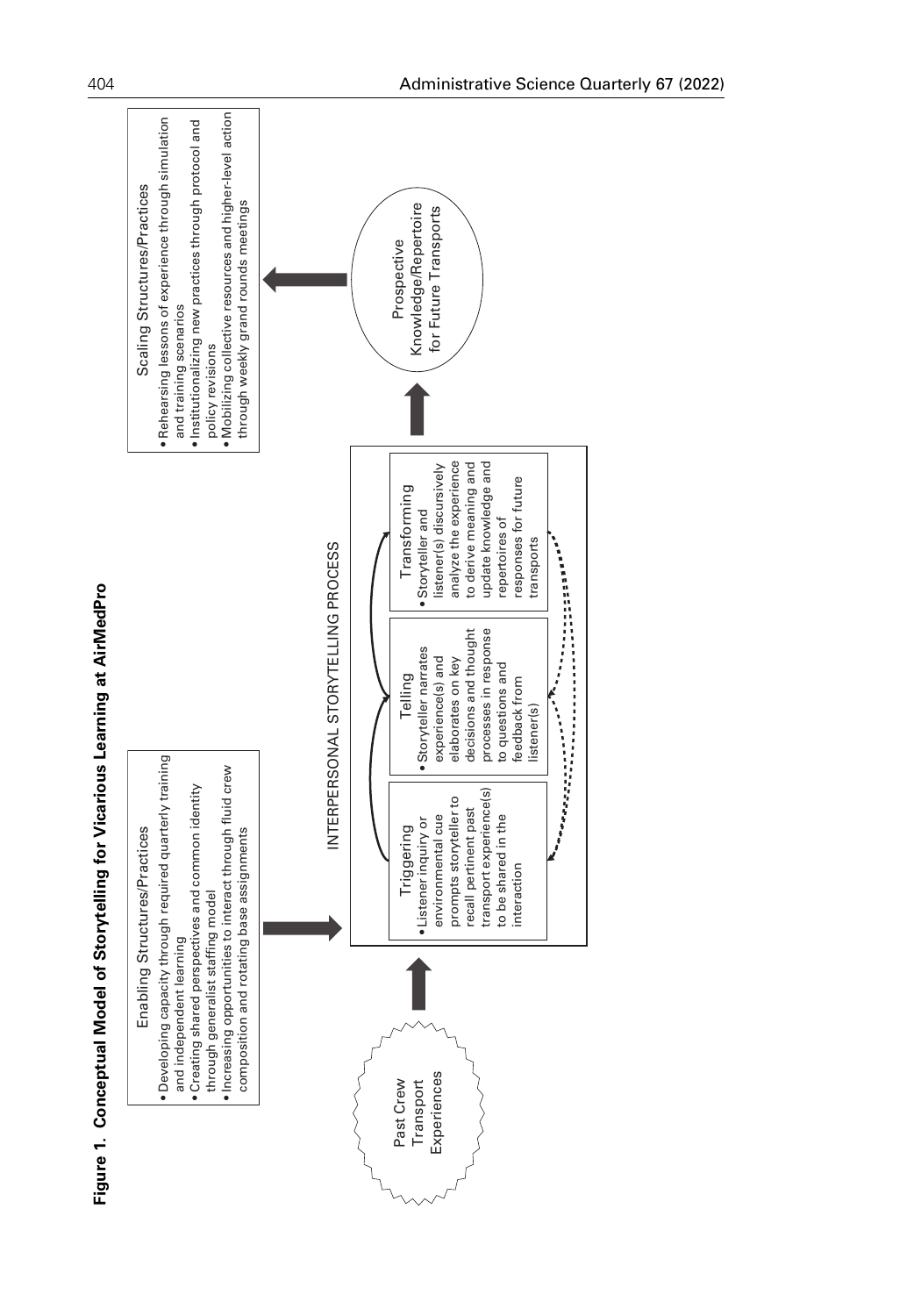

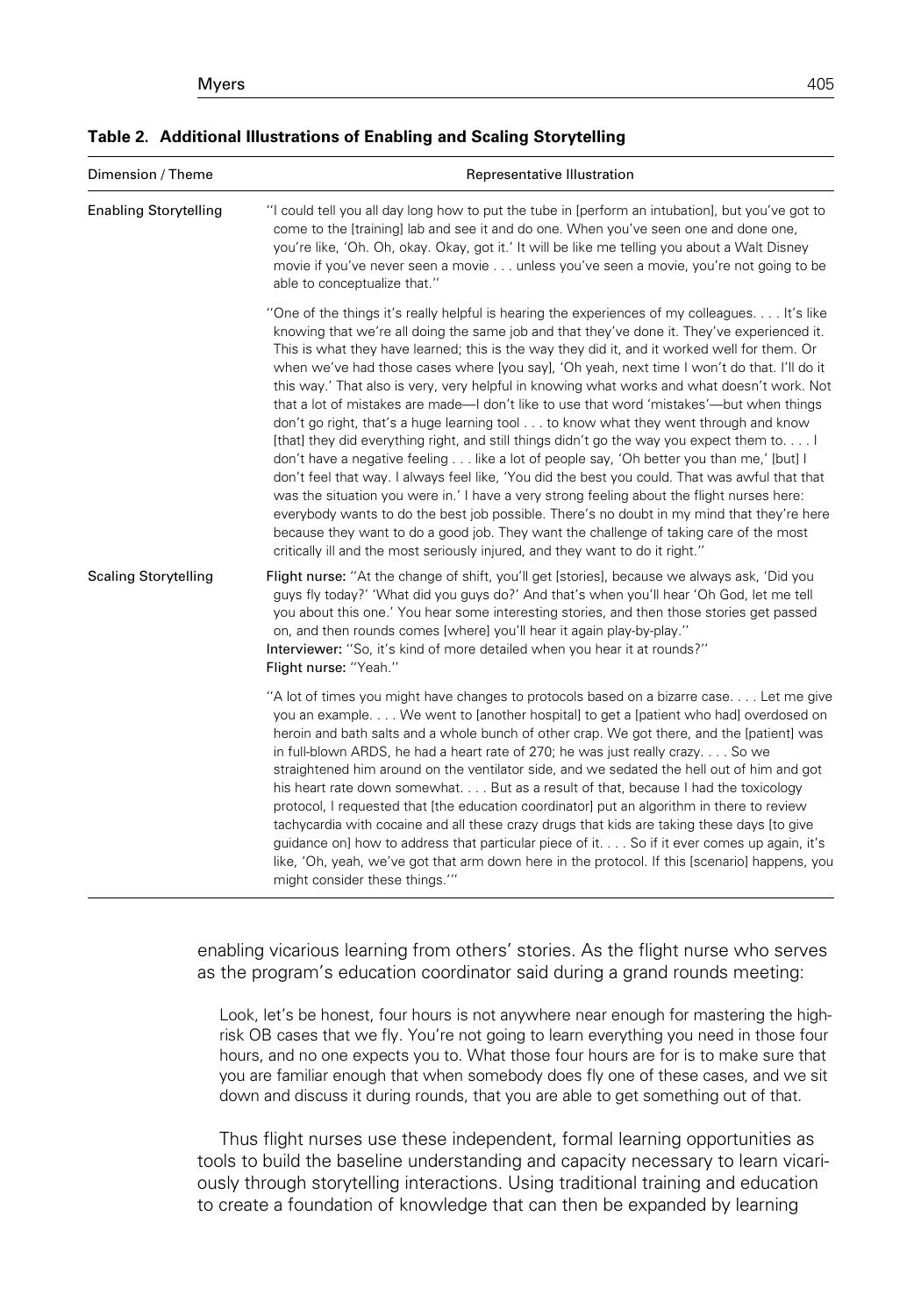| <b>1990 L. Aganoliai masuausis si Liigping and Ovanig Otol (teimig</b> |                                                                                                                                                                  |
|------------------------------------------------------------------------|------------------------------------------------------------------------------------------------------------------------------------------------------------------|
| Dimension / Theme                                                      | Representative Illustration                                                                                                                                      |
| <b>Enabling Storytelling</b>                                           | "I could tell you all day long how to put the tube in [perform an intubation], but<br>come to the [training] lab and see it and do one. When you've seen one and |

Table 2. Additional Illustrations of Enabling and Scaling Storytelling

| <b>Enabling Storytelling</b> | "I could tell you all day long how to put the tube in [perform an intubation], but you've got to<br>come to the [training] lab and see it and do one. When you've seen one and done one,<br>you're like, 'Oh. Oh, okay. Okay, got it.' It will be like me telling you about a Walt Disney<br>movie if you've never seen a movie unless you've seen a movie, you're not going to be<br>able to conceptualize that."                                                                                                                                                                                                                                                                                                                                                                                                                                                                                                                                                                                                                                                                                                                                                                                                                                                                                                                           |
|------------------------------|----------------------------------------------------------------------------------------------------------------------------------------------------------------------------------------------------------------------------------------------------------------------------------------------------------------------------------------------------------------------------------------------------------------------------------------------------------------------------------------------------------------------------------------------------------------------------------------------------------------------------------------------------------------------------------------------------------------------------------------------------------------------------------------------------------------------------------------------------------------------------------------------------------------------------------------------------------------------------------------------------------------------------------------------------------------------------------------------------------------------------------------------------------------------------------------------------------------------------------------------------------------------------------------------------------------------------------------------|
|                              | "One of the things it's really helpful is hearing the experiences of my colleagues It's like<br>knowing that we're all doing the same job and that they've done it. They've experienced it.<br>This is what they have learned; this is the way they did it, and it worked well for them. Or<br>when we've had those cases where [you say], 'Oh yeah, next time I won't do that. I'll do it<br>this way.' That also is very, very helpful in knowing what works and what doesn't work. Not<br>that a lot of mistakes are made—I don't like to use that word 'mistakes'—but when things<br>don't go right, that's a huge learning tool to know what they went through and know<br>[that] they did everything right, and still things didn't go the way you expect them to<br>don't have a negative feeling like a lot of people say, 'Oh better you than me,' [but] I<br>don't feel that way. I always feel like, 'You did the best you could. That was awful that that<br>was the situation you were in.' I have a very strong feeling about the flight nurses here:<br>everybody wants to do the best job possible. There's no doubt in my mind that they're here<br>because they want to do a good job. They want the challenge of taking care of the most<br>critically ill and the most seriously injured, and they want to do it right." |
| <b>Scaling Storytelling</b>  | Flight nurse: "At the change of shift, you'll get [stories], because we always ask, 'Did you<br>guys fly today?' 'What did you guys do?' And that's when you'll hear 'Oh God, let me tell<br>you about this one.' You hear some interesting stories, and then those stories get passed<br>on, and then rounds comes [where] you'll hear it again play-by-play."<br>Interviewer: "So, it's kind of more detailed when you hear it at rounds?"<br>Flight nurse: "Yeah."                                                                                                                                                                                                                                                                                                                                                                                                                                                                                                                                                                                                                                                                                                                                                                                                                                                                        |
|                              | "A lot of times you might have changes to protocols based on a bizarre case Let me give<br>you an example. We went to [another hospital] to get a [patient who had] overdosed on<br>heroin and bath salts and a whole bunch of other crap. We got there, and the [patient] was<br>in full-blown ARDS, he had a heart rate of 270; he was just really crazy So we<br>straightened him around on the ventilator side, and we sedated the hell out of him and got<br>his heart rate down somewhat But as a result of that, because I had the toxicology<br>protocol, I requested that [the education coordinator] put an algorithm in there to review<br>tachycardia with cocaine and all these crazy drugs that kids are taking these days [to give<br>guidance on] how to address that particular piece of it So if it ever comes up again, it's<br>like, 'Oh, yeah, we've got that arm down here in the protocol. If this [scenario] happens, you<br>might consider these things.""                                                                                                                                                                                                                                                                                                                                                          |

enabling vicarious learning from others' stories. As the flight nurse who serves as the program's education coordinator said during a grand rounds meeting:

Look, let's be honest, four hours is not anywhere near enough for mastering the highrisk OB cases that we fly. You're not going to learn everything you need in those four hours, and no one expects you to. What those four hours are for is to make sure that you are familiar enough that when somebody does fly one of these cases, and we sit down and discuss it during rounds, that you are able to get something out of that.

Thus flight nurses use these independent, formal learning opportunities as tools to build the baseline understanding and capacity necessary to learn vicariously through storytelling interactions. Using traditional training and education to create a foundation of knowledge that can then be expanded by learning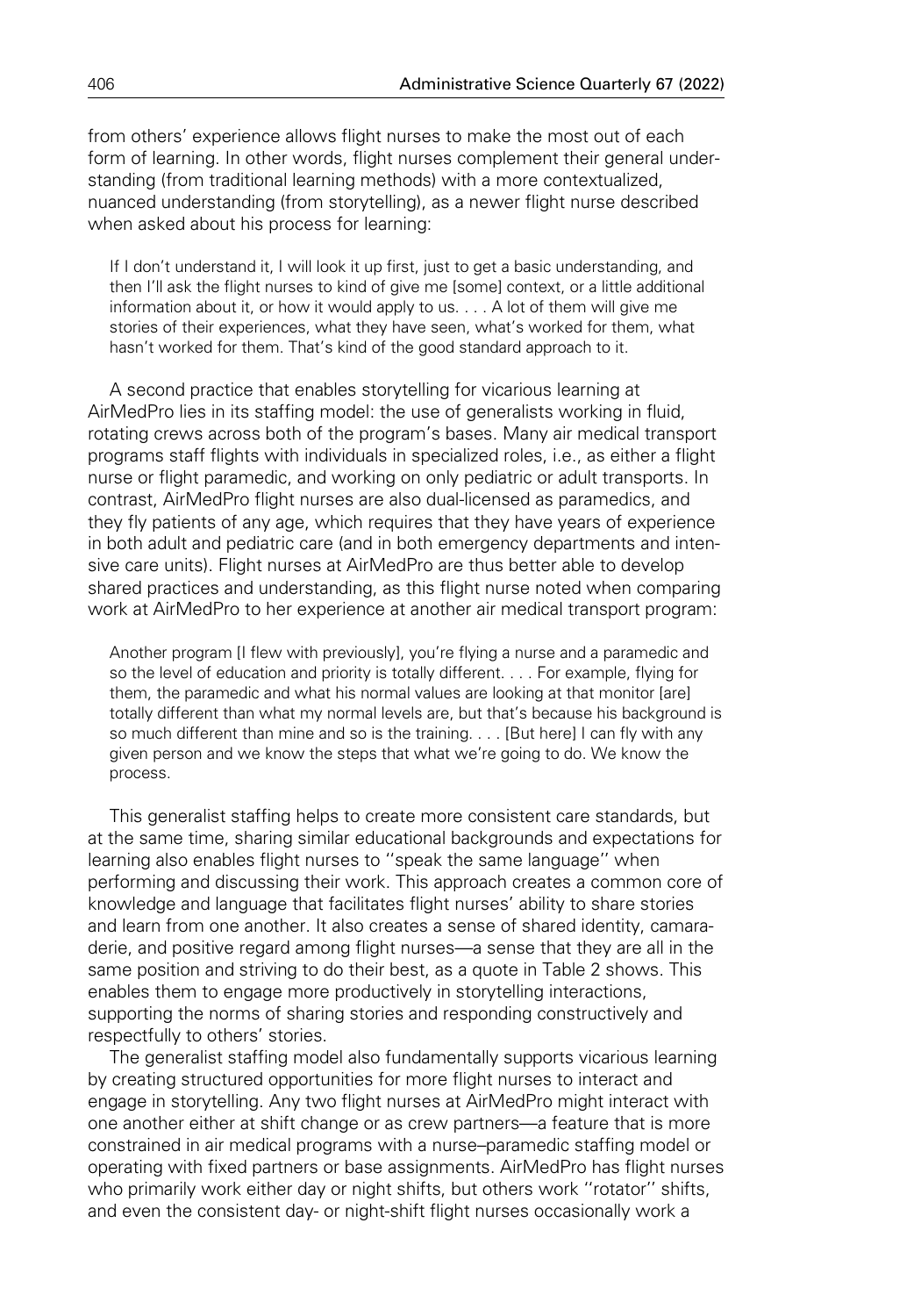from others' experience allows flight nurses to make the most out of each form of learning. In other words, flight nurses complement their general understanding (from traditional learning methods) with a more contextualized, nuanced understanding (from storytelling), as a newer flight nurse described when asked about his process for learning:

If I don't understand it, I will look it up first, just to get a basic understanding, and then I'll ask the flight nurses to kind of give me [some] context, or a little additional information about it, or how it would apply to us. . . . A lot of them will give me stories of their experiences, what they have seen, what's worked for them, what hasn't worked for them. That's kind of the good standard approach to it.

A second practice that enables storytelling for vicarious learning at AirMedPro lies in its staffing model: the use of generalists working in fluid, rotating crews across both of the program's bases. Many air medical transport programs staff flights with individuals in specialized roles, i.e., as either a flight nurse or flight paramedic, and working on only pediatric or adult transports. In contrast, AirMedPro flight nurses are also dual-licensed as paramedics, and they fly patients of any age, which requires that they have years of experience in both adult and pediatric care (and in both emergency departments and intensive care units). Flight nurses at AirMedPro are thus better able to develop shared practices and understanding, as this flight nurse noted when comparing work at AirMedPro to her experience at another air medical transport program:

Another program [I flew with previously], you're flying a nurse and a paramedic and so the level of education and priority is totally different. . . . For example, flying for them, the paramedic and what his normal values are looking at that monitor [are] totally different than what my normal levels are, but that's because his background is so much different than mine and so is the training. . . . [But here] I can fly with any given person and we know the steps that what we're going to do. We know the process.

This generalist staffing helps to create more consistent care standards, but at the same time, sharing similar educational backgrounds and expectations for learning also enables flight nurses to ''speak the same language'' when performing and discussing their work. This approach creates a common core of knowledge and language that facilitates flight nurses' ability to share stories and learn from one another. It also creates a sense of shared identity, camaraderie, and positive regard among flight nurses—a sense that they are all in the same position and striving to do their best, as a quote in Table 2 shows. This enables them to engage more productively in storytelling interactions, supporting the norms of sharing stories and responding constructively and respectfully to others' stories.

The generalist staffing model also fundamentally supports vicarious learning by creating structured opportunities for more flight nurses to interact and engage in storytelling. Any two flight nurses at AirMedPro might interact with one another either at shift change or as crew partners—a feature that is more constrained in air medical programs with a nurse–paramedic staffing model or operating with fixed partners or base assignments. AirMedPro has flight nurses who primarily work either day or night shifts, but others work ''rotator'' shifts, and even the consistent day- or night-shift flight nurses occasionally work a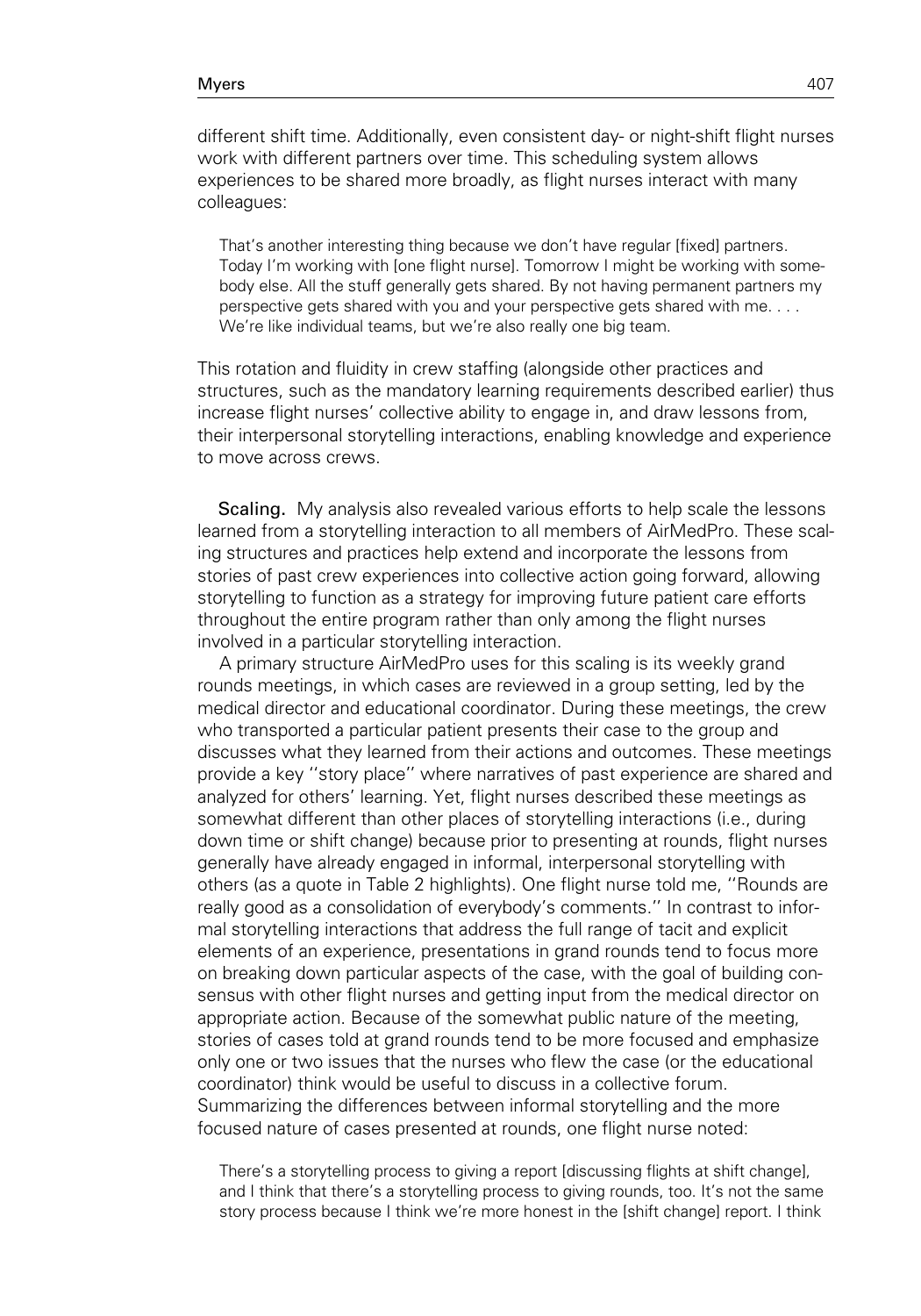different shift time. Additionally, even consistent day- or night-shift flight nurses work with different partners over time. This scheduling system allows experiences to be shared more broadly, as flight nurses interact with many colleagues:

That's another interesting thing because we don't have regular [fixed] partners. Today I'm working with [one flight nurse]. Tomorrow I might be working with somebody else. All the stuff generally gets shared. By not having permanent partners my perspective gets shared with you and your perspective gets shared with me. . . . We're like individual teams, but we're also really one big team.

This rotation and fluidity in crew staffing (alongside other practices and structures, such as the mandatory learning requirements described earlier) thus increase flight nurses' collective ability to engage in, and draw lessons from, their interpersonal storytelling interactions, enabling knowledge and experience to move across crews.

Scaling. My analysis also revealed various efforts to help scale the lessons learned from a storytelling interaction to all members of AirMedPro. These scaling structures and practices help extend and incorporate the lessons from stories of past crew experiences into collective action going forward, allowing storytelling to function as a strategy for improving future patient care efforts throughout the entire program rather than only among the flight nurses involved in a particular storytelling interaction.

A primary structure AirMedPro uses for this scaling is its weekly grand rounds meetings, in which cases are reviewed in a group setting, led by the medical director and educational coordinator. During these meetings, the crew who transported a particular patient presents their case to the group and discusses what they learned from their actions and outcomes. These meetings provide a key ''story place'' where narratives of past experience are shared and analyzed for others' learning. Yet, flight nurses described these meetings as somewhat different than other places of storytelling interactions (i.e., during down time or shift change) because prior to presenting at rounds, flight nurses generally have already engaged in informal, interpersonal storytelling with others (as a quote in Table 2 highlights). One flight nurse told me, ''Rounds are really good as a consolidation of everybody's comments.'' In contrast to informal storytelling interactions that address the full range of tacit and explicit elements of an experience, presentations in grand rounds tend to focus more on breaking down particular aspects of the case, with the goal of building consensus with other flight nurses and getting input from the medical director on appropriate action. Because of the somewhat public nature of the meeting, stories of cases told at grand rounds tend to be more focused and emphasize only one or two issues that the nurses who flew the case (or the educational coordinator) think would be useful to discuss in a collective forum. Summarizing the differences between informal storytelling and the more focused nature of cases presented at rounds, one flight nurse noted:

There's a storytelling process to giving a report [discussing flights at shift change], and I think that there's a storytelling process to giving rounds, too. It's not the same story process because I think we're more honest in the [shift change] report. I think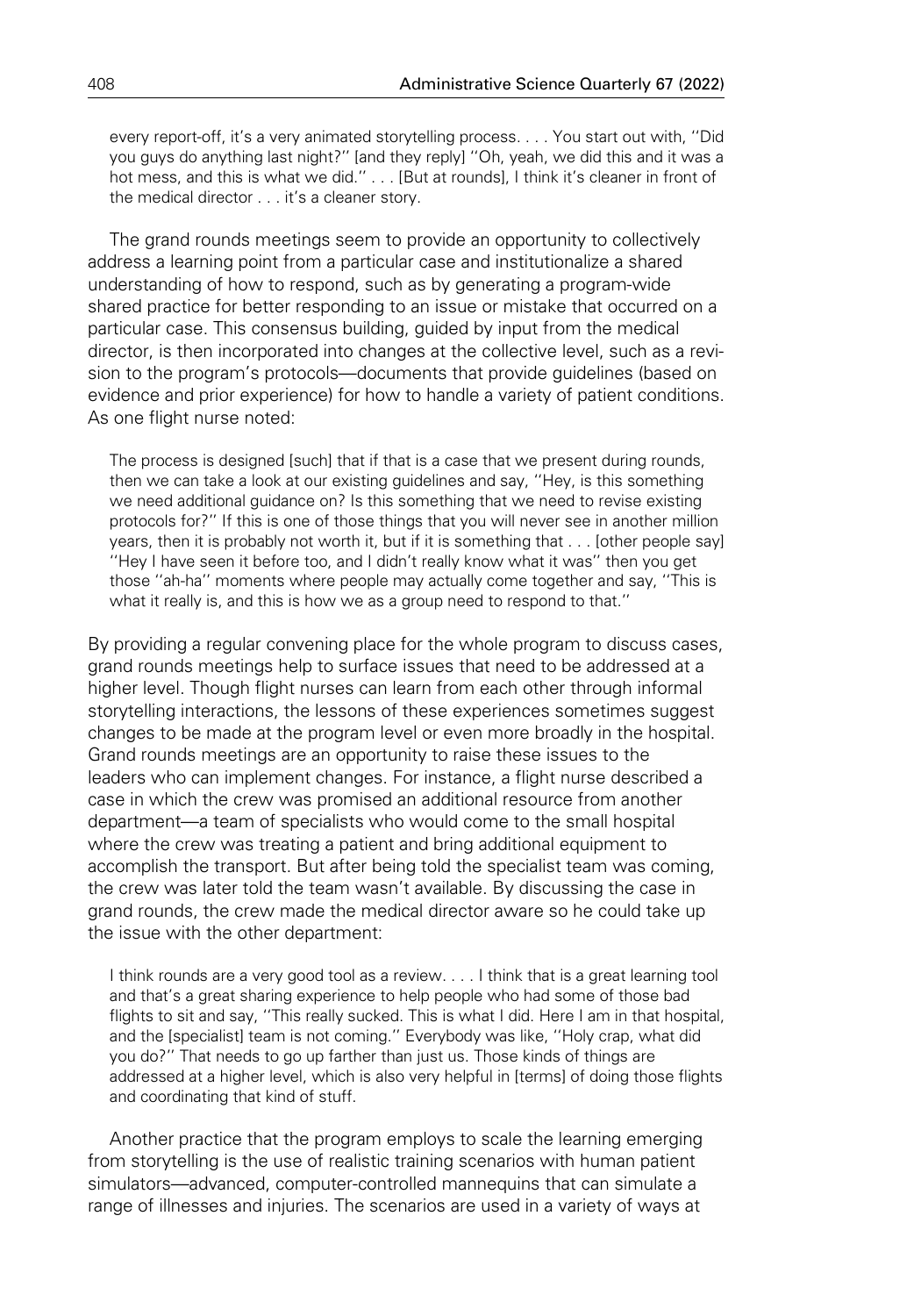every report-off, it's a very animated storytelling process. . . . You start out with, ''Did you guys do anything last night?'' [and they reply] ''Oh, yeah, we did this and it was a hot mess, and this is what we did." . . . [But at rounds], I think it's cleaner in front of the medical director . . . it's a cleaner story.

The grand rounds meetings seem to provide an opportunity to collectively address a learning point from a particular case and institutionalize a shared understanding of how to respond, such as by generating a program-wide shared practice for better responding to an issue or mistake that occurred on a particular case. This consensus building, guided by input from the medical director, is then incorporated into changes at the collective level, such as a revision to the program's protocols—documents that provide guidelines (based on evidence and prior experience) for how to handle a variety of patient conditions. As one flight nurse noted:

The process is designed [such] that if that is a case that we present during rounds, then we can take a look at our existing guidelines and say, ''Hey, is this something we need additional guidance on? Is this something that we need to revise existing protocols for?'' If this is one of those things that you will never see in another million years, then it is probably not worth it, but if it is something that . . . [other people say] ''Hey I have seen it before too, and I didn't really know what it was'' then you get those ''ah-ha'' moments where people may actually come together and say, ''This is what it really is, and this is how we as a group need to respond to that."

By providing a regular convening place for the whole program to discuss cases, grand rounds meetings help to surface issues that need to be addressed at a higher level. Though flight nurses can learn from each other through informal storytelling interactions, the lessons of these experiences sometimes suggest changes to be made at the program level or even more broadly in the hospital. Grand rounds meetings are an opportunity to raise these issues to the leaders who can implement changes. For instance, a flight nurse described a case in which the crew was promised an additional resource from another department—a team of specialists who would come to the small hospital where the crew was treating a patient and bring additional equipment to accomplish the transport. But after being told the specialist team was coming, the crew was later told the team wasn't available. By discussing the case in grand rounds, the crew made the medical director aware so he could take up the issue with the other department:

I think rounds are a very good tool as a review. . . . I think that is a great learning tool and that's a great sharing experience to help people who had some of those bad flights to sit and say, "This really sucked. This is what I did. Here I am in that hospital, and the [specialist] team is not coming.'' Everybody was like, ''Holy crap, what did you do?'' That needs to go up farther than just us. Those kinds of things are addressed at a higher level, which is also very helpful in [terms] of doing those flights and coordinating that kind of stuff.

Another practice that the program employs to scale the learning emerging from storytelling is the use of realistic training scenarios with human patient simulators—advanced, computer-controlled mannequins that can simulate a range of illnesses and injuries. The scenarios are used in a variety of ways at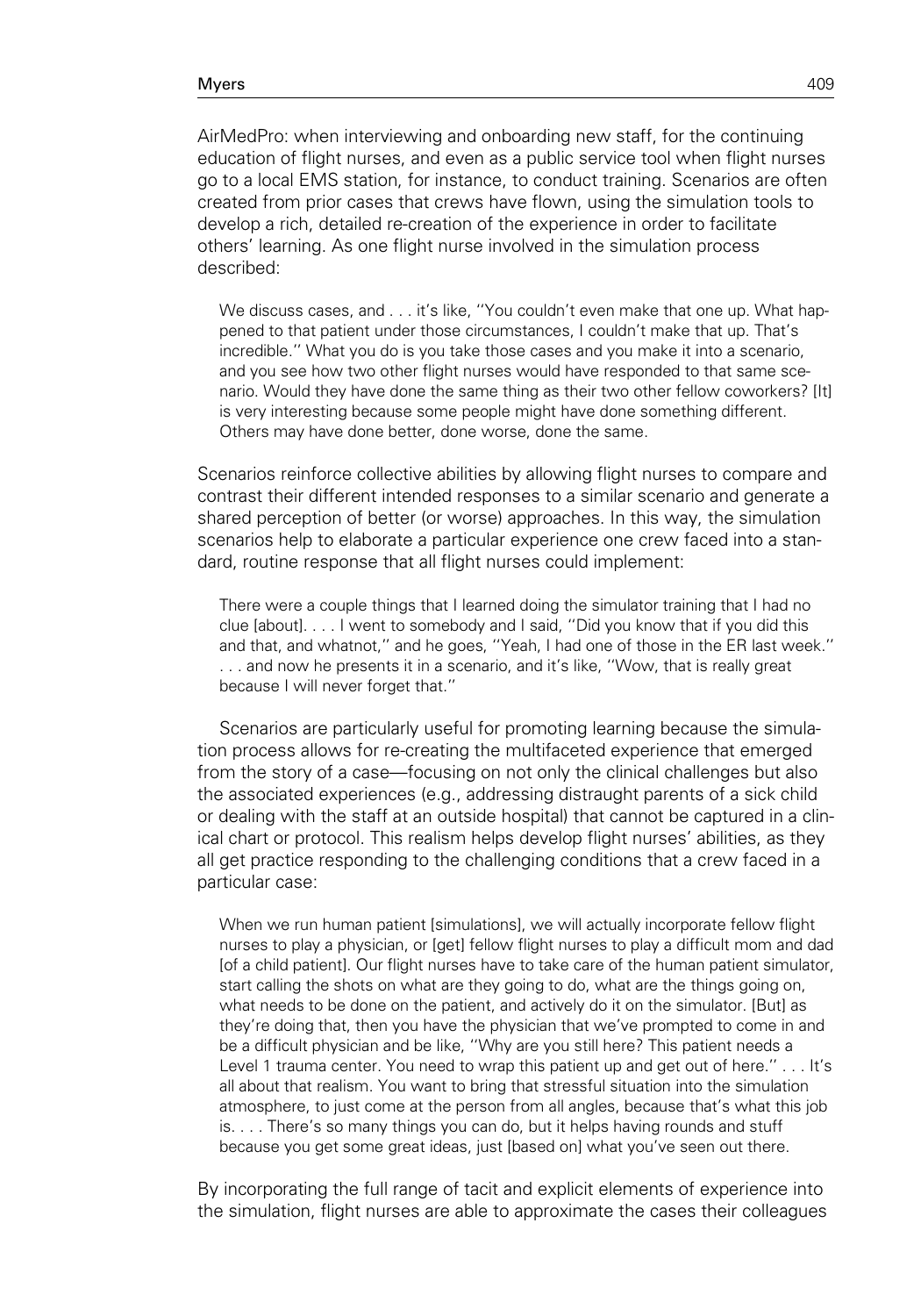AirMedPro: when interviewing and onboarding new staff, for the continuing education of flight nurses, and even as a public service tool when flight nurses go to a local EMS station, for instance, to conduct training. Scenarios are often created from prior cases that crews have flown, using the simulation tools to develop a rich, detailed re-creation of the experience in order to facilitate others' learning. As one flight nurse involved in the simulation process described:

We discuss cases, and . . . it's like, "You couldn't even make that one up. What happened to that patient under those circumstances, I couldn't make that up. That's incredible.'' What you do is you take those cases and you make it into a scenario, and you see how two other flight nurses would have responded to that same scenario. Would they have done the same thing as their two other fellow coworkers? [It] is very interesting because some people might have done something different. Others may have done better, done worse, done the same.

Scenarios reinforce collective abilities by allowing flight nurses to compare and contrast their different intended responses to a similar scenario and generate a shared perception of better (or worse) approaches. In this way, the simulation scenarios help to elaborate a particular experience one crew faced into a standard, routine response that all flight nurses could implement:

There were a couple things that I learned doing the simulator training that I had no clue [about]. . . . I went to somebody and I said, ''Did you know that if you did this and that, and whatnot,'' and he goes, ''Yeah, I had one of those in the ER last week.'' . . . and now he presents it in a scenario, and it's like, ''Wow, that is really great because I will never forget that.''

Scenarios are particularly useful for promoting learning because the simulation process allows for re-creating the multifaceted experience that emerged from the story of a case—focusing on not only the clinical challenges but also the associated experiences (e.g., addressing distraught parents of a sick child or dealing with the staff at an outside hospital) that cannot be captured in a clinical chart or protocol. This realism helps develop flight nurses' abilities, as they all get practice responding to the challenging conditions that a crew faced in a particular case:

When we run human patient [simulations], we will actually incorporate fellow flight nurses to play a physician, or [get] fellow flight nurses to play a difficult mom and dad [of a child patient]. Our flight nurses have to take care of the human patient simulator, start calling the shots on what are they going to do, what are the things going on, what needs to be done on the patient, and actively do it on the simulator. [But] as they're doing that, then you have the physician that we've prompted to come in and be a difficult physician and be like, ''Why are you still here? This patient needs a Level 1 trauma center. You need to wrap this patient up and get out of here.'' . . . It's all about that realism. You want to bring that stressful situation into the simulation atmosphere, to just come at the person from all angles, because that's what this job is. . . . There's so many things you can do, but it helps having rounds and stuff because you get some great ideas, just [based on] what you've seen out there.

By incorporating the full range of tacit and explicit elements of experience into the simulation, flight nurses are able to approximate the cases their colleagues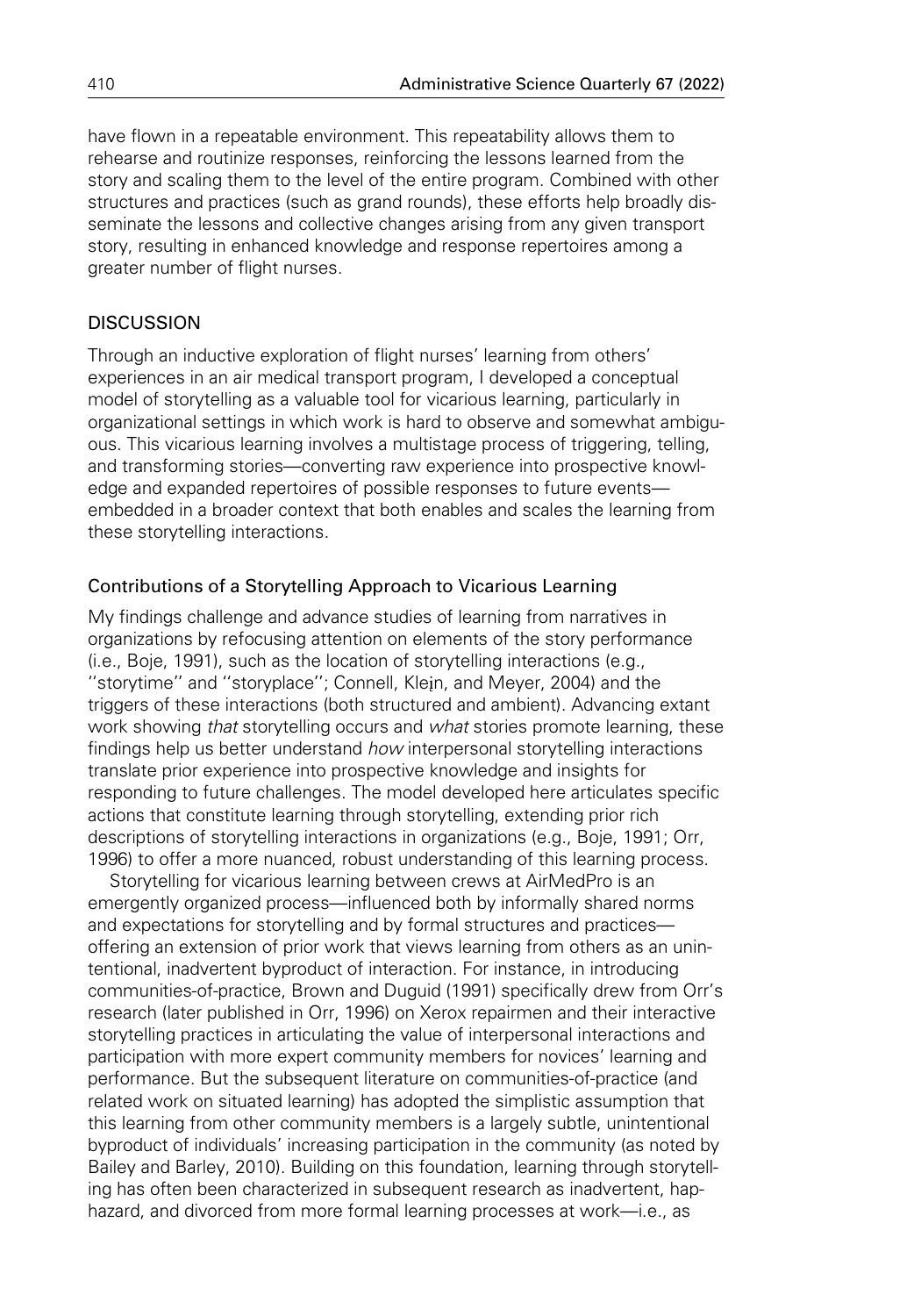have flown in a repeatable environment. This repeatability allows them to rehearse and routinize responses, reinforcing the lessons learned from the story and scaling them to the level of the entire program. Combined with other structures and practices (such as grand rounds), these efforts help broadly disseminate the lessons and collective changes arising from any given transport story, resulting in enhanced knowledge and response repertoires among a greater number of flight nurses.

# **DISCUSSION**

Through an inductive exploration of flight nurses' learning from others' experiences in an air medical transport program, I developed a conceptual model of storytelling as a valuable tool for vicarious learning, particularly in organizational settings in which work is hard to observe and somewhat ambiguous. This vicarious learning involves a multistage process of triggering, telling, and transforming stories—converting raw experience into prospective knowledge and expanded repertoires of possible responses to future events embedded in a broader context that both enables and scales the learning from these storytelling interactions.

# Contributions of a Storytelling Approach to Vicarious Learning

My findings challenge and advance studies of learning from narratives in organizations by refocusing attention on elements of the story performance (i.e., Boje, 1991), such as the location of storytelling interactions (e.g., "storytime" and "storyplace"; Connell, Klein, and Meyer, 2004) and the triggers of these interactions (both structured and ambient). Advancing extant work showing that storytelling occurs and what stories promote learning, these findings help us better understand how interpersonal storytelling interactions translate prior experience into prospective knowledge and insights for responding to future challenges. The model developed here articulates specific actions that constitute learning through storytelling, extending prior rich descriptions of storytelling interactions in organizations (e.g., Boje, 1991; Orr, 1996) to offer a more nuanced, robust understanding of this learning process.

Storytelling for vicarious learning between crews at AirMedPro is an emergently organized process—influenced both by informally shared norms and expectations for storytelling and by formal structures and practices offering an extension of prior work that views learning from others as an unintentional, inadvertent byproduct of interaction. For instance, in introducing communities-of-practice, Brown and Duguid (1991) specifically drew from Orr's research (later published in Orr, 1996) on Xerox repairmen and their interactive storytelling practices in articulating the value of interpersonal interactions and participation with more expert community members for novices' learning and performance. But the subsequent literature on communities-of-practice (and related work on situated learning) has adopted the simplistic assumption that this learning from other community members is a largely subtle, unintentional byproduct of individuals' increasing participation in the community (as noted by Bailey and Barley, 2010). Building on this foundation, learning through storytelling has often been characterized in subsequent research as inadvertent, haphazard, and divorced from more formal learning processes at work—i.e., as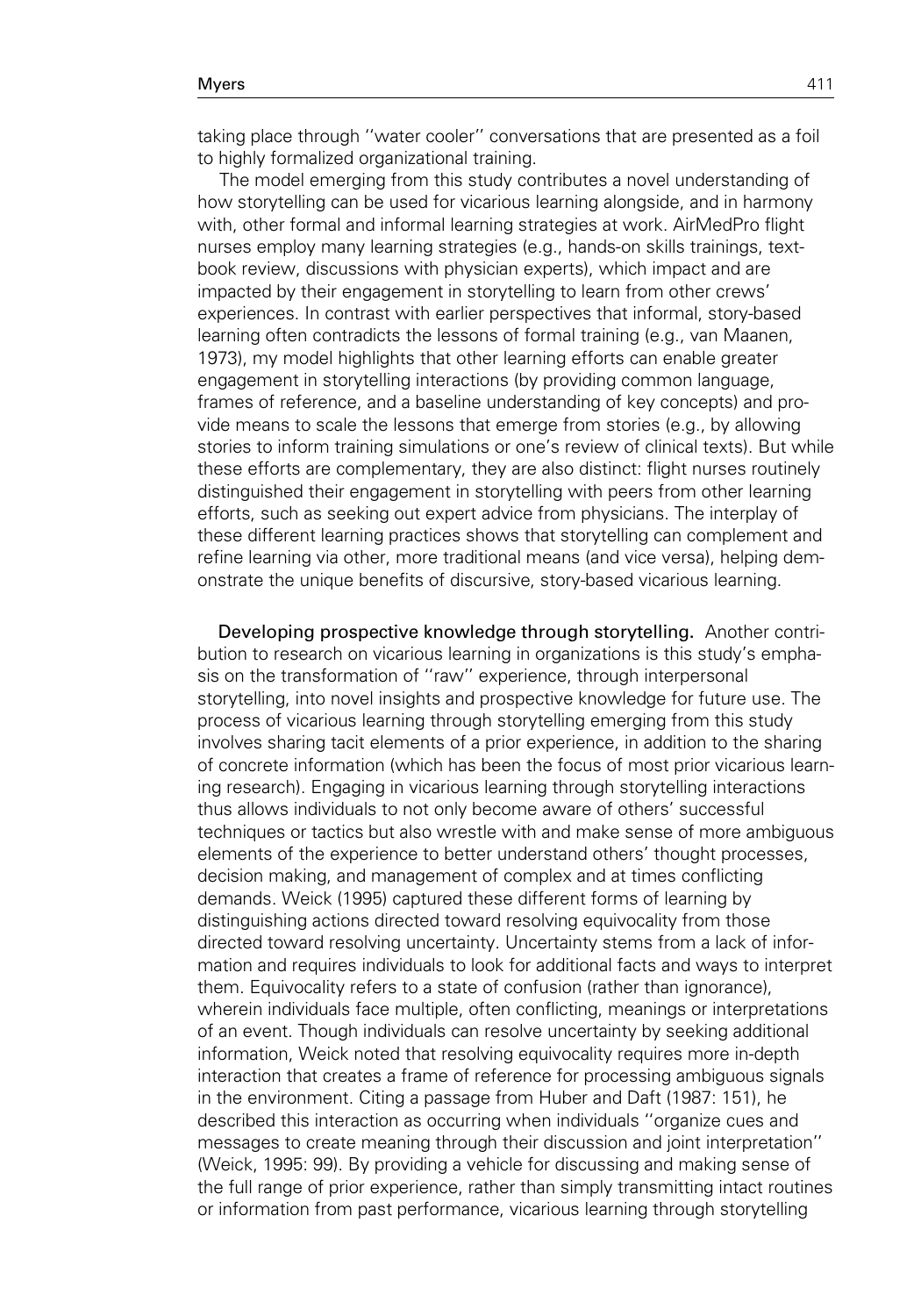taking place through ''water cooler'' conversations that are presented as a foil to highly formalized organizational training.

The model emerging from this study contributes a novel understanding of how storytelling can be used for vicarious learning alongside, and in harmony with, other formal and informal learning strategies at work. AirMedPro flight nurses employ many learning strategies (e.g., hands-on skills trainings, textbook review, discussions with physician experts), which impact and are impacted by their engagement in storytelling to learn from other crews' experiences. In contrast with earlier perspectives that informal, story-based learning often contradicts the lessons of formal training (e.g., van Maanen, 1973), my model highlights that other learning efforts can enable greater engagement in storytelling interactions (by providing common language, frames of reference, and a baseline understanding of key concepts) and provide means to scale the lessons that emerge from stories (e.g., by allowing stories to inform training simulations or one's review of clinical texts). But while these efforts are complementary, they are also distinct: flight nurses routinely distinguished their engagement in storytelling with peers from other learning efforts, such as seeking out expert advice from physicians. The interplay of these different learning practices shows that storytelling can complement and refine learning via other, more traditional means (and vice versa), helping demonstrate the unique benefits of discursive, story-based vicarious learning.

Developing prospective knowledge through storytelling. Another contribution to research on vicarious learning in organizations is this study's emphasis on the transformation of ''raw'' experience, through interpersonal storytelling, into novel insights and prospective knowledge for future use. The process of vicarious learning through storytelling emerging from this study involves sharing tacit elements of a prior experience, in addition to the sharing of concrete information (which has been the focus of most prior vicarious learning research). Engaging in vicarious learning through storytelling interactions thus allows individuals to not only become aware of others' successful techniques or tactics but also wrestle with and make sense of more ambiguous elements of the experience to better understand others' thought processes, decision making, and management of complex and at times conflicting demands. Weick (1995) captured these different forms of learning by distinguishing actions directed toward resolving equivocality from those directed toward resolving uncertainty. Uncertainty stems from a lack of information and requires individuals to look for additional facts and ways to interpret them. Equivocality refers to a state of confusion (rather than ignorance), wherein individuals face multiple, often conflicting, meanings or interpretations of an event. Though individuals can resolve uncertainty by seeking additional information, Weick noted that resolving equivocality requires more in-depth interaction that creates a frame of reference for processing ambiguous signals in the environment. Citing a passage from Huber and Daft (1987: 151), he described this interaction as occurring when individuals ''organize cues and messages to create meaning through their discussion and joint interpretation'' (Weick, 1995: 99). By providing a vehicle for discussing and making sense of the full range of prior experience, rather than simply transmitting intact routines or information from past performance, vicarious learning through storytelling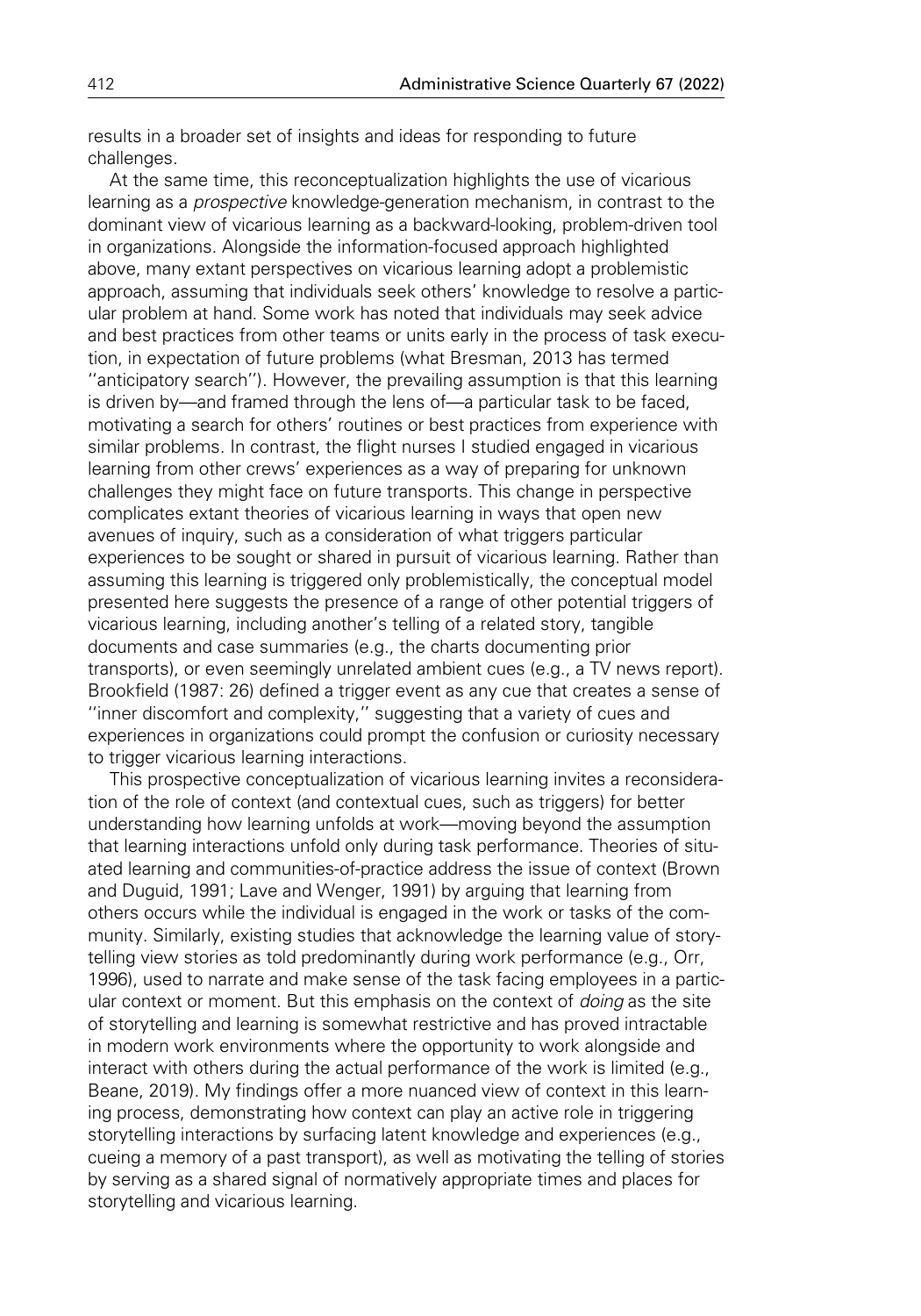results in a broader set of insights and ideas for responding to future challenges.

At the same time, this reconceptualization highlights the use of vicarious learning as a *prospective* knowledge-generation mechanism, in contrast to the dominant view of vicarious learning as a backward-looking, problem-driven tool in organizations. Alongside the information-focused approach highlighted above, many extant perspectives on vicarious learning adopt a problemistic approach, assuming that individuals seek others' knowledge to resolve a particular problem at hand. Some work has noted that individuals may seek advice and best practices from other teams or units early in the process of task execution, in expectation of future problems (what Bresman, 2013 has termed ''anticipatory search''). However, the prevailing assumption is that this learning is driven by—and framed through the lens of—a particular task to be faced, motivating a search for others' routines or best practices from experience with similar problems. In contrast, the flight nurses I studied engaged in vicarious learning from other crews' experiences as a way of preparing for unknown challenges they might face on future transports. This change in perspective complicates extant theories of vicarious learning in ways that open new avenues of inquiry, such as a consideration of what triggers particular experiences to be sought or shared in pursuit of vicarious learning. Rather than assuming this learning is triggered only problemistically, the conceptual model presented here suggests the presence of a range of other potential triggers of vicarious learning, including another's telling of a related story, tangible documents and case summaries (e.g., the charts documenting prior transports), or even seemingly unrelated ambient cues (e.g., a TV news report). Brookfield (1987: 26) defined a trigger event as any cue that creates a sense of ''inner discomfort and complexity,'' suggesting that a variety of cues and experiences in organizations could prompt the confusion or curiosity necessary to trigger vicarious learning interactions.

This prospective conceptualization of vicarious learning invites a reconsideration of the role of context (and contextual cues, such as triggers) for better understanding how learning unfolds at work—moving beyond the assumption that learning interactions unfold only during task performance. Theories of situated learning and communities-of-practice address the issue of context (Brown and Duguid, 1991; Lave and Wenger, 1991) by arguing that learning from others occurs while the individual is engaged in the work or tasks of the community. Similarly, existing studies that acknowledge the learning value of storytelling view stories as told predominantly during work performance (e.g., Orr, 1996), used to narrate and make sense of the task facing employees in a particular context or moment. But this emphasis on the context of *doing* as the site of storytelling and learning is somewhat restrictive and has proved intractable in modern work environments where the opportunity to work alongside and interact with others during the actual performance of the work is limited (e.g., Beane, 2019). My findings offer a more nuanced view of context in this learning process, demonstrating how context can play an active role in triggering storytelling interactions by surfacing latent knowledge and experiences (e.g., cueing a memory of a past transport), as well as motivating the telling of stories by serving as a shared signal of normatively appropriate times and places for storytelling and vicarious learning.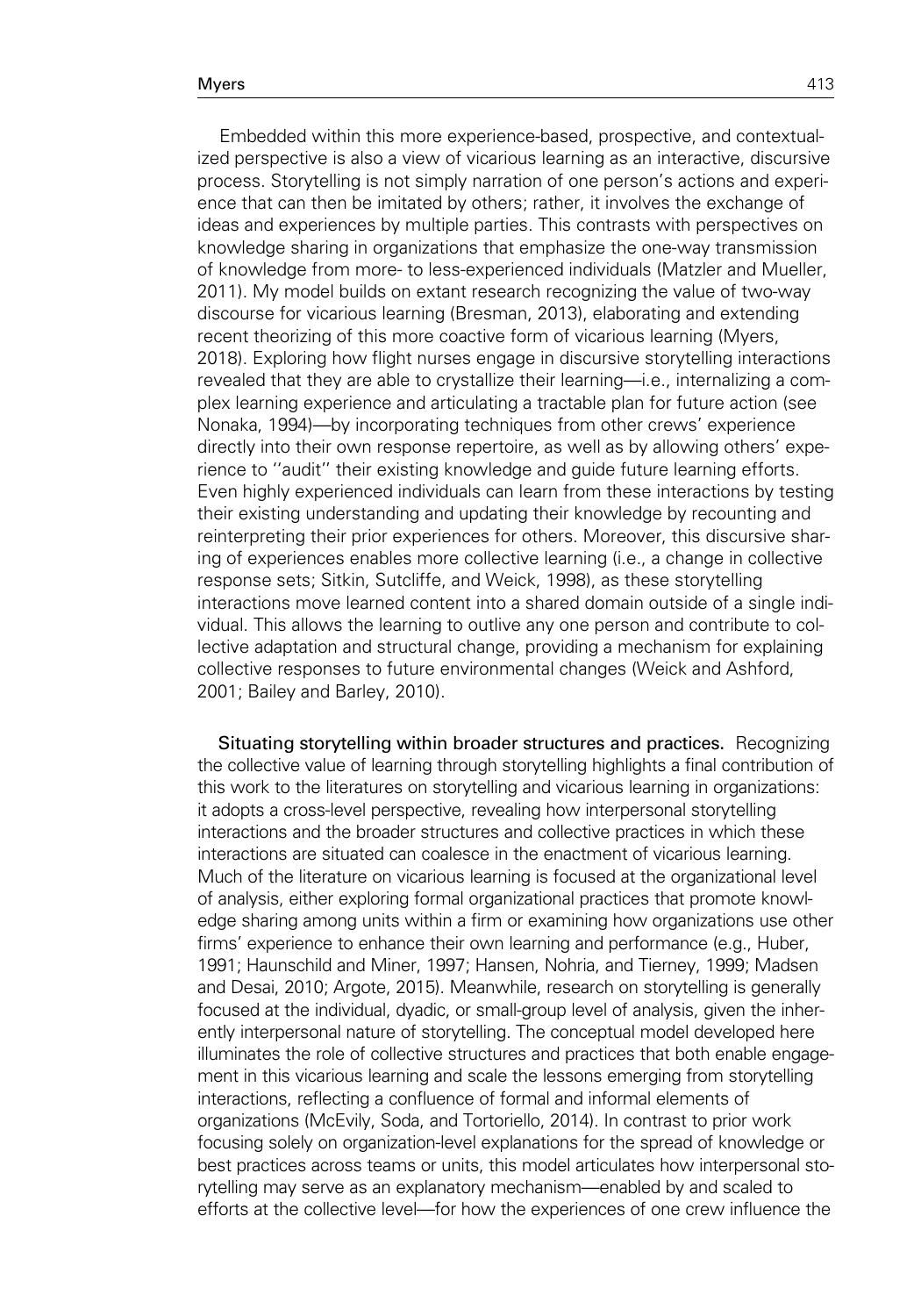Embedded within this more experience-based, prospective, and contextualized perspective is also a view of vicarious learning as an interactive, discursive process. Storytelling is not simply narration of one person's actions and experience that can then be imitated by others; rather, it involves the exchange of ideas and experiences by multiple parties. This contrasts with perspectives on knowledge sharing in organizations that emphasize the one-way transmission of knowledge from more- to less-experienced individuals (Matzler and Mueller, 2011). My model builds on extant research recognizing the value of two-way discourse for vicarious learning (Bresman, 2013), elaborating and extending recent theorizing of this more coactive form of vicarious learning (Myers, 2018). Exploring how flight nurses engage in discursive storytelling interactions revealed that they are able to crystallize their learning—i.e., internalizing a complex learning experience and articulating a tractable plan for future action (see Nonaka, 1994)—by incorporating techniques from other crews' experience directly into their own response repertoire, as well as by allowing others' experience to ''audit'' their existing knowledge and guide future learning efforts. Even highly experienced individuals can learn from these interactions by testing their existing understanding and updating their knowledge by recounting and reinterpreting their prior experiences for others. Moreover, this discursive sharing of experiences enables more collective learning (i.e., a change in collective response sets; Sitkin, Sutcliffe, and Weick, 1998), as these storytelling interactions move learned content into a shared domain outside of a single individual. This allows the learning to outlive any one person and contribute to collective adaptation and structural change, providing a mechanism for explaining collective responses to future environmental changes (Weick and Ashford, 2001; Bailey and Barley, 2010).

Situating storytelling within broader structures and practices. Recognizing the collective value of learning through storytelling highlights a final contribution of this work to the literatures on storytelling and vicarious learning in organizations: it adopts a cross-level perspective, revealing how interpersonal storytelling interactions and the broader structures and collective practices in which these interactions are situated can coalesce in the enactment of vicarious learning. Much of the literature on vicarious learning is focused at the organizational level of analysis, either exploring formal organizational practices that promote knowledge sharing among units within a firm or examining how organizations use other firms' experience to enhance their own learning and performance (e.g., Huber, 1991; Haunschild and Miner, 1997; Hansen, Nohria, and Tierney, 1999; Madsen and Desai, 2010; Argote, 2015). Meanwhile, research on storytelling is generally focused at the individual, dyadic, or small-group level of analysis, given the inherently interpersonal nature of storytelling. The conceptual model developed here illuminates the role of collective structures and practices that both enable engagement in this vicarious learning and scale the lessons emerging from storytelling interactions, reflecting a confluence of formal and informal elements of organizations (McEvily, Soda, and Tortoriello, 2014). In contrast to prior work focusing solely on organization-level explanations for the spread of knowledge or best practices across teams or units, this model articulates how interpersonal storytelling may serve as an explanatory mechanism—enabled by and scaled to efforts at the collective level—for how the experiences of one crew influence the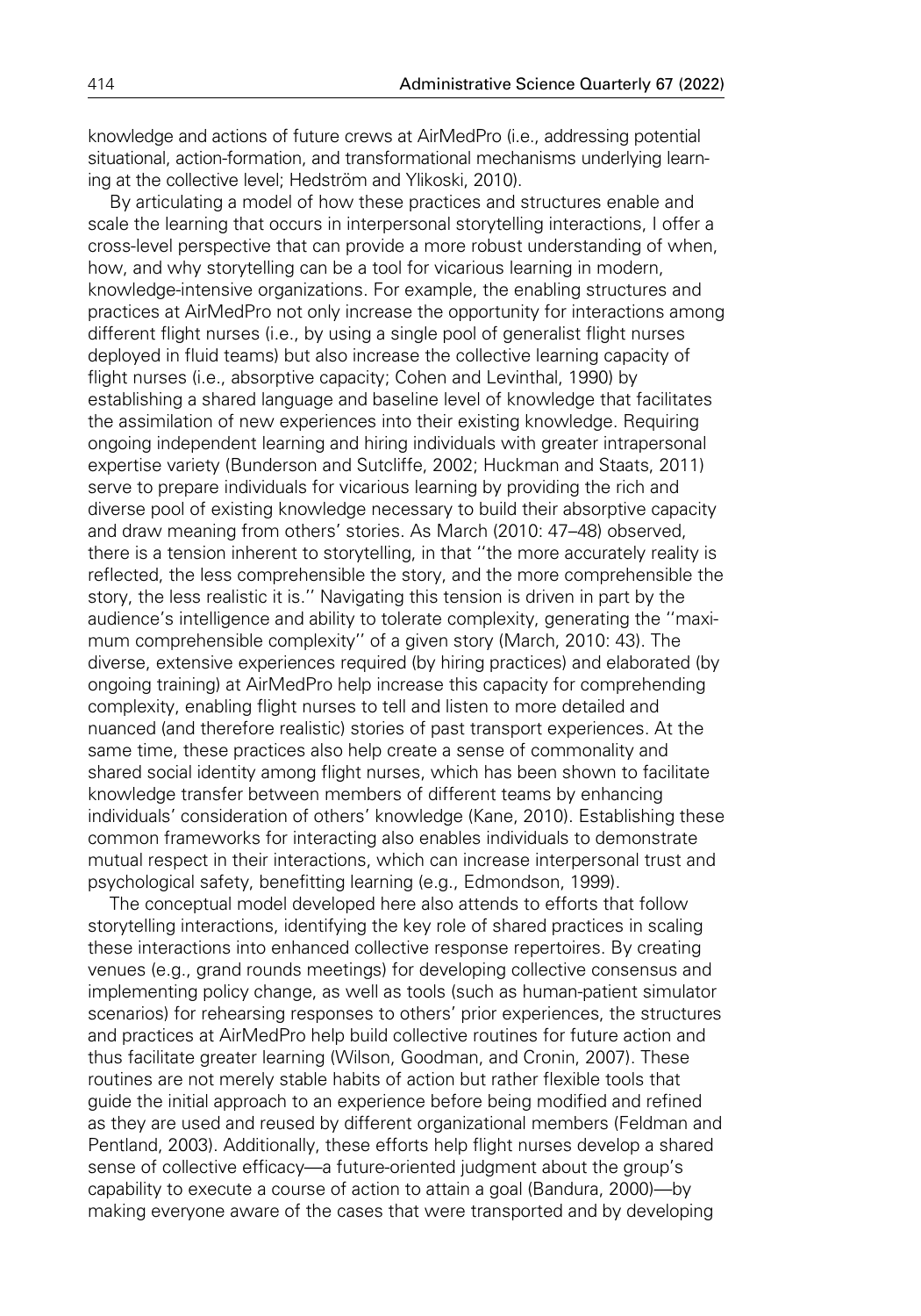knowledge and actions of future crews at AirMedPro (i.e., addressing potential situational, action-formation, and transformational mechanisms underlying learning at the collective level; Hedström and Ylikoski, 2010).

By articulating a model of how these practices and structures enable and scale the learning that occurs in interpersonal storytelling interactions, I offer a cross-level perspective that can provide a more robust understanding of when, how, and why storytelling can be a tool for vicarious learning in modern, knowledge-intensive organizations. For example, the enabling structures and practices at AirMedPro not only increase the opportunity for interactions among different flight nurses (i.e., by using a single pool of generalist flight nurses deployed in fluid teams) but also increase the collective learning capacity of flight nurses (i.e., absorptive capacity; Cohen and Levinthal, 1990) by establishing a shared language and baseline level of knowledge that facilitates the assimilation of new experiences into their existing knowledge. Requiring ongoing independent learning and hiring individuals with greater intrapersonal expertise variety (Bunderson and Sutcliffe, 2002; Huckman and Staats, 2011) serve to prepare individuals for vicarious learning by providing the rich and diverse pool of existing knowledge necessary to build their absorptive capacity and draw meaning from others' stories. As March (2010: 47–48) observed, there is a tension inherent to storytelling, in that ''the more accurately reality is reflected, the less comprehensible the story, and the more comprehensible the story, the less realistic it is.'' Navigating this tension is driven in part by the audience's intelligence and ability to tolerate complexity, generating the ''maximum comprehensible complexity'' of a given story (March, 2010: 43). The diverse, extensive experiences required (by hiring practices) and elaborated (by ongoing training) at AirMedPro help increase this capacity for comprehending complexity, enabling flight nurses to tell and listen to more detailed and nuanced (and therefore realistic) stories of past transport experiences. At the same time, these practices also help create a sense of commonality and shared social identity among flight nurses, which has been shown to facilitate knowledge transfer between members of different teams by enhancing individuals' consideration of others' knowledge (Kane, 2010). Establishing these common frameworks for interacting also enables individuals to demonstrate mutual respect in their interactions, which can increase interpersonal trust and psychological safety, benefitting learning (e.g., Edmondson, 1999).

The conceptual model developed here also attends to efforts that follow storytelling interactions, identifying the key role of shared practices in scaling these interactions into enhanced collective response repertoires. By creating venues (e.g., grand rounds meetings) for developing collective consensus and implementing policy change, as well as tools (such as human-patient simulator scenarios) for rehearsing responses to others' prior experiences, the structures and practices at AirMedPro help build collective routines for future action and thus facilitate greater learning (Wilson, Goodman, and Cronin, 2007). These routines are not merely stable habits of action but rather flexible tools that guide the initial approach to an experience before being modified and refined as they are used and reused by different organizational members (Feldman and Pentland, 2003). Additionally, these efforts help flight nurses develop a shared sense of collective efficacy—a future-oriented judgment about the group's capability to execute a course of action to attain a goal (Bandura, 2000)—by making everyone aware of the cases that were transported and by developing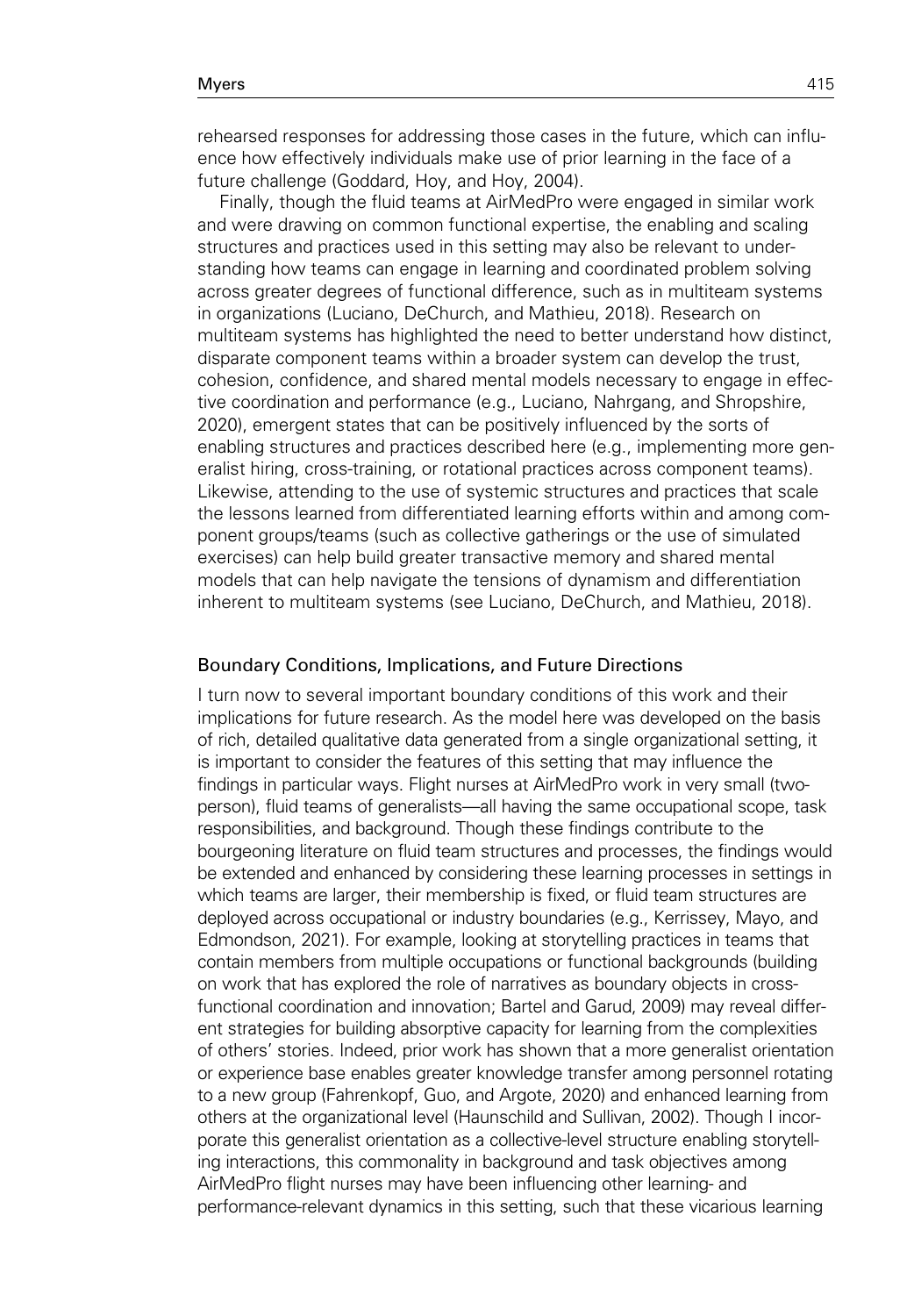rehearsed responses for addressing those cases in the future, which can influence how effectively individuals make use of prior learning in the face of a future challenge (Goddard, Hoy, and Hoy, 2004).

Finally, though the fluid teams at AirMedPro were engaged in similar work and were drawing on common functional expertise, the enabling and scaling structures and practices used in this setting may also be relevant to understanding how teams can engage in learning and coordinated problem solving across greater degrees of functional difference, such as in multiteam systems in organizations (Luciano, DeChurch, and Mathieu, 2018). Research on multiteam systems has highlighted the need to better understand how distinct, disparate component teams within a broader system can develop the trust, cohesion, confidence, and shared mental models necessary to engage in effective coordination and performance (e.g., Luciano, Nahrgang, and Shropshire, 2020), emergent states that can be positively influenced by the sorts of enabling structures and practices described here (e.g., implementing more generalist hiring, cross-training, or rotational practices across component teams). Likewise, attending to the use of systemic structures and practices that scale the lessons learned from differentiated learning efforts within and among component groups/teams (such as collective gatherings or the use of simulated exercises) can help build greater transactive memory and shared mental models that can help navigate the tensions of dynamism and differentiation inherent to multiteam systems (see Luciano, DeChurch, and Mathieu, 2018).

### Boundary Conditions, Implications, and Future Directions

I turn now to several important boundary conditions of this work and their implications for future research. As the model here was developed on the basis of rich, detailed qualitative data generated from a single organizational setting, it is important to consider the features of this setting that may influence the findings in particular ways. Flight nurses at AirMedPro work in very small (twoperson), fluid teams of generalists—all having the same occupational scope, task responsibilities, and background. Though these findings contribute to the bourgeoning literature on fluid team structures and processes, the findings would be extended and enhanced by considering these learning processes in settings in which teams are larger, their membership is fixed, or fluid team structures are deployed across occupational or industry boundaries (e.g., Kerrissey, Mayo, and Edmondson, 2021). For example, looking at storytelling practices in teams that contain members from multiple occupations or functional backgrounds (building on work that has explored the role of narratives as boundary objects in crossfunctional coordination and innovation; Bartel and Garud, 2009) may reveal different strategies for building absorptive capacity for learning from the complexities of others' stories. Indeed, prior work has shown that a more generalist orientation or experience base enables greater knowledge transfer among personnel rotating to a new group (Fahrenkopf, Guo, and Argote, 2020) and enhanced learning from others at the organizational level (Haunschild and Sullivan, 2002). Though I incorporate this generalist orientation as a collective-level structure enabling storytelling interactions, this commonality in background and task objectives among AirMedPro flight nurses may have been influencing other learning- and performance-relevant dynamics in this setting, such that these vicarious learning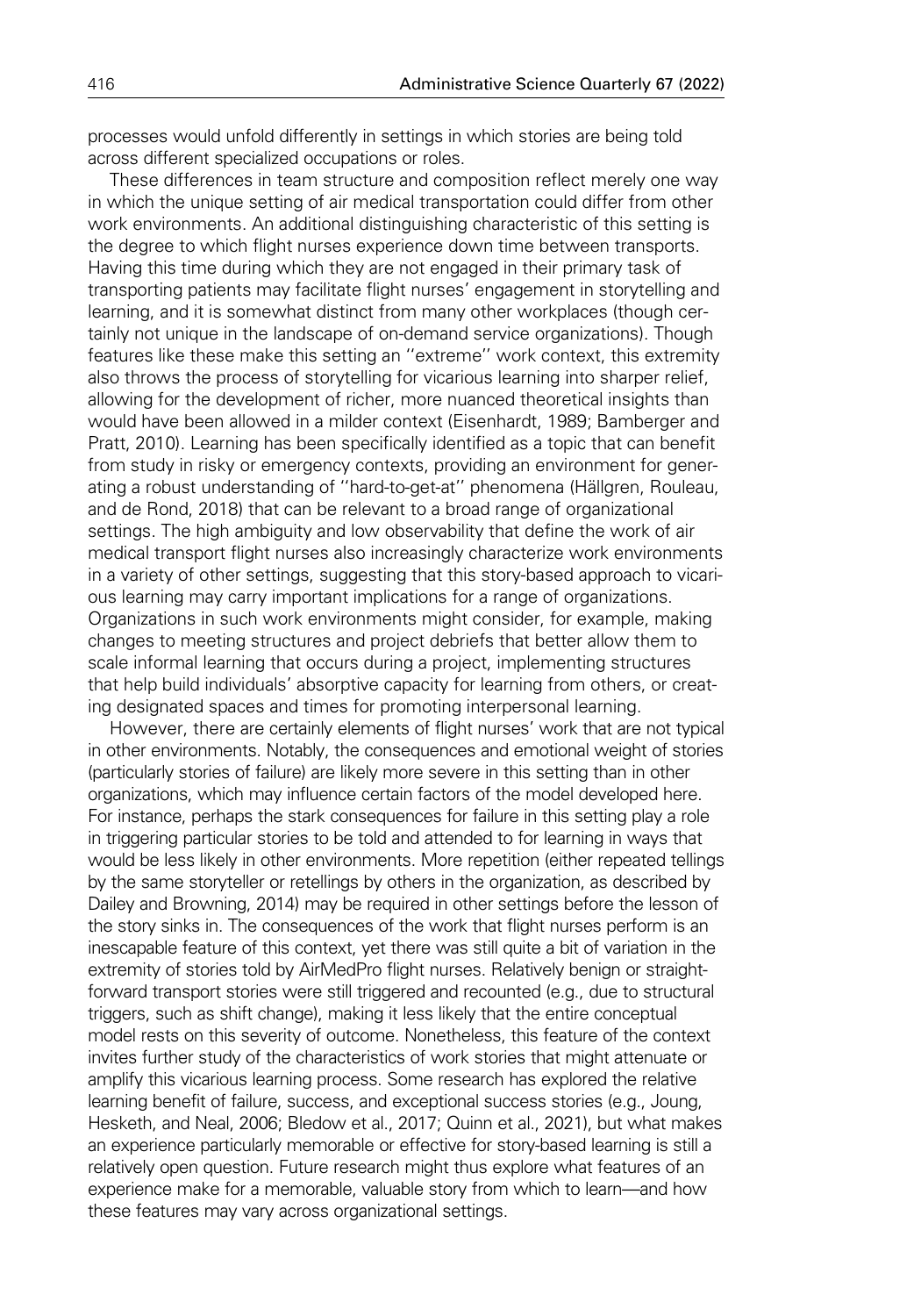processes would unfold differently in settings in which stories are being told across different specialized occupations or roles.

These differences in team structure and composition reflect merely one way in which the unique setting of air medical transportation could differ from other work environments. An additional distinguishing characteristic of this setting is the degree to which flight nurses experience down time between transports. Having this time during which they are not engaged in their primary task of transporting patients may facilitate flight nurses' engagement in storytelling and learning, and it is somewhat distinct from many other workplaces (though certainly not unique in the landscape of on-demand service organizations). Though features like these make this setting an ''extreme'' work context, this extremity also throws the process of storytelling for vicarious learning into sharper relief, allowing for the development of richer, more nuanced theoretical insights than would have been allowed in a milder context (Eisenhardt, 1989; Bamberger and Pratt, 2010). Learning has been specifically identified as a topic that can benefit from study in risky or emergency contexts, providing an environment for generating a robust understanding of "hard-to-get-at" phenomena (Hällgren, Rouleau, and de Rond, 2018) that can be relevant to a broad range of organizational settings. The high ambiguity and low observability that define the work of air medical transport flight nurses also increasingly characterize work environments in a variety of other settings, suggesting that this story-based approach to vicarious learning may carry important implications for a range of organizations. Organizations in such work environments might consider, for example, making changes to meeting structures and project debriefs that better allow them to scale informal learning that occurs during a project, implementing structures that help build individuals' absorptive capacity for learning from others, or creating designated spaces and times for promoting interpersonal learning.

However, there are certainly elements of flight nurses' work that are not typical in other environments. Notably, the consequences and emotional weight of stories (particularly stories of failure) are likely more severe in this setting than in other organizations, which may influence certain factors of the model developed here. For instance, perhaps the stark consequences for failure in this setting play a role in triggering particular stories to be told and attended to for learning in ways that would be less likely in other environments. More repetition (either repeated tellings by the same storyteller or retellings by others in the organization, as described by Dailey and Browning, 2014) may be required in other settings before the lesson of the story sinks in. The consequences of the work that flight nurses perform is an inescapable feature of this context, yet there was still quite a bit of variation in the extremity of stories told by AirMedPro flight nurses. Relatively benign or straightforward transport stories were still triggered and recounted (e.g., due to structural triggers, such as shift change), making it less likely that the entire conceptual model rests on this severity of outcome. Nonetheless, this feature of the context invites further study of the characteristics of work stories that might attenuate or amplify this vicarious learning process. Some research has explored the relative learning benefit of failure, success, and exceptional success stories (e.g., Joung, Hesketh, and Neal, 2006; Bledow et al., 2017; Quinn et al., 2021), but what makes an experience particularly memorable or effective for story-based learning is still a relatively open question. Future research might thus explore what features of an experience make for a memorable, valuable story from which to learn—and how these features may vary across organizational settings.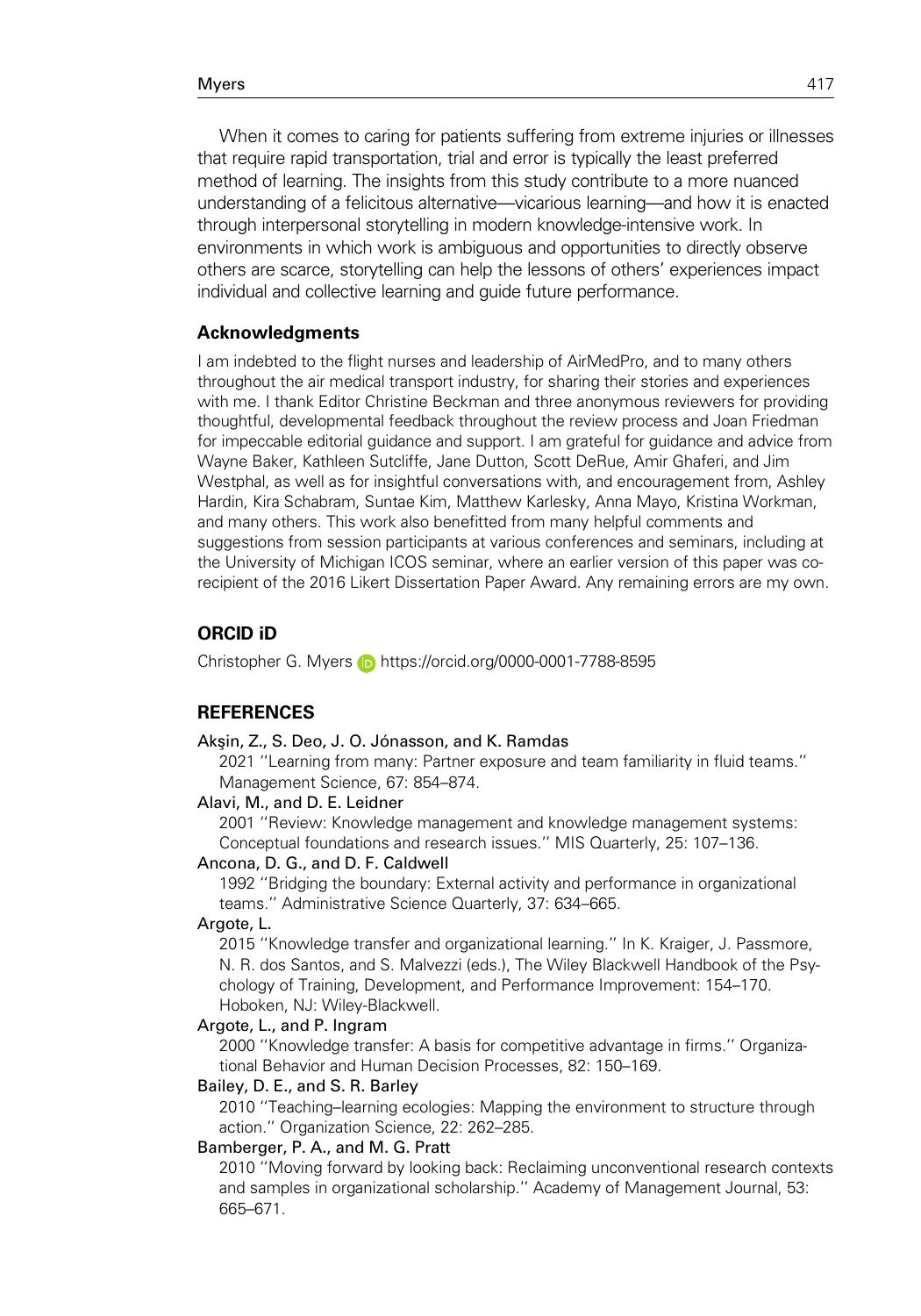When it comes to caring for patients suffering from extreme injuries or illnesses that require rapid transportation, trial and error is typically the least preferred method of learning. The insights from this study contribute to a more nuanced understanding of a felicitous alternative—vicarious learning—and how it is enacted through interpersonal storytelling in modern knowledge-intensive work. In environments in which work is ambiguous and opportunities to directly observe others are scarce, storytelling can help the lessons of others' experiences impact individual and collective learning and guide future performance.

### Acknowledgments

I am indebted to the flight nurses and leadership of AirMedPro, and to many others throughout the air medical transport industry, for sharing their stories and experiences with me. I thank Editor Christine Beckman and three anonymous reviewers for providing thoughtful, developmental feedback throughout the review process and Joan Friedman for impeccable editorial guidance and support. I am grateful for guidance and advice from Wayne Baker, Kathleen Sutcliffe, Jane Dutton, Scott DeRue, Amir Ghaferi, and Jim Westphal, as well as for insightful conversations with, and encouragement from, Ashley Hardin, Kira Schabram, Suntae Kim, Matthew Karlesky, Anna Mayo, Kristina Workman, and many others. This work also benefitted from many helpful comments and suggestions from session participants at various conferences and seminars, including at the University of Michigan ICOS seminar, where an earlier version of this paper was corecipient of the 2016 Likert Dissertation Paper Award. Any remaining errors are my own.

# ORCID iD

Christopher G. Myers **<https://orcid.org/0000-0001-7788-8595>** 

## REFERENCES

#### Aksin, Z., S. Deo, J. O. Jónasson, and K. Ramdas

2021 ''Learning from many: Partner exposure and team familiarity in fluid teams.'' Management Science, 67: 854–874.

#### Alavi, M., and D. E. Leidner

2001 ''Review: Knowledge management and knowledge management systems: Conceptual foundations and research issues.'' MIS Quarterly, 25: 107–136.

#### Ancona, D. G., and D. F. Caldwell

1992 ''Bridging the boundary: External activity and performance in organizational teams.'' Administrative Science Quarterly, 37: 634–665.

### Argote, L.

2015 ''Knowledge transfer and organizational learning.'' In K. Kraiger, J. Passmore, N. R. dos Santos, and S. Malvezzi (eds.), The Wiley Blackwell Handbook of the Psychology of Training, Development, and Performance Improvement: 154–170. Hoboken, NJ: Wiley-Blackwell.

#### Argote, L., and P. Ingram

2000 ''Knowledge transfer: A basis for competitive advantage in firms.'' Organizational Behavior and Human Decision Processes, 82: 150–169.

### Bailey, D. E., and S. R. Barley

2010 ''Teaching–learning ecologies: Mapping the environment to structure through action.'' Organization Science, 22: 262–285.

## Bamberger, P. A., and M. G. Pratt

2010 ''Moving forward by looking back: Reclaiming unconventional research contexts and samples in organizational scholarship.'' Academy of Management Journal, 53: 665–671.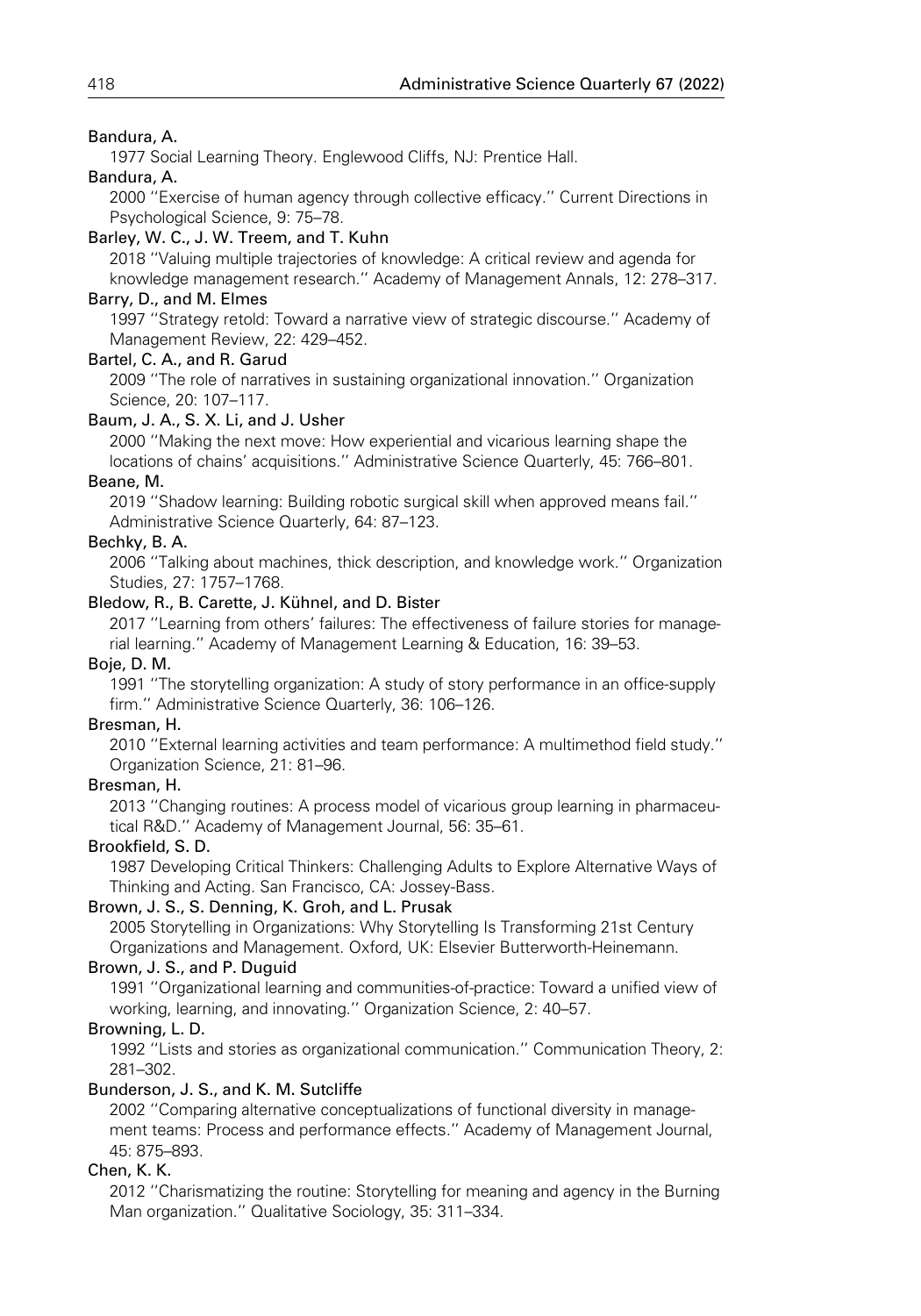# Bandura, A.

1977 Social Learning Theory. Englewood Cliffs, NJ: Prentice Hall.

# Bandura, A.

2000 ''Exercise of human agency through collective efficacy.'' Current Directions in Psychological Science, 9: 75–78.

# Barley, W. C., J. W. Treem, and T. Kuhn

2018 ''Valuing multiple trajectories of knowledge: A critical review and agenda for knowledge management research.'' Academy of Management Annals, 12: 278–317.

# Barry, D., and M. Elmes

1997 ''Strategy retold: Toward a narrative view of strategic discourse.'' Academy of Management Review, 22: 429–452.

# Bartel, C. A., and R. Garud

2009 ''The role of narratives in sustaining organizational innovation.'' Organization Science, 20: 107–117.

# Baum, J. A., S. X. Li, and J. Usher

2000 ''Making the next move: How experiential and vicarious learning shape the locations of chains' acquisitions.'' Administrative Science Quarterly, 45: 766–801. Beane, M.

2019 ''Shadow learning: Building robotic surgical skill when approved means fail.'' Administrative Science Quarterly, 64: 87–123.

# Bechky, B. A.

2006 ''Talking about machines, thick description, and knowledge work.'' Organization Studies, 27: 1757–1768.

# Bledow, R., B. Carette, J. Kühnel, and D. Bister

2017 ''Learning from others' failures: The effectiveness of failure stories for managerial learning.'' Academy of Management Learning & Education, 16: 39–53.

# Boje, D. M.

1991 ''The storytelling organization: A study of story performance in an office-supply firm.'' Administrative Science Quarterly, 36: 106–126.

# Bresman, H.

2010 ''External learning activities and team performance: A multimethod field study.'' Organization Science, 21: 81–96.

# Bresman, H.

2013 ''Changing routines: A process model of vicarious group learning in pharmaceutical R&D.'' Academy of Management Journal, 56: 35–61.

# Brookfield, S. D.

1987 Developing Critical Thinkers: Challenging Adults to Explore Alternative Ways of Thinking and Acting. San Francisco, CA: Jossey-Bass.

# Brown, J. S., S. Denning, K. Groh, and L. Prusak

2005 Storytelling in Organizations: Why Storytelling Is Transforming 21st Century Organizations and Management. Oxford, UK: Elsevier Butterworth-Heinemann.

# Brown, J. S., and P. Duguid

1991 ''Organizational learning and communities-of-practice: Toward a unified view of working, learning, and innovating.'' Organization Science, 2: 40–57.

# Browning, L. D.

1992 ''Lists and stories as organizational communication.'' Communication Theory, 2: 281–302.

# Bunderson, J. S., and K. M. Sutcliffe

2002 ''Comparing alternative conceptualizations of functional diversity in management teams: Process and performance effects.'' Academy of Management Journal, 45: 875–893.

# Chen, K. K.

2012 ''Charismatizing the routine: Storytelling for meaning and agency in the Burning Man organization.'' Qualitative Sociology, 35: 311–334.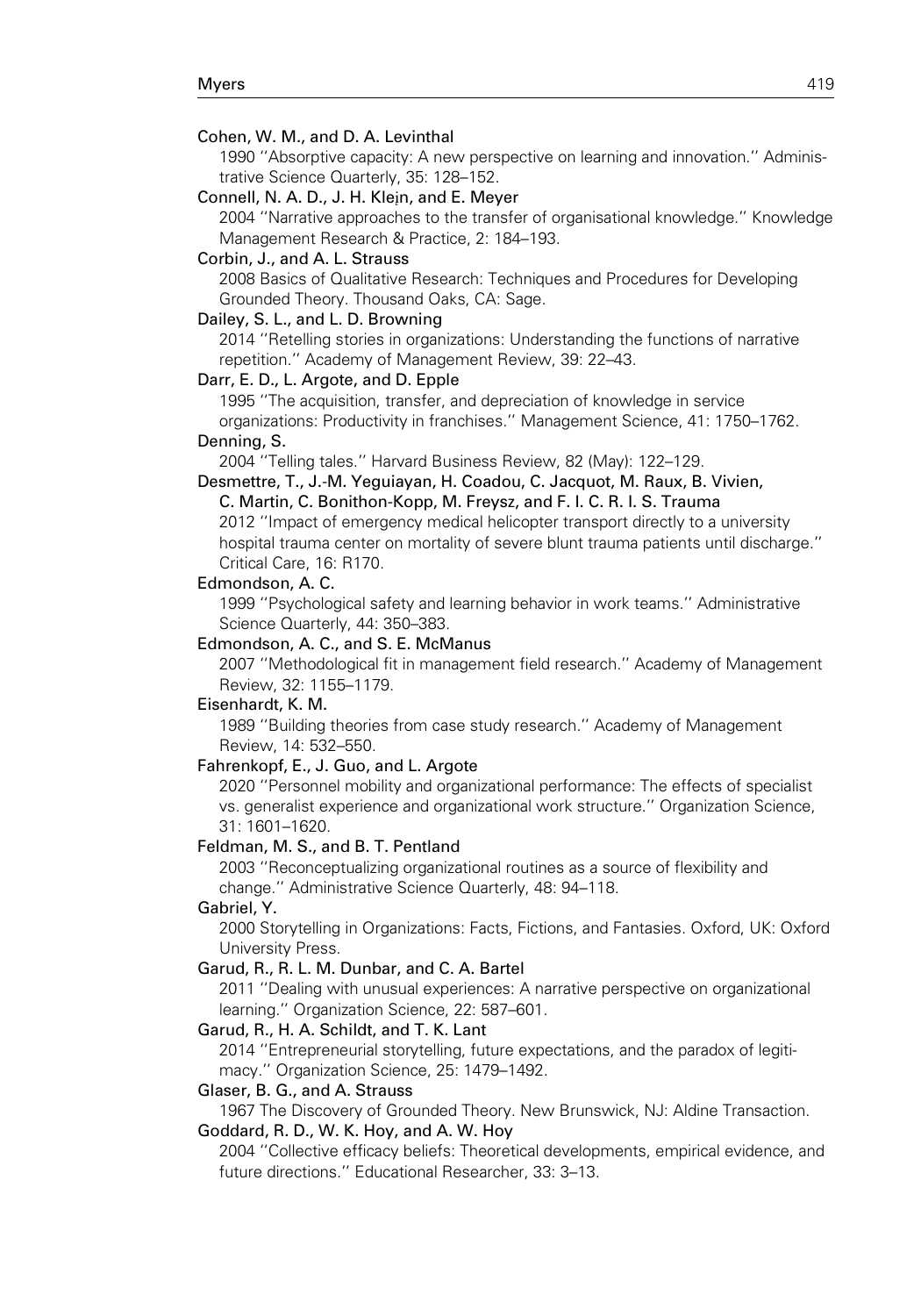### Cohen, W. M., and D. A. Levinthal

1990 ''Absorptive capacity: A new perspective on learning and innovation.'' Administrative Science Quarterly, 35: 128–152.

Connell, N. A. D., J. H. Klein, and E. Meyer

2004 ''Narrative approaches to the transfer of organisational knowledge.'' Knowledge Management Research & Practice, 2: 184–193.

#### Corbin, J., and A. L. Strauss

2008 Basics of Qualitative Research: Techniques and Procedures for Developing Grounded Theory. Thousand Oaks, CA: Sage.

### Dailey, S. L., and L. D. Browning

2014 ''Retelling stories in organizations: Understanding the functions of narrative repetition.'' Academy of Management Review, 39: 22–43.

### Darr, E. D., L. Argote, and D. Epple

1995 ''The acquisition, transfer, and depreciation of knowledge in service organizations: Productivity in franchises.'' Management Science, 41: 1750–1762.

## Denning, S.

2004 ''Telling tales.'' Harvard Business Review, 82 (May): 122–129.

# Desmettre, T., J.-M. Yeguiayan, H. Coadou, C. Jacquot, M. Raux, B. Vivien,

C. Martin, C. Bonithon-Kopp, M. Freysz, and F. I. C. R. I. S. Trauma 2012 ''Impact of emergency medical helicopter transport directly to a university hospital trauma center on mortality of severe blunt trauma patients until discharge.'' Critical Care, 16: R170.

#### Edmondson, A. C.

1999 ''Psychological safety and learning behavior in work teams.'' Administrative Science Quarterly, 44: 350–383.

#### Edmondson, A. C., and S. E. McManus

2007 ''Methodological fit in management field research.'' Academy of Management Review, 32: 1155–1179.

#### Eisenhardt, K. M.

1989 ''Building theories from case study research.'' Academy of Management Review, 14: 532–550.

### Fahrenkopf, E., J. Guo, and L. Argote

2020 ''Personnel mobility and organizational performance: The effects of specialist vs. generalist experience and organizational work structure.'' Organization Science, 31: 1601–1620.

### Feldman, M. S., and B. T. Pentland

2003 ''Reconceptualizing organizational routines as a source of flexibility and change.'' Administrative Science Quarterly, 48: 94–118.

### Gabriel, Y.

2000 Storytelling in Organizations: Facts, Fictions, and Fantasies. Oxford, UK: Oxford University Press.

### Garud, R., R. L. M. Dunbar, and C. A. Bartel

2011 ''Dealing with unusual experiences: A narrative perspective on organizational learning.'' Organization Science, 22: 587–601.

#### Garud, R., H. A. Schildt, and T. K. Lant

2014 ''Entrepreneurial storytelling, future expectations, and the paradox of legitimacy.'' Organization Science, 25: 1479–1492.

#### Glaser, B. G., and A. Strauss

1967 The Discovery of Grounded Theory. New Brunswick, NJ: Aldine Transaction.

## Goddard, R. D., W. K. Hoy, and A. W. Hoy

2004 ''Collective efficacy beliefs: Theoretical developments, empirical evidence, and future directions.'' Educational Researcher, 33: 3–13.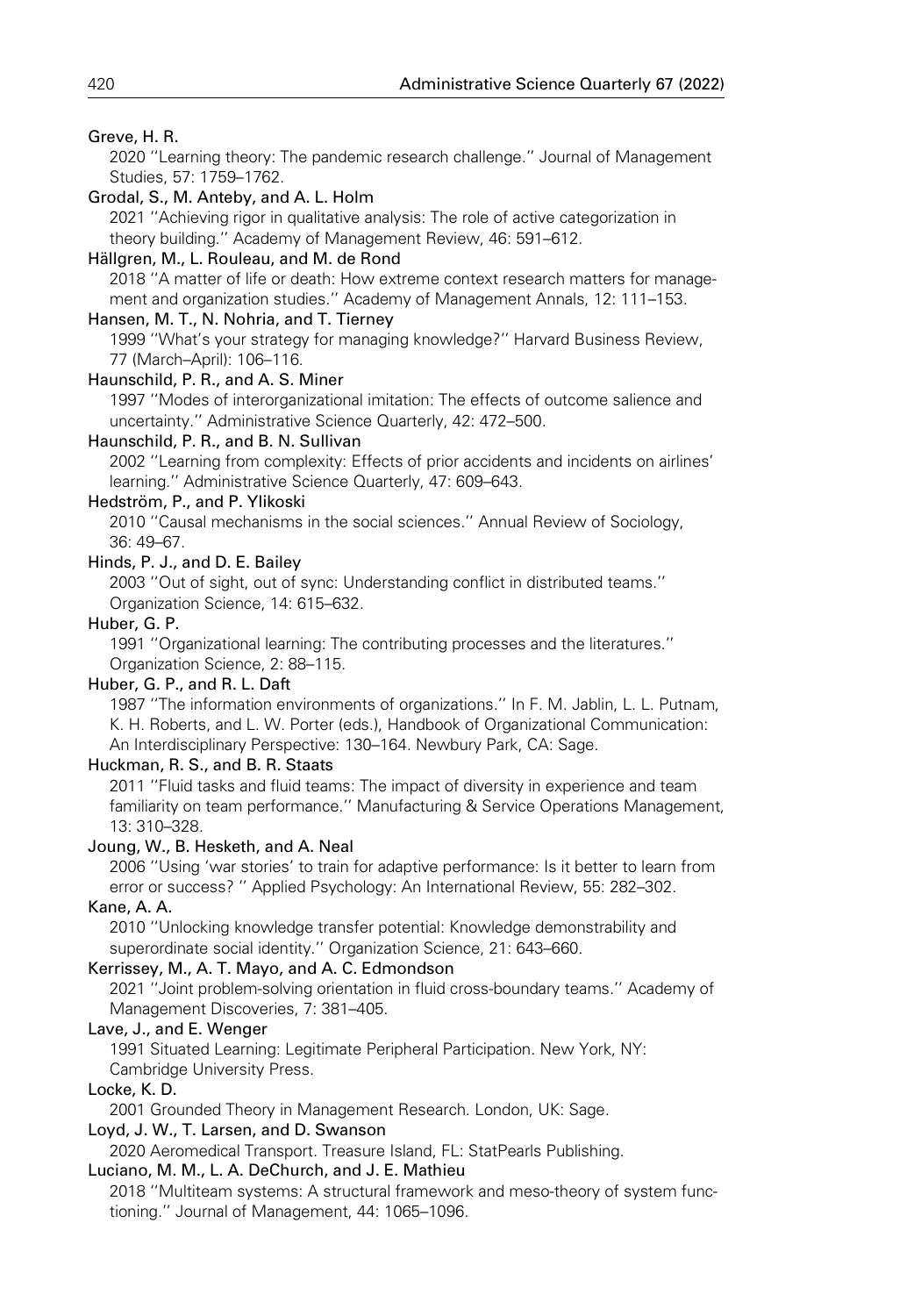## Greve, H. R.

2020 ''Learning theory: The pandemic research challenge.'' Journal of Management Studies, 57: 1759–1762.

### Grodal, S., M. Anteby, and A. L. Holm

2021 ''Achieving rigor in qualitative analysis: The role of active categorization in theory building.'' Academy of Management Review, 46: 591–612.

### Hällgren, M., L. Rouleau, and M. de Rond

2018 ''A matter of life or death: How extreme context research matters for management and organization studies.'' Academy of Management Annals, 12: 111–153.

### Hansen, M. T., N. Nohria, and T. Tierney

1999 ''What's your strategy for managing knowledge?'' Harvard Business Review, 77 (March–April): 106–116.

### Haunschild, P. R., and A. S. Miner

1997 ''Modes of interorganizational imitation: The effects of outcome salience and uncertainty.'' Administrative Science Quarterly, 42: 472–500.

## Haunschild, P. R., and B. N. Sullivan

2002 ''Learning from complexity: Effects of prior accidents and incidents on airlines' learning.'' Administrative Science Quarterly, 47: 609–643.

## Hedström, P., and P. Ylikoski

2010 ''Causal mechanisms in the social sciences.'' Annual Review of Sociology, 36: 49–67.

## Hinds, P. J., and D. E. Bailey

2003 ''Out of sight, out of sync: Understanding conflict in distributed teams.'' Organization Science, 14: 615–632.

### Huber, G. P.

1991 ''Organizational learning: The contributing processes and the literatures.'' Organization Science, 2: 88–115.

### Huber, G. P., and R. L. Daft

1987 ''The information environments of organizations.'' In F. M. Jablin, L. L. Putnam, K. H. Roberts, and L. W. Porter (eds.), Handbook of Organizational Communication: An Interdisciplinary Perspective: 130–164. Newbury Park, CA: Sage.

# Huckman, R. S., and B. R. Staats

2011 ''Fluid tasks and fluid teams: The impact of diversity in experience and team familiarity on team performance.'' Manufacturing & Service Operations Management, 13: 310–328.

## Joung, W., B. Hesketh, and A. Neal

2006 ''Using 'war stories' to train for adaptive performance: Is it better to learn from error or success? '' Applied Psychology: An International Review, 55: 282–302.

### Kane, A. A.

2010 ''Unlocking knowledge transfer potential: Knowledge demonstrability and superordinate social identity.'' Organization Science, 21: 643–660.

## Kerrissey, M., A. T. Mayo, and A. C. Edmondson

2021 ''Joint problem-solving orientation in fluid cross-boundary teams.'' Academy of Management Discoveries, 7: 381–405.

### Lave, J., and E. Wenger

1991 Situated Learning: Legitimate Peripheral Participation. New York, NY: Cambridge University Press.

#### Locke, K. D.

2001 Grounded Theory in Management Research. London, UK: Sage.

### Loyd, J. W., T. Larsen, and D. Swanson

2020 Aeromedical Transport. Treasure Island, FL: StatPearls Publishing.

# Luciano, M. M., L. A. DeChurch, and J. E. Mathieu

2018 ''Multiteam systems: A structural framework and meso-theory of system functioning.'' Journal of Management, 44: 1065–1096.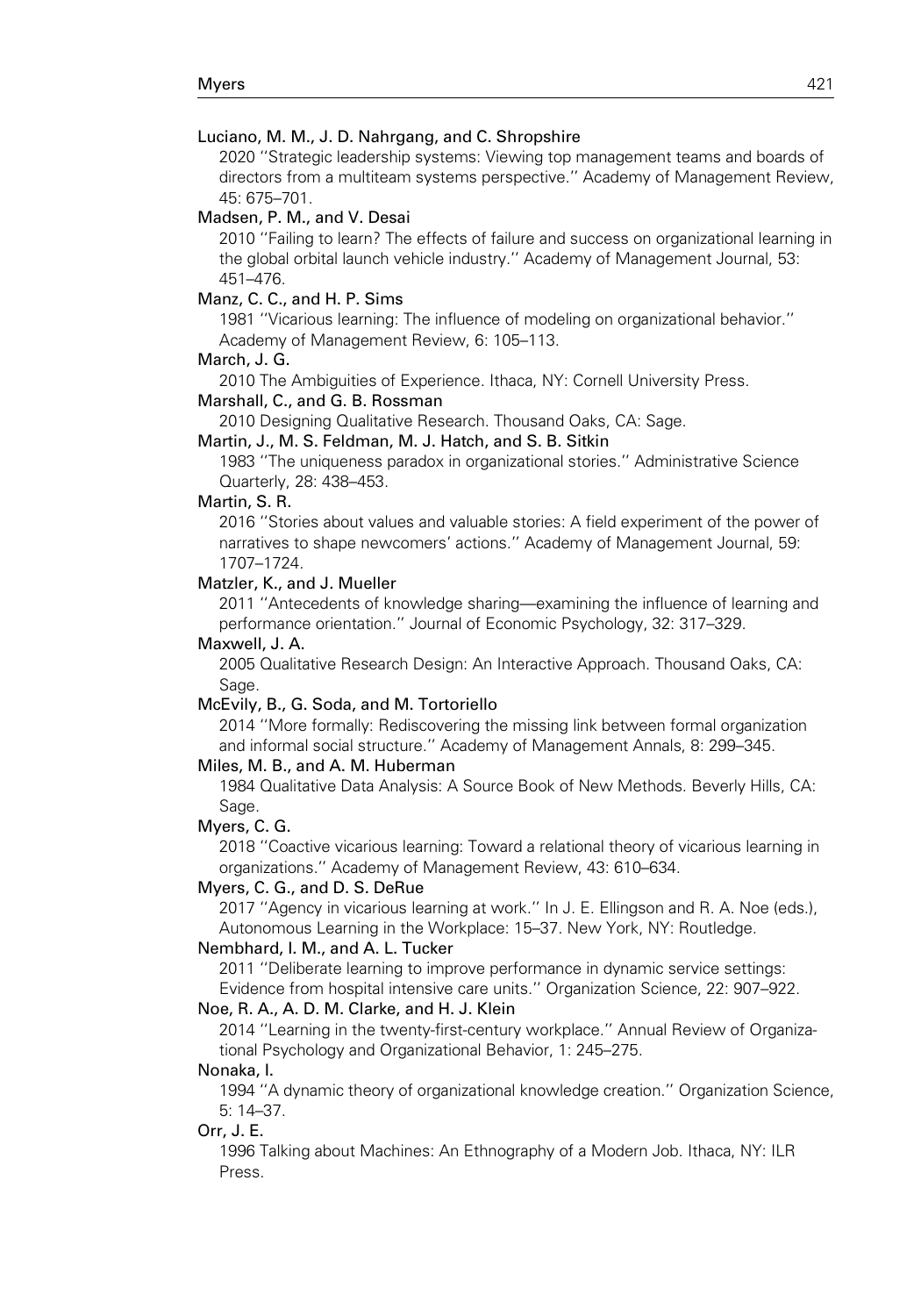### Luciano, M. M., J. D. Nahrgang, and C. Shropshire

2020 ''Strategic leadership systems: Viewing top management teams and boards of directors from a multiteam systems perspective.'' Academy of Management Review, 45: 675–701.

### Madsen, P. M., and V. Desai

2010 ''Failing to learn? The effects of failure and success on organizational learning in the global orbital launch vehicle industry.'' Academy of Management Journal, 53: 451–476.

## Manz, C. C., and H. P. Sims

1981 ''Vicarious learning: The influence of modeling on organizational behavior.'' Academy of Management Review, 6: 105–113.

#### March, J. G.

2010 The Ambiguities of Experience. Ithaca, NY: Cornell University Press.

### Marshall, C., and G. B. Rossman

2010 Designing Qualitative Research. Thousand Oaks, CA: Sage.

Martin, J., M. S. Feldman, M. J. Hatch, and S. B. Sitkin

1983 ''The uniqueness paradox in organizational stories.'' Administrative Science Quarterly, 28: 438–453.

## Martin, S. R.

2016 ''Stories about values and valuable stories: A field experiment of the power of narratives to shape newcomers' actions.'' Academy of Management Journal, 59: 1707–1724.

## Matzler, K., and J. Mueller

2011 ''Antecedents of knowledge sharing—examining the influence of learning and performance orientation.'' Journal of Economic Psychology, 32: 317–329.

#### Maxwell, J. A.

2005 Qualitative Research Design: An Interactive Approach. Thousand Oaks, CA: Sage.

#### McEvily, B., G. Soda, and M. Tortoriello

2014 ''More formally: Rediscovering the missing link between formal organization and informal social structure.'' Academy of Management Annals, 8: 299–345.

### Miles, M. B., and A. M. Huberman

1984 Qualitative Data Analysis: A Source Book of New Methods. Beverly Hills, CA: Sage.

#### Myers, C. G.

2018 ''Coactive vicarious learning: Toward a relational theory of vicarious learning in organizations.'' Academy of Management Review, 43: 610–634.

## Myers, C. G., and D. S. DeRue

2017 ''Agency in vicarious learning at work.'' In J. E. Ellingson and R. A. Noe (eds.), Autonomous Learning in the Workplace: 15–37. New York, NY: Routledge.

#### Nembhard, I. M., and A. L. Tucker

2011 ''Deliberate learning to improve performance in dynamic service settings: Evidence from hospital intensive care units.'' Organization Science, 22: 907–922.

#### Noe, R. A., A. D. M. Clarke, and H. J. Klein

2014 ''Learning in the twenty-first-century workplace.'' Annual Review of Organizational Psychology and Organizational Behavior, 1: 245–275.

#### Nonaka, I.

1994 ''A dynamic theory of organizational knowledge creation.'' Organization Science, 5: 14–37.

#### Orr, J. E.

1996 Talking about Machines: An Ethnography of a Modern Job. Ithaca, NY: ILR Press.